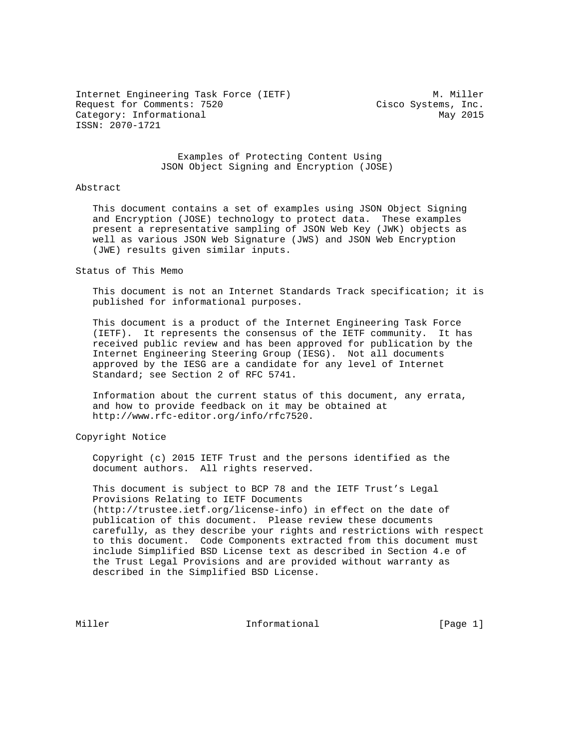Internet Engineering Task Force (IETF) M. Miller Request for Comments: 7520 Cisco Systems, Inc. Category: Informational May 2015 ISSN: 2070-1721

## Examples of Protecting Content Using JSON Object Signing and Encryption (JOSE)

#### Abstract

 This document contains a set of examples using JSON Object Signing and Encryption (JOSE) technology to protect data. These examples present a representative sampling of JSON Web Key (JWK) objects as well as various JSON Web Signature (JWS) and JSON Web Encryption (JWE) results given similar inputs.

#### Status of This Memo

 This document is not an Internet Standards Track specification; it is published for informational purposes.

 This document is a product of the Internet Engineering Task Force (IETF). It represents the consensus of the IETF community. It has received public review and has been approved for publication by the Internet Engineering Steering Group (IESG). Not all documents approved by the IESG are a candidate for any level of Internet Standard; see Section 2 of RFC 5741.

 Information about the current status of this document, any errata, and how to provide feedback on it may be obtained at http://www.rfc-editor.org/info/rfc7520.

Copyright Notice

 Copyright (c) 2015 IETF Trust and the persons identified as the document authors. All rights reserved.

 This document is subject to BCP 78 and the IETF Trust's Legal Provisions Relating to IETF Documents (http://trustee.ietf.org/license-info) in effect on the date of publication of this document. Please review these documents carefully, as they describe your rights and restrictions with respect to this document. Code Components extracted from this document must include Simplified BSD License text as described in Section 4.e of the Trust Legal Provisions and are provided without warranty as described in the Simplified BSD License.

Miller **Informational** [Page 1]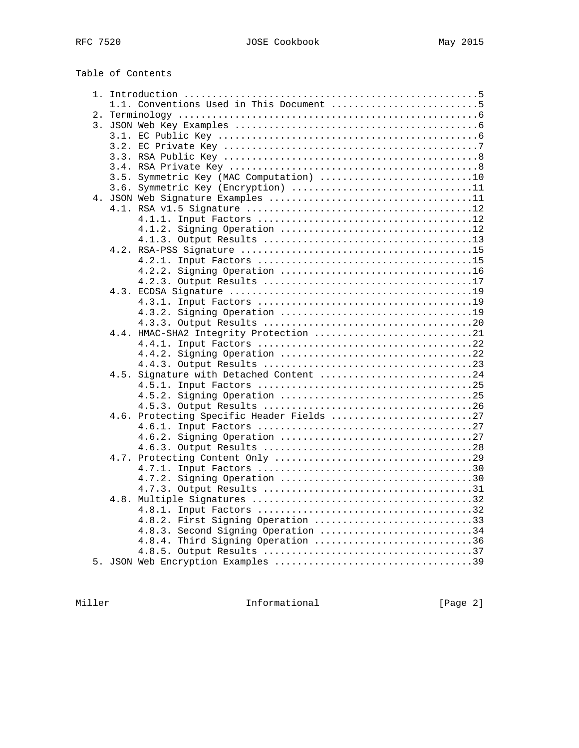| Table of Contents |  |
|-------------------|--|
|-------------------|--|

|  | 1.1. Conventions Used in This Document 5  |  |  |  |  |
|--|-------------------------------------------|--|--|--|--|
|  |                                           |  |  |  |  |
|  |                                           |  |  |  |  |
|  |                                           |  |  |  |  |
|  |                                           |  |  |  |  |
|  |                                           |  |  |  |  |
|  |                                           |  |  |  |  |
|  | 3.5. Symmetric Key (MAC Computation) 10   |  |  |  |  |
|  | 3.6. Symmetric Key (Encryption) 11        |  |  |  |  |
|  |                                           |  |  |  |  |
|  |                                           |  |  |  |  |
|  |                                           |  |  |  |  |
|  |                                           |  |  |  |  |
|  |                                           |  |  |  |  |
|  |                                           |  |  |  |  |
|  |                                           |  |  |  |  |
|  |                                           |  |  |  |  |
|  |                                           |  |  |  |  |
|  |                                           |  |  |  |  |
|  |                                           |  |  |  |  |
|  |                                           |  |  |  |  |
|  |                                           |  |  |  |  |
|  | 4.4. HMAC-SHA2 Integrity Protection 21    |  |  |  |  |
|  |                                           |  |  |  |  |
|  |                                           |  |  |  |  |
|  |                                           |  |  |  |  |
|  | 4.5. Signature with Detached Content 24   |  |  |  |  |
|  |                                           |  |  |  |  |
|  |                                           |  |  |  |  |
|  |                                           |  |  |  |  |
|  | 4.6. Protecting Specific Header Fields 27 |  |  |  |  |
|  |                                           |  |  |  |  |
|  |                                           |  |  |  |  |
|  |                                           |  |  |  |  |
|  |                                           |  |  |  |  |
|  |                                           |  |  |  |  |
|  |                                           |  |  |  |  |
|  |                                           |  |  |  |  |
|  |                                           |  |  |  |  |
|  |                                           |  |  |  |  |
|  | 4.8.2. First Signing Operation 33         |  |  |  |  |
|  | 4.8.3. Second Signing Operation 34        |  |  |  |  |
|  | 4.8.4. Third Signing Operation 36         |  |  |  |  |
|  |                                           |  |  |  |  |
|  |                                           |  |  |  |  |

Miller **Informational Informational** [Page 2]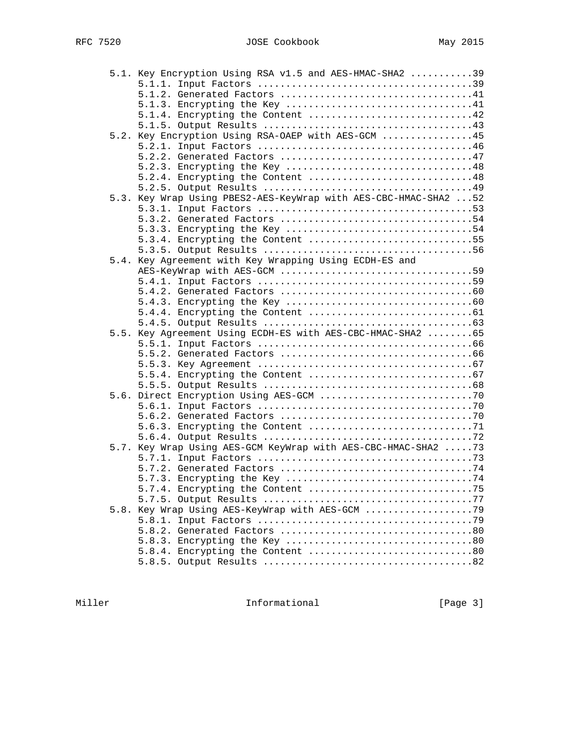|  | 5.1. Key Encryption Using RSA v1.5 and AES-HMAC-SHA2 39          |  |
|--|------------------------------------------------------------------|--|
|  |                                                                  |  |
|  |                                                                  |  |
|  |                                                                  |  |
|  | 5.1.4. Encrypting the Content 42                                 |  |
|  |                                                                  |  |
|  | 5.2. Key Encryption Using RSA-OAEP with AES-GCM 45               |  |
|  |                                                                  |  |
|  |                                                                  |  |
|  |                                                                  |  |
|  | 5.2.4. Encrypting the Content 48                                 |  |
|  |                                                                  |  |
|  | 5.3. Key Wrap Using PBES2-AES-KeyWrap with AES-CBC-HMAC-SHA2  52 |  |
|  |                                                                  |  |
|  |                                                                  |  |
|  |                                                                  |  |
|  |                                                                  |  |
|  |                                                                  |  |
|  | 5.4. Key Agreement with Key Wrapping Using ECDH-ES and           |  |
|  | AES-KeyWrap with AES-GCM 59                                      |  |
|  |                                                                  |  |
|  |                                                                  |  |
|  |                                                                  |  |
|  |                                                                  |  |
|  |                                                                  |  |
|  | 5.5. Key Agreement Using ECDH-ES with AES-CBC-HMAC-SHA2 65       |  |
|  |                                                                  |  |
|  |                                                                  |  |
|  |                                                                  |  |
|  |                                                                  |  |
|  |                                                                  |  |
|  |                                                                  |  |
|  |                                                                  |  |
|  |                                                                  |  |
|  |                                                                  |  |
|  |                                                                  |  |
|  | 5.7. Key Wrap Using AES-GCM KeyWrap with AES-CBC-HMAC-SHA2 73    |  |
|  |                                                                  |  |
|  |                                                                  |  |
|  |                                                                  |  |
|  |                                                                  |  |
|  |                                                                  |  |
|  | 5.8. Key Wrap Using AES-KeyWrap with AES-GCM 79                  |  |
|  |                                                                  |  |
|  |                                                                  |  |
|  |                                                                  |  |
|  |                                                                  |  |
|  |                                                                  |  |

Miller **Informational Informational** [Page 3]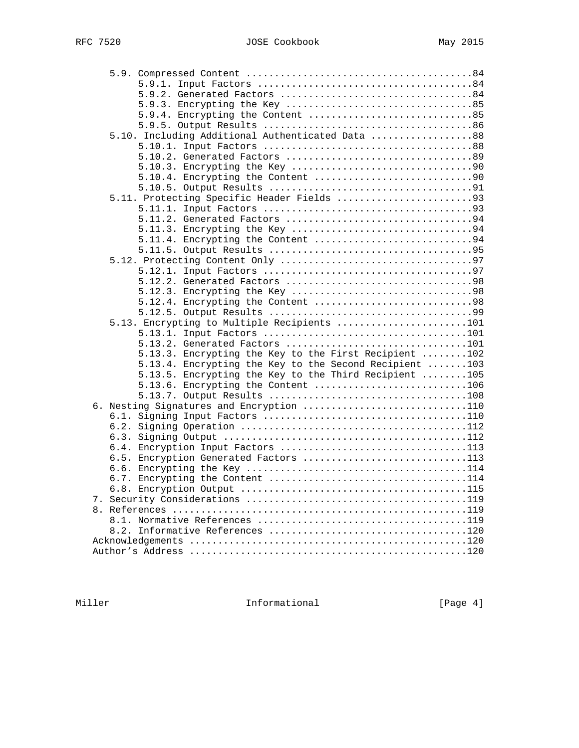| 5.10. Including Additional Authenticated Data 88                                            |  |
|---------------------------------------------------------------------------------------------|--|
|                                                                                             |  |
|                                                                                             |  |
|                                                                                             |  |
| 5.10.4. Encrypting the Content 90                                                           |  |
|                                                                                             |  |
|                                                                                             |  |
|                                                                                             |  |
|                                                                                             |  |
|                                                                                             |  |
| 5.11.4. Encrypting the Content 94                                                           |  |
|                                                                                             |  |
|                                                                                             |  |
|                                                                                             |  |
|                                                                                             |  |
|                                                                                             |  |
|                                                                                             |  |
|                                                                                             |  |
| 5.13. Encrypting to Multiple Recipients 101                                                 |  |
|                                                                                             |  |
| 5.13.2. Generated Factors 101                                                               |  |
| 5.13.3. Encrypting the Key to the First Recipient 102                                       |  |
| 5.13.4. Encrypting the Key to the Second Recipient 103                                      |  |
| 5.13.5. Encrypting the Key to the Third Recipient 105<br>5.13.6. Encrypting the Content 106 |  |
|                                                                                             |  |
| 6. Nesting Signatures and Encryption 110                                                    |  |
|                                                                                             |  |
|                                                                                             |  |
|                                                                                             |  |
| 6.4. Encryption Input Factors 113                                                           |  |
| 6.5. Encryption Generated Factors 113                                                       |  |
|                                                                                             |  |
|                                                                                             |  |
|                                                                                             |  |
|                                                                                             |  |
|                                                                                             |  |
|                                                                                             |  |
|                                                                                             |  |
|                                                                                             |  |
|                                                                                             |  |

Miller **Informational Informational** [Page 4]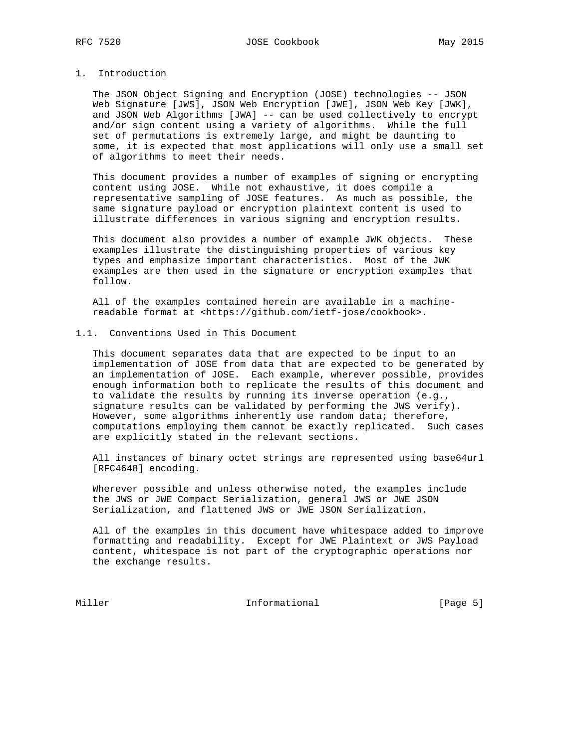## 1. Introduction

 The JSON Object Signing and Encryption (JOSE) technologies -- JSON Web Signature [JWS], JSON Web Encryption [JWE], JSON Web Key [JWK], and JSON Web Algorithms [JWA] -- can be used collectively to encrypt and/or sign content using a variety of algorithms. While the full set of permutations is extremely large, and might be daunting to some, it is expected that most applications will only use a small set of algorithms to meet their needs.

 This document provides a number of examples of signing or encrypting content using JOSE. While not exhaustive, it does compile a representative sampling of JOSE features. As much as possible, the same signature payload or encryption plaintext content is used to illustrate differences in various signing and encryption results.

 This document also provides a number of example JWK objects. These examples illustrate the distinguishing properties of various key types and emphasize important characteristics. Most of the JWK examples are then used in the signature or encryption examples that follow.

 All of the examples contained herein are available in a machine readable format at <https://github.com/ietf-jose/cookbook>.

### 1.1. Conventions Used in This Document

 This document separates data that are expected to be input to an implementation of JOSE from data that are expected to be generated by an implementation of JOSE. Each example, wherever possible, provides enough information both to replicate the results of this document and to validate the results by running its inverse operation (e.g., signature results can be validated by performing the JWS verify). However, some algorithms inherently use random data; therefore, computations employing them cannot be exactly replicated. Such cases are explicitly stated in the relevant sections.

 All instances of binary octet strings are represented using base64url [RFC4648] encoding.

 Wherever possible and unless otherwise noted, the examples include the JWS or JWE Compact Serialization, general JWS or JWE JSON Serialization, and flattened JWS or JWE JSON Serialization.

 All of the examples in this document have whitespace added to improve formatting and readability. Except for JWE Plaintext or JWS Payload content, whitespace is not part of the cryptographic operations nor the exchange results.

Miller Informational [Page 5]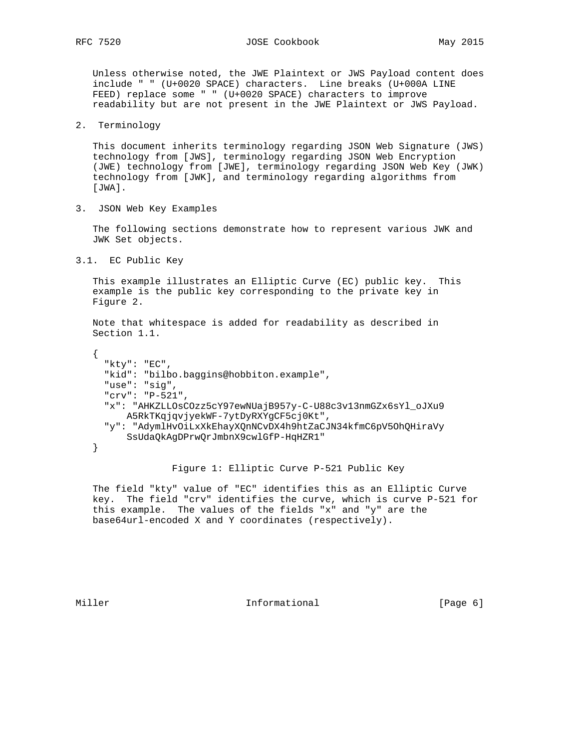Unless otherwise noted, the JWE Plaintext or JWS Payload content does include " " (U+0020 SPACE) characters. Line breaks (U+000A LINE FEED) replace some " " (U+0020 SPACE) characters to improve readability but are not present in the JWE Plaintext or JWS Payload.

2. Terminology

 This document inherits terminology regarding JSON Web Signature (JWS) technology from [JWS], terminology regarding JSON Web Encryption (JWE) technology from [JWE], terminology regarding JSON Web Key (JWK) technology from [JWK], and terminology regarding algorithms from [JWA].

3. JSON Web Key Examples

 The following sections demonstrate how to represent various JWK and JWK Set objects.

3.1. EC Public Key

 This example illustrates an Elliptic Curve (EC) public key. This example is the public key corresponding to the private key in Figure 2.

 Note that whitespace is added for readability as described in Section 1.1.

```
\{ \cdot \cdot \cdot \cdot \cdot \cdot \cdot \cdot \cdot \cdot \cdot \cdot \cdot \cdot \cdot \cdot \cdot \cdot \cdot \cdot \cdot \cdot \cdot \cdot \cdot \cdot \cdot \cdot \cdot \cdot \cdot \cdot \cdot \cdot \cdot \cdot 
         "kty": "EC",
         "kid": "bilbo.baggins@hobbiton.example",
         "use": "sig",
         "crv": "P-521",
         "x": "AHKZLLOsCOzz5cY97ewNUajB957y-C-U88c3v13nmGZx6sYl_oJXu9
               A5RkTKqjqvjyekWF-7ytDyRXYgCF5cj0Kt",
         "y": "AdymlHvOiLxXkEhayXQnNCvDX4h9htZaCJN34kfmC6pV5OhQHiraVy
               SsUdaQkAgDPrwQrJmbnX9cwlGfP-HqHZR1"
      }
```
Figure 1: Elliptic Curve P-521 Public Key

 The field "kty" value of "EC" identifies this as an Elliptic Curve key. The field "crv" identifies the curve, which is curve P-521 for this example. The values of the fields "x" and "y" are the base64url-encoded X and Y coordinates (respectively).

Miller **Informational Informational** [Page 6]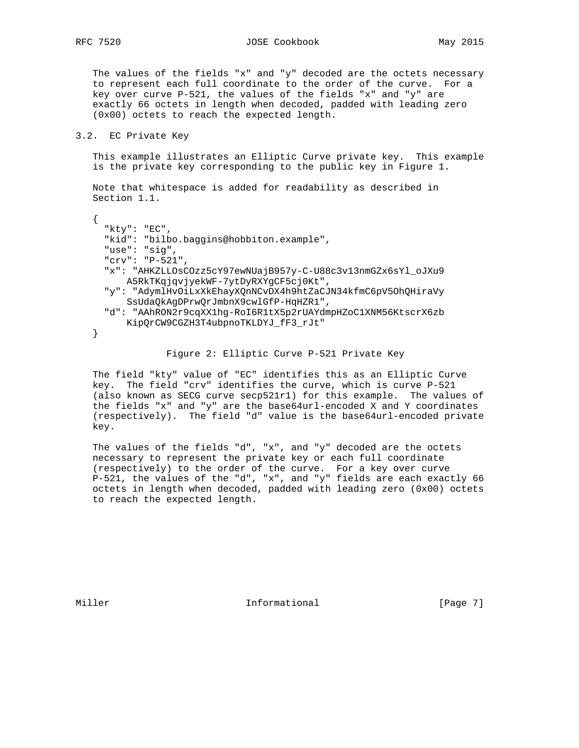RFC 7520 JOSE Cookbook May 2015

 The values of the fields "x" and "y" decoded are the octets necessary to represent each full coordinate to the order of the curve. For a key over curve P-521, the values of the fields "x" and "y" are exactly 66 octets in length when decoded, padded with leading zero (0x00) octets to reach the expected length.

#### 3.2. EC Private Key

 This example illustrates an Elliptic Curve private key. This example is the private key corresponding to the public key in Figure 1.

 Note that whitespace is added for readability as described in Section 1.1.

```
 {
      "kty": "EC",
      "kid": "bilbo.baggins@hobbiton.example",
      "use": "sig",
      "crv": "P-521",
      "x": "AHKZLLOsCOzz5cY97ewNUajB957y-C-U88c3v13nmGZx6sYl_oJXu9
         A5RkTKqjqvjyekWF-7ytDyRXYgCF5cj0Kt",
      "y": "AdymlHvOiLxXkEhayXQnNCvDX4h9htZaCJN34kfmC6pV5OhQHiraVy
         SsUdaQkAgDPrwQrJmbnX9cwlGfP-HqHZR1",
      "d": "AAhRON2r9cqXX1hg-RoI6R1tX5p2rUAYdmpHZoC1XNM56KtscrX6zb
         KipQrCW9CGZH3T4ubpnoTKLDYJ_fF3_rJt"
   }
```
## Figure 2: Elliptic Curve P-521 Private Key

 The field "kty" value of "EC" identifies this as an Elliptic Curve key. The field "crv" identifies the curve, which is curve P-521 (also known as SECG curve secp521r1) for this example. The values of the fields "x" and "y" are the base64url-encoded X and Y coordinates (respectively). The field "d" value is the base64url-encoded private key.

 The values of the fields "d", "x", and "y" decoded are the octets necessary to represent the private key or each full coordinate (respectively) to the order of the curve. For a key over curve P-521, the values of the "d", "x", and "y" fields are each exactly 66 octets in length when decoded, padded with leading zero (0x00) octets to reach the expected length.

Miller **Informational Informational** [Page 7]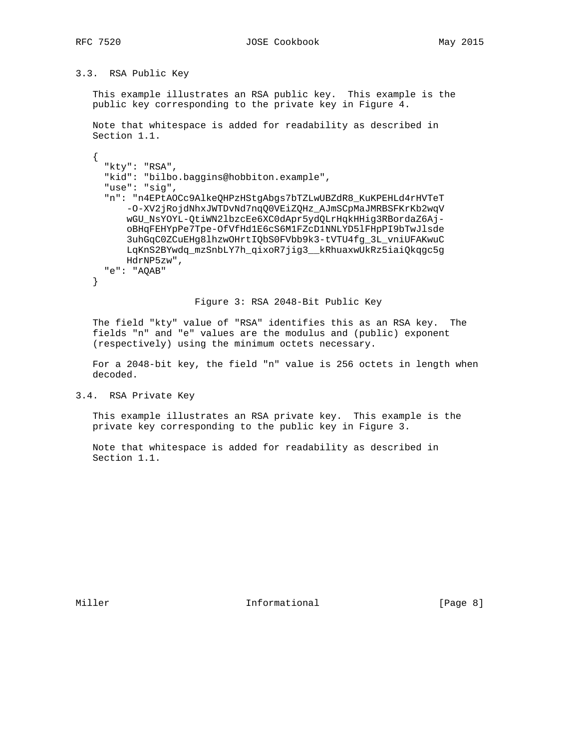# 3.3. RSA Public Key

 This example illustrates an RSA public key. This example is the public key corresponding to the private key in Figure 4.

```
 Note that whitespace is added for readability as described in
 Section 1.1.
```

```
 {
      "kty": "RSA",
      "kid": "bilbo.baggins@hobbiton.example",
      "use": "sig",
      "n": "n4EPtAOCc9AlkeQHPzHStgAbgs7bTZLwUBZdR8_KuKPEHLd4rHVTeT
          -O-XV2jRojdNhxJWTDvNd7nqQ0VEiZQHz_AJmSCpMaJMRBSFKrKb2wqV
          wGU_NsYOYL-QtiWN2lbzcEe6XC0dApr5ydQLrHqkHHig3RBordaZ6Aj-
          oBHqFEHYpPe7Tpe-OfVfHd1E6cS6M1FZcD1NNLYD5lFHpPI9bTwJlsde
          3uhGqC0ZCuEHg8lhzwOHrtIQbS0FVbb9k3-tVTU4fg_3L_vniUFAKwuC
         LqKnS2BYwdq_mzSnbLY7h_qixoR7jig3__kRhuaxwUkRz5iaiQkqgc5g
         HdrNP5zw",
     "e": "AQAB"
   }
```
#### Figure 3: RSA 2048-Bit Public Key

 The field "kty" value of "RSA" identifies this as an RSA key. The fields "n" and "e" values are the modulus and (public) exponent (respectively) using the minimum octets necessary.

 For a 2048-bit key, the field "n" value is 256 octets in length when decoded.

3.4. RSA Private Key

 This example illustrates an RSA private key. This example is the private key corresponding to the public key in Figure 3.

 Note that whitespace is added for readability as described in Section 1.1.

Miller **Informational Informational** [Page 8]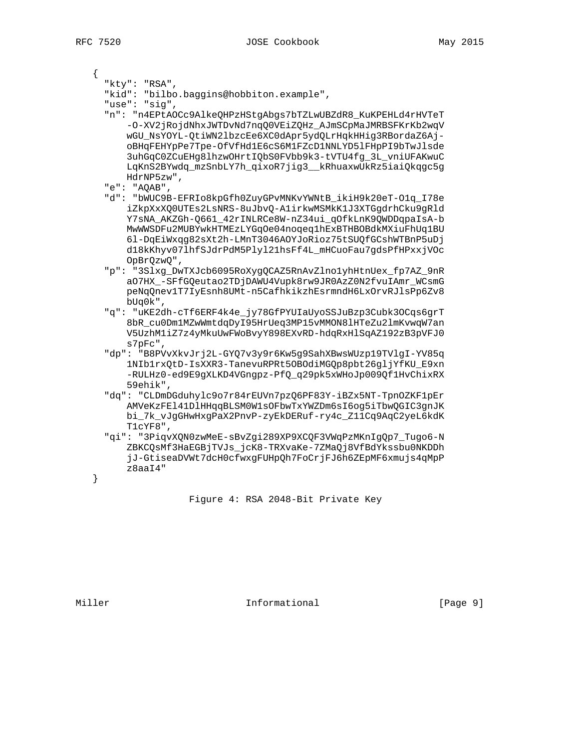{

"kty": "RSA",

"kid": "bilbo.baggins@hobbiton.example",

"use": "sig",

- "n": "n4EPtAOCc9AlkeQHPzHStgAbgs7bTZLwUBZdR8\_KuKPEHLd4rHVTeT -O-XV2jRojdNhxJWTDvNd7nqQ0VEiZQHz\_AJmSCpMaJMRBSFKrKb2wqV wGU\_NsYOYL-QtiWN2lbzcEe6XC0dApr5ydQLrHqkHHig3RBordaZ6Aj oBHqFEHYpPe7Tpe-OfVfHd1E6cS6M1FZcD1NNLYD5lFHpPI9bTwJlsde 3uhGqC0ZCuEHg8lhzwOHrtIQbS0FVbb9k3-tVTU4fg\_3L\_vniUFAKwuC LqKnS2BYwdq\_mzSnbLY7h\_qixoR7jig3\_\_kRhuaxwUkRz5iaiQkqgc5g HdrNP5zw",
- "e": "AQAB",
- "d": "bWUC9B-EFRIo8kpGfh0ZuyGPvMNKvYWNtB\_ikiH9k20eT-O1q\_I78e iZkpXxXQ0UTEs2LsNRS-8uJbvQ-A1irkwMSMkK1J3XTGgdrhCku9gRld Y7sNA\_AKZGh-Q661\_42rINLRCe8W-nZ34ui\_qOfkLnK9QWDDqpaIsA-b MwWWSDFu2MUBYwkHTMEzLYGqOe04noqeq1hExBTHBOBdkMXiuFhUq1BU 6l-DqEiWxqg82sXt2h-LMnT3046AOYJoRioz75tSUQfGCshWTBnP5uDj d18kKhyv07lhfSJdrPdM5Plyl21hsFf4L\_mHCuoFau7gdsPfHPxxjVOc OpBrQzwQ",
- "p": "3Slxg\_DwTXJcb6095RoXygQCAZ5RnAvZlno1yhHtnUex\_fp7AZ\_9nR aO7HX\_-SFfGQeutao2TDjDAWU4Vupk8rw9JR0AzZ0N2fvuIAmr\_WCsmG peNqQnev1T7IyEsnh8UMt-n5CafhkikzhEsrmndH6LxOrvRJlsPp6Zv8 bUq0k",
- "q": "uKE2dh-cTf6ERF4k4e\_jy78GfPYUIaUyoSSJuBzp3Cubk3OCqs6grT 8bR\_cu0Dm1MZwWmtdqDyI95HrUeq3MP15vMMON8lHTeZu2lmKvwqW7an V5UzhM1iZ7z4yMkuUwFWoBvyY898EXvRD-hdqRxHlSqAZ192zB3pVFJ0 s7pFc",
- "dp": "B8PVvXkvJrj2L-GYQ7v3y9r6Kw5g9SahXBwsWUzp19TVlgI-YV85q 1NIb1rxQtD-IsXXR3-TanevuRPRt5OBOdiMGQp8pbt26gljYfKU\_E9xn -RULHz0-ed9E9gXLKD4VGngpz-PfQ\_q29pk5xWHoJp009Qf1HvChixRX 59ehik",
- "dq": "CLDmDGduhylc9o7r84rEUVn7pzQ6PF83Y-iBZx5NT-TpnOZKF1pEr AMVeKzFEl41DlHHqqBLSM0W1sOFbwTxYWZDm6sI6og5iTbwQGIC3gnJK bi\_7k\_vJgGHwHxgPaX2PnvP-zyEkDERuf-ry4c\_Z11Cq9AqC2yeL6kdK T1cYF8",
- "qi": "3PiqvXQN0zwMeE-sBvZgi289XP9XCQF3VWqPzMKnIgQp7\_Tugo6-N ZBKCQsMf3HaEGBjTVJs\_jcK8-TRXvaKe-7ZMaQj8VfBdYkssbu0NKDDh jJ-GtiseaDVWt7dcH0cfwxgFUHpQh7FoCrjFJ6h6ZEpMF6xmujs4qMpP z8aaI4"

Figure 4: RSA 2048-Bit Private Key

}

Miller **Informational Informational** [Page 9]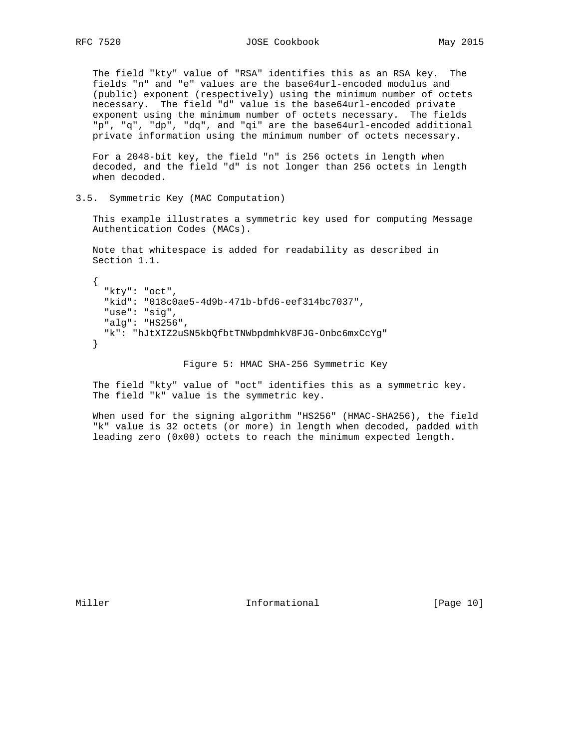The field "kty" value of "RSA" identifies this as an RSA key. The fields "n" and "e" values are the base64url-encoded modulus and (public) exponent (respectively) using the minimum number of octets necessary. The field "d" value is the base64url-encoded private exponent using the minimum number of octets necessary. The fields "p", "q", "dp", "dq", and "qi" are the base64url-encoded additional private information using the minimum number of octets necessary.

 For a 2048-bit key, the field "n" is 256 octets in length when decoded, and the field "d" is not longer than 256 octets in length when decoded.

3.5. Symmetric Key (MAC Computation)

 This example illustrates a symmetric key used for computing Message Authentication Codes (MACs).

 Note that whitespace is added for readability as described in Section 1.1.

```
\left\{ \right. "kty": "oct",
   "kid": "018c0ae5-4d9b-471b-bfd6-eef314bc7037",
   "use": "sig",
   "alg": "HS256",
   "k": "hJtXIZ2uSN5kbQfbtTNWbpdmhkV8FJG-Onbc6mxCcYg"
 }
```
#### Figure 5: HMAC SHA-256 Symmetric Key

 The field "kty" value of "oct" identifies this as a symmetric key. The field "k" value is the symmetric key.

 When used for the signing algorithm "HS256" (HMAC-SHA256), the field "k" value is 32 octets (or more) in length when decoded, padded with leading zero (0x00) octets to reach the minimum expected length.

Miller **Informational** [Page 10]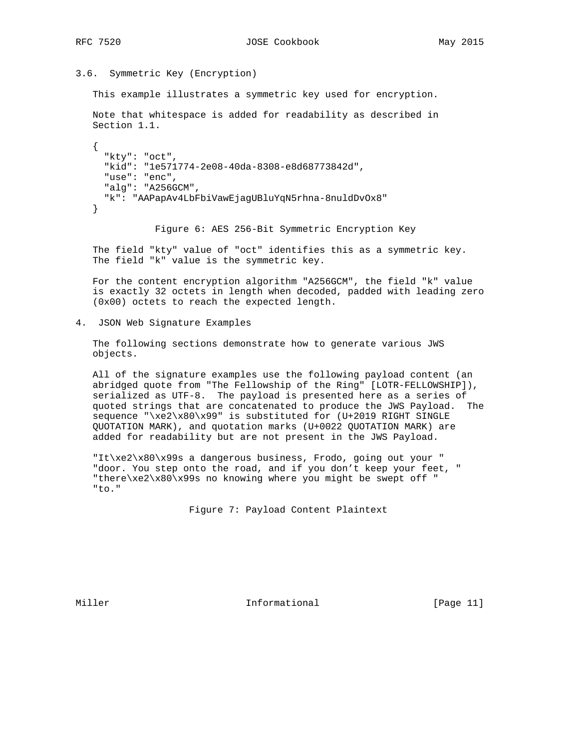RFC 7520 JOSE Cookbook May 2015

3.6. Symmetric Key (Encryption)

This example illustrates a symmetric key used for encryption.

 Note that whitespace is added for readability as described in Section 1.1.

```
 {
   "kty": "oct",
   "kid": "1e571774-2e08-40da-8308-e8d68773842d",
   "use": "enc",
   "alg": "A256GCM",
   "k": "AAPapAv4LbFbiVawEjagUBluYqN5rhna-8nuldDvOx8"
 }
```
Figure 6: AES 256-Bit Symmetric Encryption Key

 The field "kty" value of "oct" identifies this as a symmetric key. The field "k" value is the symmetric key.

 For the content encryption algorithm "A256GCM", the field "k" value is exactly 32 octets in length when decoded, padded with leading zero (0x00) octets to reach the expected length.

4. JSON Web Signature Examples

 The following sections demonstrate how to generate various JWS objects.

 All of the signature examples use the following payload content (an abridged quote from "The Fellowship of the Ring" [LOTR-FELLOWSHIP]), serialized as UTF-8. The payload is presented here as a series of quoted strings that are concatenated to produce the JWS Payload. The sequence "\xe2\x80\x99" is substituted for (U+2019 RIGHT SINGLE QUOTATION MARK), and quotation marks (U+0022 QUOTATION MARK) are added for readability but are not present in the JWS Payload.

 "It\xe2\x80\x99s a dangerous business, Frodo, going out your " "door. You step onto the road, and if you don't keep your feet, " "there\xe2\x80\x99s no knowing where you might be swept off " "to."

Figure 7: Payload Content Plaintext

Miller **Informational** [Page 11]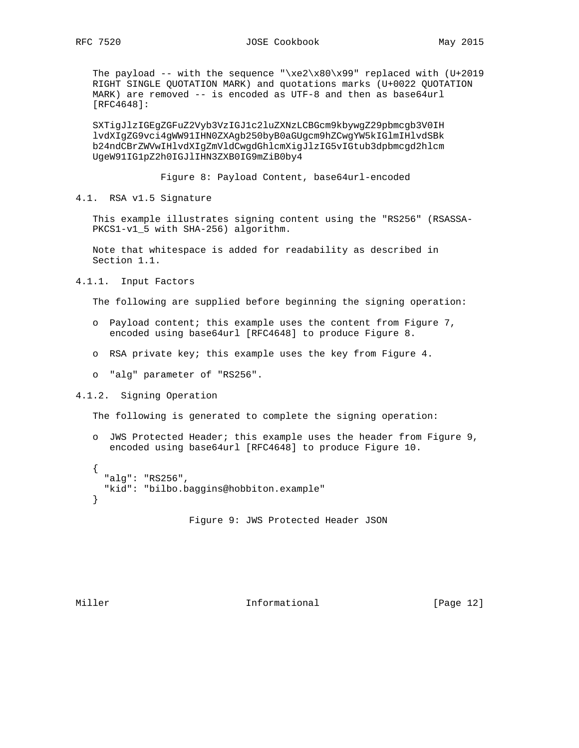The payload -- with the sequence "\xe2\x80\x99" replaced with  $(U+2019)$  RIGHT SINGLE QUOTATION MARK) and quotations marks (U+0022 QUOTATION MARK) are removed -- is encoded as UTF-8 and then as base64url [RFC4648]:

 SXTigJlzIGEgZGFuZ2Vyb3VzIGJ1c2luZXNzLCBGcm9kbywgZ29pbmcgb3V0IH lvdXIgZG9vci4gWW91IHN0ZXAgb250byB0aGUgcm9hZCwgYW5kIGlmIHlvdSBk b24ndCBrZWVwIHlvdXIgZmVldCwgdGhlcmXigJlzIG5vIGtub3dpbmcgd2hlcm UgeW91IG1pZ2h0IGJlIHN3ZXB0IG9mZiB0by4

Figure 8: Payload Content, base64url-encoded

4.1. RSA v1.5 Signature

 This example illustrates signing content using the "RS256" (RSASSA- PKCS1-v1 5 with SHA-256) algorithm.

 Note that whitespace is added for readability as described in Section 1.1.

4.1.1. Input Factors

The following are supplied before beginning the signing operation:

- o Payload content; this example uses the content from Figure 7, encoded using base64url [RFC4648] to produce Figure 8.
- o RSA private key; this example uses the key from Figure 4.
- o "alg" parameter of "RS256".

4.1.2. Signing Operation

The following is generated to complete the signing operation:

 o JWS Protected Header; this example uses the header from Figure 9, encoded using base64url [RFC4648] to produce Figure 10.

```
 {
   "alg": "RS256",
   "kid": "bilbo.baggins@hobbiton.example"
 }
```
Figure 9: JWS Protected Header JSON

Miller **Informational** [Page 12]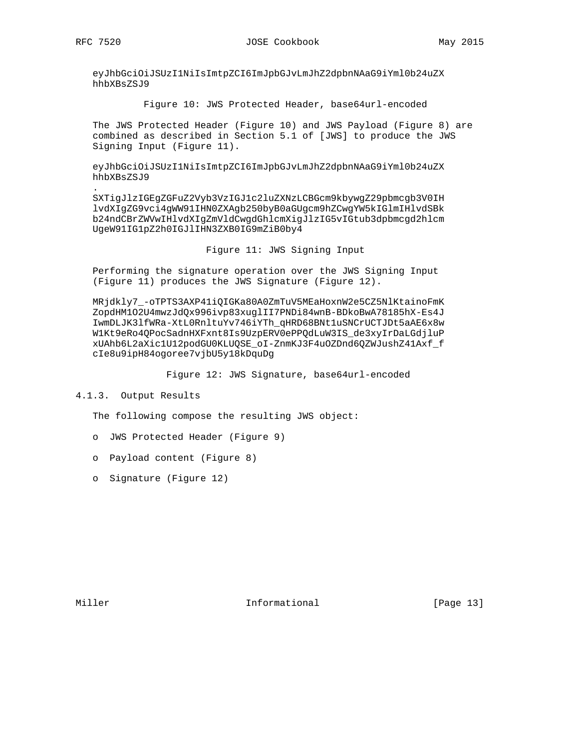eyJhbGciOiJSUzI1NiIsImtpZCI6ImJpbGJvLmJhZ2dpbnNAaG9iYml0b24uZX hhbXBsZSJ9

Figure 10: JWS Protected Header, base64url-encoded

 The JWS Protected Header (Figure 10) and JWS Payload (Figure 8) are combined as described in Section 5.1 of [JWS] to produce the JWS Signing Input (Figure 11).

 eyJhbGciOiJSUzI1NiIsImtpZCI6ImJpbGJvLmJhZ2dpbnNAaG9iYml0b24uZX hhbXBsZSJ9

 . SXTigJlzIGEgZGFuZ2Vyb3VzIGJ1c2luZXNzLCBGcm9kbywgZ29pbmcgb3V0IH lvdXIgZG9vci4gWW91IHN0ZXAgb250byB0aGUgcm9hZCwgYW5kIGlmIHlvdSBk b24ndCBrZWVwIHlvdXIgZmVldCwgdGhlcmXigJlzIG5vIGtub3dpbmcgd2hlcm UgeW91IG1pZ2h0IGJlIHN3ZXB0IG9mZiB0by4

Figure 11: JWS Signing Input

 Performing the signature operation over the JWS Signing Input (Figure 11) produces the JWS Signature (Figure 12).

 MRjdkly7\_-oTPTS3AXP41iQIGKa80A0ZmTuV5MEaHoxnW2e5CZ5NlKtainoFmK ZopdHM1O2U4mwzJdQx996ivp83xuglII7PNDi84wnB-BDkoBwA78185hX-Es4J IwmDLJK3lfWRa-XtL0RnltuYv746iYTh\_qHRD68BNt1uSNCrUCTJDt5aAE6x8w W1Kt9eRo4QPocSadnHXFxnt8Is9UzpERV0ePPQdLuW3IS\_de3xyIrDaLGdjluP xUAhb6L2aXic1U12podGU0KLUQSE\_oI-ZnmKJ3F4uOZDnd6QZWJushZ41Axf\_f cIe8u9ipH84ogoree7vjbU5y18kDquDg

Figure 12: JWS Signature, base64url-encoded

4.1.3. Output Results

The following compose the resulting JWS object:

- o JWS Protected Header (Figure 9)
- o Payload content (Figure 8)
- o Signature (Figure 12)

Miller **Informational** [Page 13]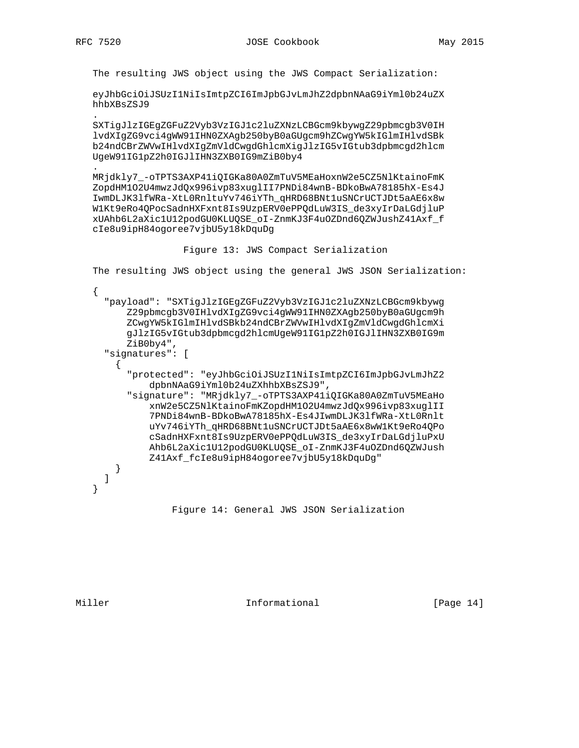.

.

The resulting JWS object using the JWS Compact Serialization:

 eyJhbGciOiJSUzI1NiIsImtpZCI6ImJpbGJvLmJhZ2dpbnNAaG9iYml0b24uZX hhbXBsZSJ9

 SXTigJlzIGEgZGFuZ2Vyb3VzIGJ1c2luZXNzLCBGcm9kbywgZ29pbmcgb3V0IH lvdXIgZG9vci4gWW91IHN0ZXAgb250byB0aGUgcm9hZCwgYW5kIGlmIHlvdSBk b24ndCBrZWVwIHlvdXIgZmVldCwgdGhlcmXigJlzIG5vIGtub3dpbmcgd2hlcm UgeW91IG1pZ2h0IGJlIHN3ZXB0IG9mZiB0by4

 MRjdkly7\_-oTPTS3AXP41iQIGKa80A0ZmTuV5MEaHoxnW2e5CZ5NlKtainoFmK ZopdHM1O2U4mwzJdQx996ivp83xuglII7PNDi84wnB-BDkoBwA78185hX-Es4J IwmDLJK3lfWRa-XtL0RnltuYv746iYTh\_qHRD68BNt1uSNCrUCTJDt5aAE6x8w W1Kt9eRo4QPocSadnHXFxnt8Is9UzpERV0ePPQdLuW3IS\_de3xyIrDaLGdjluP xUAhb6L2aXic1U12podGU0KLUQSE\_oI-ZnmKJ3F4uOZDnd6QZWJushZ41Axf\_f cIe8u9ipH84ogoree7vjbU5y18kDquDg

Figure 13: JWS Compact Serialization

The resulting JWS object using the general JWS JSON Serialization:

```
\{ \cdot \cdot \cdot \cdot \cdot \cdot \cdot \cdot \cdot \cdot \cdot \cdot \cdot \cdot \cdot \cdot \cdot \cdot \cdot \cdot \cdot \cdot \cdot \cdot \cdot \cdot \cdot \cdot \cdot \cdot \cdot \cdot \cdot \cdot \cdot \cdot 
       "payload": "SXTigJlzIGEgZGFuZ2Vyb3VzIGJ1c2luZXNzLCBGcm9kbywg
            Z29pbmcgb3V0IHlvdXIgZG9vci4gWW91IHN0ZXAgb250byB0aGUgcm9h
            ZCwgYW5kIGlmIHlvdSBkb24ndCBrZWVwIHlvdXIgZmVldCwgdGhlcmXi
            gJlzIG5vIGtub3dpbmcgd2hlcmUgeW91IG1pZ2h0IGJlIHN3ZXB0IG9m
            ZiB0by4",
       "signatures": [
          {
             "protected": "eyJhbGciOiJSUzI1NiIsImtpZCI6ImJpbGJvLmJhZ2
                  dpbnNAaG9iYml0b24uZXhhbXBsZSJ9",
             "signature": "MRjdkly7_-oTPTS3AXP41iQIGKa80A0ZmTuV5MEaHo
                  xnW2e5CZ5NlKtainoFmKZopdHM1O2U4mwzJdQx996ivp83xuglII
                  7PNDi84wnB-BDkoBwA78185hX-Es4JIwmDLJK3lfWRa-XtL0Rnlt
                  uYv746iYTh_qHRD68BNt1uSNCrUCTJDt5aAE6x8wW1Kt9eRo4QPo
                  cSadnHXFxnt8Is9UzpERV0ePPQdLuW3IS_de3xyIrDaLGdjluPxU
                  Ahb6L2aXic1U12podGU0KLUQSE_oI-ZnmKJ3F4uOZDnd6QZWJush
                  Z41Axf_fcIe8u9ipH84ogoree7vjbU5y18kDquDg"
          }
       ]
    }
```
Figure 14: General JWS JSON Serialization

Miller **Informational Informational** [Page 14]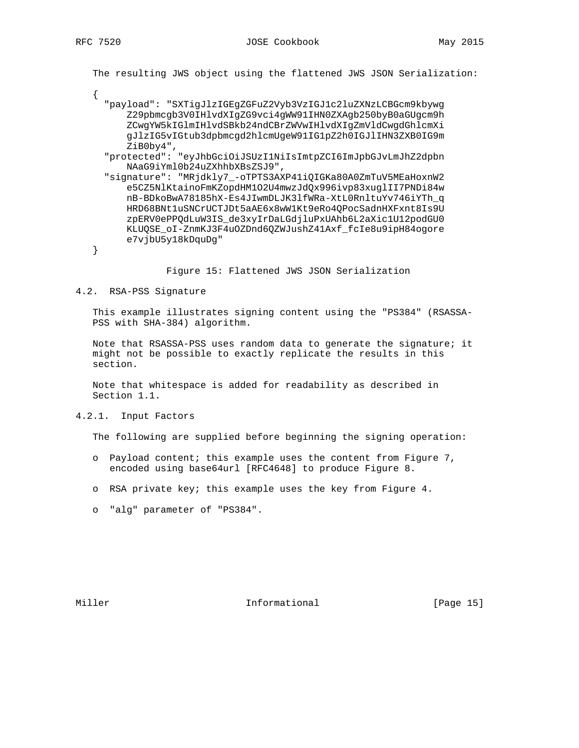The resulting JWS object using the flattened JWS JSON Serialization:

- {
- "payload": "SXTigJlzIGEgZGFuZ2Vyb3VzIGJ1c2luZXNzLCBGcm9kbywg Z29pbmcgb3V0IHlvdXIgZG9vci4gWW91IHN0ZXAgb250byB0aGUgcm9h ZCwgYW5kIGlmIHlvdSBkb24ndCBrZWVwIHlvdXIgZmVldCwgdGhlcmXi gJlzIG5vIGtub3dpbmcgd2hlcmUgeW91IG1pZ2h0IGJlIHN3ZXB0IG9m ZiB0by4",
- "protected": "eyJhbGciOiJSUzI1NiIsImtpZCI6ImJpbGJvLmJhZ2dpbn NAaG9iYml0b24uZXhhbXBsZSJ9",
- "signature": "MRjdkly7\_-oTPTS3AXP41iQIGKa80A0ZmTuV5MEaHoxnW2 e5CZ5NlKtainoFmKZopdHM1O2U4mwzJdQx996ivp83xuglII7PNDi84w nB-BDkoBwA78185hX-Es4JIwmDLJK3lfWRa-XtL0RnltuYv746iYTh\_q HRD68BNt1uSNCrUCTJDt5aAE6x8wW1Kt9eRo4QPocSadnHXFxnt8Is9U zpERV0ePPQdLuW3IS\_de3xyIrDaLGdjluPxUAhb6L2aXic1U12podGU0 KLUQSE\_oI-ZnmKJ3F4uOZDnd6QZWJushZ41Axf\_fcIe8u9ipH84ogore e7vjbU5y18kDquDg"

}

Figure 15: Flattened JWS JSON Serialization

4.2. RSA-PSS Signature

 This example illustrates signing content using the "PS384" (RSASSA- PSS with SHA-384) algorithm.

 Note that RSASSA-PSS uses random data to generate the signature; it might not be possible to exactly replicate the results in this section.

 Note that whitespace is added for readability as described in Section 1.1.

4.2.1. Input Factors

The following are supplied before beginning the signing operation:

- o Payload content; this example uses the content from Figure 7, encoded using base64url [RFC4648] to produce Figure 8.
- o RSA private key; this example uses the key from Figure 4.
- o "alg" parameter of "PS384".

Miller **Informational** [Page 15]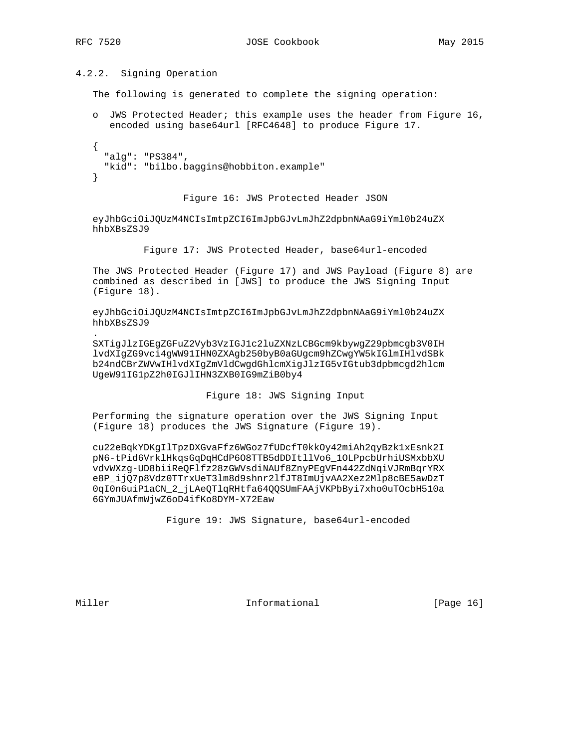## 4.2.2. Signing Operation

The following is generated to complete the signing operation:

 o JWS Protected Header; this example uses the header from Figure 16, encoded using base64url [RFC4648] to produce Figure 17. { "alg": "PS384", "kid": "bilbo.baggins@hobbiton.example" }

#### Figure 16: JWS Protected Header JSON

 eyJhbGciOiJQUzM4NCIsImtpZCI6ImJpbGJvLmJhZ2dpbnNAaG9iYml0b24uZX hhbXBsZSJ9

Figure 17: JWS Protected Header, base64url-encoded

 The JWS Protected Header (Figure 17) and JWS Payload (Figure 8) are combined as described in [JWS] to produce the JWS Signing Input (Figure 18).

 eyJhbGciOiJQUzM4NCIsImtpZCI6ImJpbGJvLmJhZ2dpbnNAaG9iYml0b24uZX hhbXBsZSJ9

 SXTigJlzIGEgZGFuZ2Vyb3VzIGJ1c2luZXNzLCBGcm9kbywgZ29pbmcgb3V0IH lvdXIgZG9vci4gWW91IHN0ZXAgb250byB0aGUgcm9hZCwgYW5kIGlmIHlvdSBk b24ndCBrZWVwIHlvdXIgZmVldCwgdGhlcmXigJlzIG5vIGtub3dpbmcgd2hlcm UgeW91IG1pZ2h0IGJlIHN3ZXB0IG9mZiB0by4

#### Figure 18: JWS Signing Input

 Performing the signature operation over the JWS Signing Input (Figure 18) produces the JWS Signature (Figure 19).

 cu22eBqkYDKgIlTpzDXGvaFfz6WGoz7fUDcfT0kkOy42miAh2qyBzk1xEsnk2I pN6-tPid6VrklHkqsGqDqHCdP6O8TTB5dDDItllVo6\_1OLPpcbUrhiUSMxbbXU vdvWXzg-UD8biiReQFlfz28zGWVsdiNAUf8ZnyPEgVFn442ZdNqiVJRmBqrYRX e8P\_ijQ7p8Vdz0TTrxUeT3lm8d9shnr2lfJT8ImUjvAA2Xez2Mlp8cBE5awDzT 0qI0n6uiP1aCN\_2\_jLAeQTlqRHtfa64QQSUmFAAjVKPbByi7xho0uTOcbH510a 6GYmJUAfmWjwZ6oD4ifKo8DYM-X72Eaw

Figure 19: JWS Signature, base64url-encoded

.

Miller **Informational** [Page 16]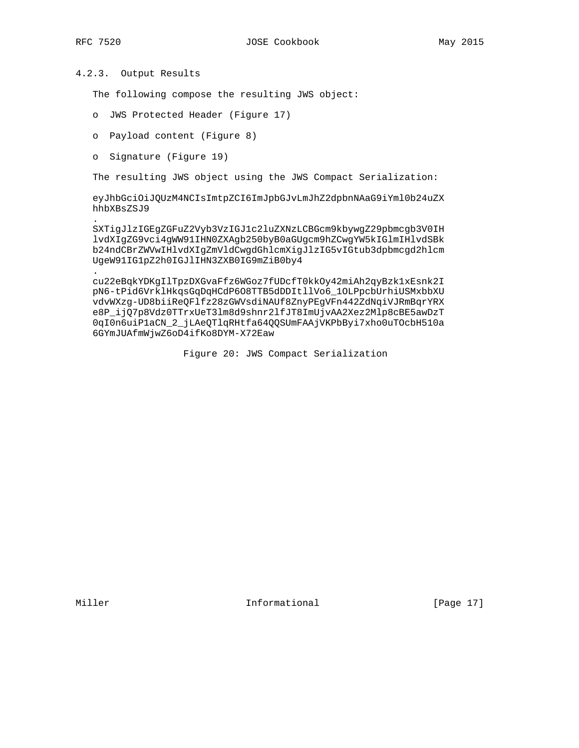.

## 4.2.3. Output Results

The following compose the resulting JWS object:

- o JWS Protected Header (Figure 17)
- o Payload content (Figure 8)
- o Signature (Figure 19)

The resulting JWS object using the JWS Compact Serialization:

 eyJhbGciOiJQUzM4NCIsImtpZCI6ImJpbGJvLmJhZ2dpbnNAaG9iYml0b24uZX hhbXBsZSJ9

 SXTigJlzIGEgZGFuZ2Vyb3VzIGJ1c2luZXNzLCBGcm9kbywgZ29pbmcgb3V0IH lvdXIgZG9vci4gWW91IHN0ZXAgb250byB0aGUgcm9hZCwgYW5kIGlmIHlvdSBk b24ndCBrZWVwIHlvdXIgZmVldCwgdGhlcmXigJlzIG5vIGtub3dpbmcgd2hlcm UgeW91IG1pZ2h0IGJlIHN3ZXB0IG9mZiB0by4

 . cu22eBqkYDKgIlTpzDXGvaFfz6WGoz7fUDcfT0kkOy42miAh2qyBzk1xEsnk2I pN6-tPid6VrklHkqsGqDqHCdP6O8TTB5dDDItllVo6\_1OLPpcbUrhiUSMxbbXU vdvWXzg-UD8biiReQFlfz28zGWVsdiNAUf8ZnyPEgVFn442ZdNqiVJRmBqrYRX e8P\_ijQ7p8Vdz0TTrxUeT3lm8d9shnr2lfJT8ImUjvAA2Xez2Mlp8cBE5awDzT 0qI0n6uiP1aCN\_2\_jLAeQTlqRHtfa64QQSUmFAAjVKPbByi7xho0uTOcbH510a 6GYmJUAfmWjwZ6oD4ifKo8DYM-X72Eaw

Figure 20: JWS Compact Serialization

Miller **Informational** [Page 17]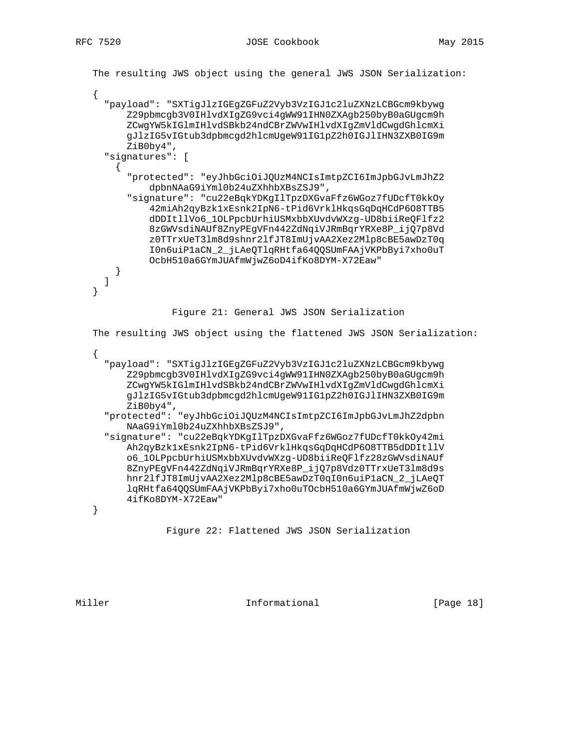```
 The resulting JWS object using the general JWS JSON Serialization:
    {
      "payload": "SXTigJlzIGEgZGFuZ2Vyb3VzIGJ1c2luZXNzLCBGcm9kbywg
           Z29pbmcgb3V0IHlvdXIgZG9vci4gWW91IHN0ZXAgb250byB0aGUgcm9h
           ZCwgYW5kIGlmIHlvdSBkb24ndCBrZWVwIHlvdXIgZmVldCwgdGhlcmXi
           gJlzIG5vIGtub3dpbmcgd2hlcmUgeW91IG1pZ2h0IGJlIHN3ZXB0IG9m
           ZiB0by4",
      "signatures": [
         {
           "protected": "eyJhbGciOiJQUzM4NCIsImtpZCI6ImJpbGJvLmJhZ2
               dpbnNAaG9iYml0b24uZXhhbXBsZSJ9",
           "signature": "cu22eBqkYDKgIlTpzDXGvaFfz6WGoz7fUDcfT0kkOy
                42miAh2qyBzk1xEsnk2IpN6-tPid6VrklHkqsGqDqHCdP6O8TTB5
                dDDItllVo6_1OLPpcbUrhiUSMxbbXUvdvWXzg-UD8biiReQFlfz2
                8zGWVsdiNAUf8ZnyPEgVFn442ZdNqiVJRmBqrYRXe8P_ijQ7p8Vd
                z0TTrxUeT3lm8d9shnr2lfJT8ImUjvAA2Xez2Mlp8cBE5awDzT0q
                I0n6uiP1aCN_2_jLAeQTlqRHtfa64QQSUmFAAjVKPbByi7xho0uT
               OcbH510a6GYmJUAfmWjwZ6oD4ifKo8DYM-X72Eaw"
        }
      ]
    }
                    Figure 21: General JWS JSON Serialization
    The resulting JWS object using the flattened JWS JSON Serialization:
\{ \cdot \cdot \cdot \cdot \cdot \cdot \cdot \cdot \cdot \cdot \cdot \cdot \cdot \cdot \cdot \cdot \cdot \cdot \cdot \cdot \cdot \cdot \cdot \cdot \cdot \cdot \cdot \cdot \cdot \cdot \cdot \cdot \cdot \cdot \cdot \cdot 
       "payload": "SXTigJlzIGEgZGFuZ2Vyb3VzIGJ1c2luZXNzLCBGcm9kbywg
           Z29pbmcgb3V0IHlvdXIgZG9vci4gWW91IHN0ZXAgb250byB0aGUgcm9h
           ZCwgYW5kIGlmIHlvdSBkb24ndCBrZWVwIHlvdXIgZmVldCwgdGhlcmXi
           gJlzIG5vIGtub3dpbmcgd2hlcmUgeW91IG1pZ2h0IGJlIHN3ZXB0IG9m
           ZiB0by4",
      "protected": "eyJhbGciOiJQUzM4NCIsImtpZCI6ImJpbGJvLmJhZ2dpbn
           NAaG9iYml0b24uZXhhbXBsZSJ9",
      "signature": "cu22eBqkYDKgIlTpzDXGvaFfz6WGoz7fUDcfT0kkOy42mi
           Ah2qyBzk1xEsnk2IpN6-tPid6VrklHkqsGqDqHCdP6O8TTB5dDDItllV
           o6_1OLPpcbUrhiUSMxbbXUvdvWXzg-UD8biiReQFlfz28zGWVsdiNAUf
           8ZnyPEgVFn442ZdNqiVJRmBqrYRXe8P_ijQ7p8Vdz0TTrxUeT3lm8d9s
           hnr2lfJT8ImUjvAA2Xez2Mlp8cBE5awDzT0qI0n6uiP1aCN_2_jLAeQT
           lqRHtfa64QQSUmFAAjVKPbByi7xho0uTOcbH510a6GYmJUAfmWjwZ6oD
           4ifKo8DYM-X72Eaw"
    }
```
Figure 22: Flattened JWS JSON Serialization

Miller **Informational Informational** [Page 18]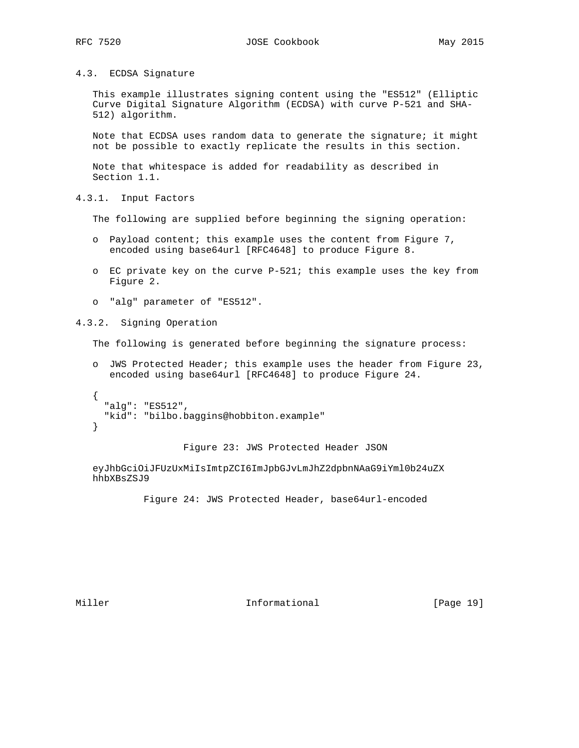4.3. ECDSA Signature

 This example illustrates signing content using the "ES512" (Elliptic Curve Digital Signature Algorithm (ECDSA) with curve P-521 and SHA- 512) algorithm.

Note that ECDSA uses random data to generate the signature; it might not be possible to exactly replicate the results in this section.

 Note that whitespace is added for readability as described in Section 1.1.

4.3.1. Input Factors

The following are supplied before beginning the signing operation:

- o Payload content; this example uses the content from Figure 7, encoded using base64url [RFC4648] to produce Figure 8.
- o EC private key on the curve P-521; this example uses the key from Figure 2.
- o "alg" parameter of "ES512".

4.3.2. Signing Operation

The following is generated before beginning the signature process:

 o JWS Protected Header; this example uses the header from Figure 23, encoded using base64url [RFC4648] to produce Figure 24.

```
 {
   "alg": "ES512",
   "kid": "bilbo.baggins@hobbiton.example"
 }
```
Figure 23: JWS Protected Header JSON

 eyJhbGciOiJFUzUxMiIsImtpZCI6ImJpbGJvLmJhZ2dpbnNAaG9iYml0b24uZX hhbXBsZSJ9

Figure 24: JWS Protected Header, base64url-encoded

Miller **Informational** [Page 19]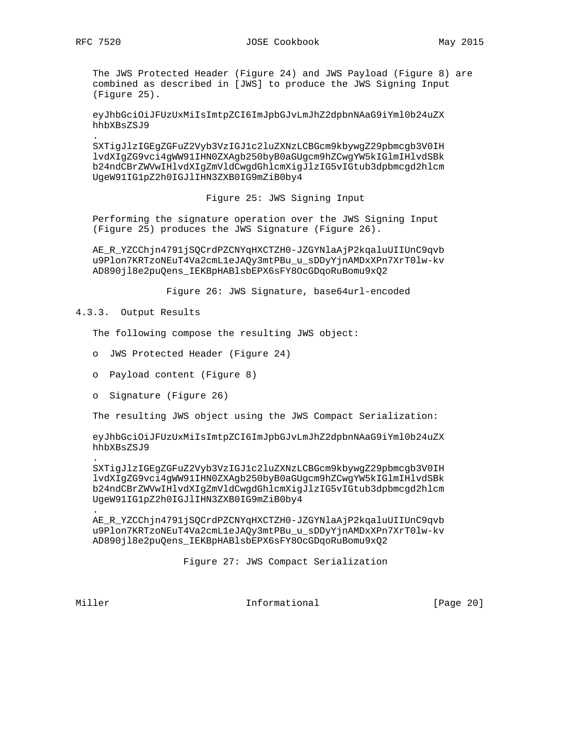The JWS Protected Header (Figure 24) and JWS Payload (Figure 8) are combined as described in [JWS] to produce the JWS Signing Input (Figure 25).

 eyJhbGciOiJFUzUxMiIsImtpZCI6ImJpbGJvLmJhZ2dpbnNAaG9iYml0b24uZX hhbXBsZSJ9

 SXTigJlzIGEgZGFuZ2Vyb3VzIGJ1c2luZXNzLCBGcm9kbywgZ29pbmcgb3V0IH lvdXIgZG9vci4gWW91IHN0ZXAgb250byB0aGUgcm9hZCwgYW5kIGlmIHlvdSBk b24ndCBrZWVwIHlvdXIgZmVldCwgdGhlcmXigJlzIG5vIGtub3dpbmcgd2hlcm UgeW91IG1pZ2h0IGJlIHN3ZXB0IG9mZiB0by4

Figure 25: JWS Signing Input

 Performing the signature operation over the JWS Signing Input (Figure 25) produces the JWS Signature (Figure 26).

 AE\_R\_YZCChjn4791jSQCrdPZCNYqHXCTZH0-JZGYNlaAjP2kqaluUIIUnC9qvb u9Plon7KRTzoNEuT4Va2cmL1eJAQy3mtPBu\_u\_sDDyYjnAMDxXPn7XrT0lw-kv AD890jl8e2puQens\_IEKBpHABlsbEPX6sFY8OcGDqoRuBomu9xQ2

Figure 26: JWS Signature, base64url-encoded

### 4.3.3. Output Results

The following compose the resulting JWS object:

- o JWS Protected Header (Figure 24)
- o Payload content (Figure 8)
- o Signature (Figure 26)

The resulting JWS object using the JWS Compact Serialization:

 eyJhbGciOiJFUzUxMiIsImtpZCI6ImJpbGJvLmJhZ2dpbnNAaG9iYml0b24uZX hhbXBsZSJ9

 . SXTigJlzIGEgZGFuZ2Vyb3VzIGJ1c2luZXNzLCBGcm9kbywgZ29pbmcgb3V0IH lvdXIgZG9vci4gWW91IHN0ZXAgb250byB0aGUgcm9hZCwgYW5kIGlmIHlvdSBk b24ndCBrZWVwIHlvdXIgZmVldCwgdGhlcmXigJlzIG5vIGtub3dpbmcgd2hlcm UgeW91IG1pZ2h0IGJlIHN3ZXB0IG9mZiB0by4

 AE\_R\_YZCChjn4791jSQCrdPZCNYqHXCTZH0-JZGYNlaAjP2kqaluUIIUnC9qvb u9Plon7KRTzoNEuT4Va2cmL1eJAQy3mtPBu\_u\_sDDyYjnAMDxXPn7XrT0lw-kv AD890jl8e2puQens\_IEKBpHABlsbEPX6sFY8OcGDqoRuBomu9xQ2

Figure 27: JWS Compact Serialization

.

Miller **Informational Informational** [Page 20]

.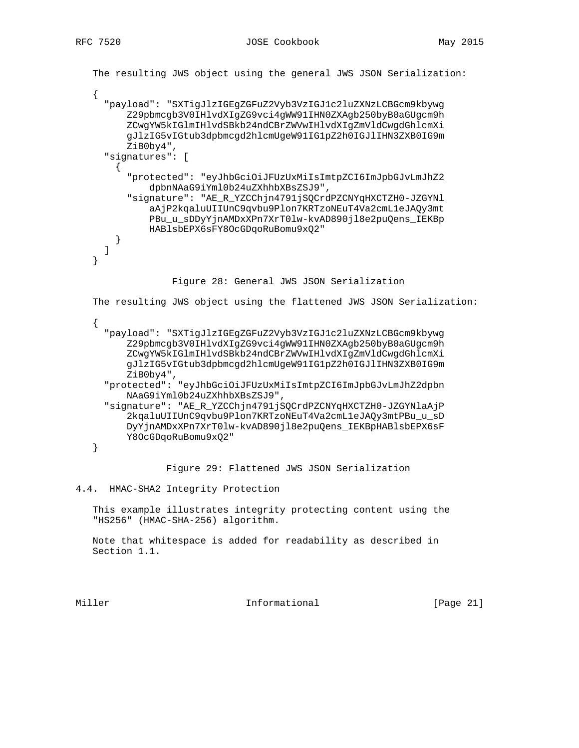```
 The resulting JWS object using the general JWS JSON Serialization:
    {
      "payload": "SXTigJlzIGEgZGFuZ2Vyb3VzIGJ1c2luZXNzLCBGcm9kbywg
          Z29pbmcgb3V0IHlvdXIgZG9vci4gWW91IHN0ZXAgb250byB0aGUgcm9h
          ZCwgYW5kIGlmIHlvdSBkb24ndCBrZWVwIHlvdXIgZmVldCwgdGhlcmXi
          gJlzIG5vIGtub3dpbmcgd2hlcmUgeW91IG1pZ2h0IGJlIHN3ZXB0IG9m
          ZiB0by4",
      "signatures": [
        {
          "protected": "eyJhbGciOiJFUzUxMiIsImtpZCI6ImJpbGJvLmJhZ2
              dpbnNAaG9iYml0b24uZXhhbXBsZSJ9",
          "signature": "AE_R_YZCChjn4791jSQCrdPZCNYqHXCTZH0-JZGYNl
              aAjP2kqaluUIIUnC9qvbu9Plon7KRTzoNEuT4Va2cmL1eJAQy3mt
              PBu_u_sDDyYjnAMDxXPn7XrT0lw-kvAD890jl8e2puQens_IEKBp
              HABlsbEPX6sFY8OcGDqoRuBomu9xQ2"
        }
      ]
    }
                  Figure 28: General JWS JSON Serialization
    The resulting JWS object using the flattened JWS JSON Serialization:
    {
      "payload": "SXTigJlzIGEgZGFuZ2Vyb3VzIGJ1c2luZXNzLCBGcm9kbywg
          Z29pbmcgb3V0IHlvdXIgZG9vci4gWW91IHN0ZXAgb250byB0aGUgcm9h
          ZCwgYW5kIGlmIHlvdSBkb24ndCBrZWVwIHlvdXIgZmVldCwgdGhlcmXi
          gJlzIG5vIGtub3dpbmcgd2hlcmUgeW91IG1pZ2h0IGJlIHN3ZXB0IG9m
          ZiB0by4",
      "protected": "eyJhbGciOiJFUzUxMiIsImtpZCI6ImJpbGJvLmJhZ2dpbn
          NAaG9iYml0b24uZXhhbXBsZSJ9",
      "signature": "AE_R_YZCChjn4791jSQCrdPZCNYqHXCTZH0-JZGYNlaAjP
          2kqaluUIIUnC9qvbu9Plon7KRTzoNEuT4Va2cmL1eJAQy3mtPBu_u_sD
          DyYjnAMDxXPn7XrT0lw-kvAD890jl8e2puQens_IEKBpHABlsbEPX6sF
          Y8OcGDqoRuBomu9xQ2"
    }
                 Figure 29: Flattened JWS JSON Serialization
4.4. HMAC-SHA2 Integrity Protection
```
 This example illustrates integrity protecting content using the "HS256" (HMAC-SHA-256) algorithm.

 Note that whitespace is added for readability as described in Section 1.1.

Miller **Informational Informational** [Page 21]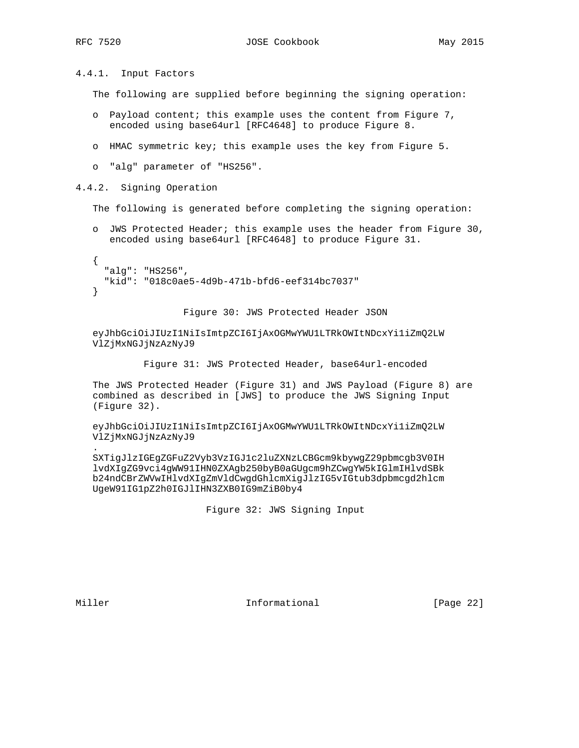4.4.1. Input Factors

The following are supplied before beginning the signing operation:

- o Payload content; this example uses the content from Figure 7, encoded using base64url [RFC4648] to produce Figure 8.
- o HMAC symmetric key; this example uses the key from Figure 5.
- o "alg" parameter of "HS256".

4.4.2. Signing Operation

The following is generated before completing the signing operation:

 o JWS Protected Header; this example uses the header from Figure 30, encoded using base64url [RFC4648] to produce Figure 31.

```
 {
   "alg": "HS256",
   "kid": "018c0ae5-4d9b-471b-bfd6-eef314bc7037"
 }
```
Figure 30: JWS Protected Header JSON

 eyJhbGciOiJIUzI1NiIsImtpZCI6IjAxOGMwYWU1LTRkOWItNDcxYi1iZmQ2LW VlZjMxNGJjNzAzNyJ9

Figure 31: JWS Protected Header, base64url-encoded

 The JWS Protected Header (Figure 31) and JWS Payload (Figure 8) are combined as described in [JWS] to produce the JWS Signing Input (Figure 32).

 eyJhbGciOiJIUzI1NiIsImtpZCI6IjAxOGMwYWU1LTRkOWItNDcxYi1iZmQ2LW VlZjMxNGJjNzAzNyJ9

 SXTigJlzIGEgZGFuZ2Vyb3VzIGJ1c2luZXNzLCBGcm9kbywgZ29pbmcgb3V0IH lvdXIgZG9vci4gWW91IHN0ZXAgb250byB0aGUgcm9hZCwgYW5kIGlmIHlvdSBk b24ndCBrZWVwIHlvdXIgZmVldCwgdGhlcmXigJlzIG5vIGtub3dpbmcgd2hlcm UgeW91IG1pZ2h0IGJlIHN3ZXB0IG9mZiB0by4

Figure 32: JWS Signing Input

.

Miller **Informational** [Page 22]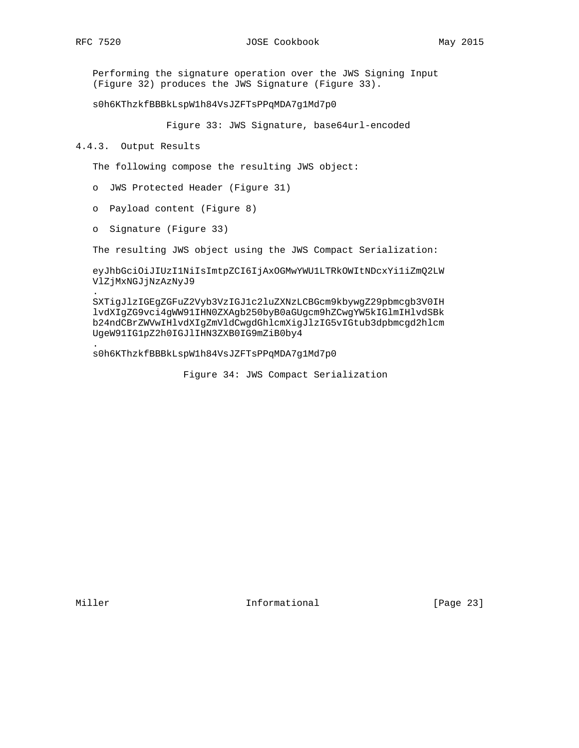.

.

 Performing the signature operation over the JWS Signing Input (Figure 32) produces the JWS Signature (Figure 33).

s0h6KThzkfBBBkLspW1h84VsJZFTsPPqMDA7g1Md7p0

Figure 33: JWS Signature, base64url-encoded

4.4.3. Output Results

The following compose the resulting JWS object:

- o JWS Protected Header (Figure 31)
- o Payload content (Figure 8)
- o Signature (Figure 33)

The resulting JWS object using the JWS Compact Serialization:

 eyJhbGciOiJIUzI1NiIsImtpZCI6IjAxOGMwYWU1LTRkOWItNDcxYi1iZmQ2LW VlZjMxNGJjNzAzNyJ9

 SXTigJlzIGEgZGFuZ2Vyb3VzIGJ1c2luZXNzLCBGcm9kbywgZ29pbmcgb3V0IH lvdXIgZG9vci4gWW91IHN0ZXAgb250byB0aGUgcm9hZCwgYW5kIGlmIHlvdSBk b24ndCBrZWVwIHlvdXIgZmVldCwgdGhlcmXigJlzIG5vIGtub3dpbmcgd2hlcm UgeW91IG1pZ2h0IGJlIHN3ZXB0IG9mZiB0by4

s0h6KThzkfBBBkLspW1h84VsJZFTsPPqMDA7g1Md7p0

Figure 34: JWS Compact Serialization

Miller **Informational** [Page 23]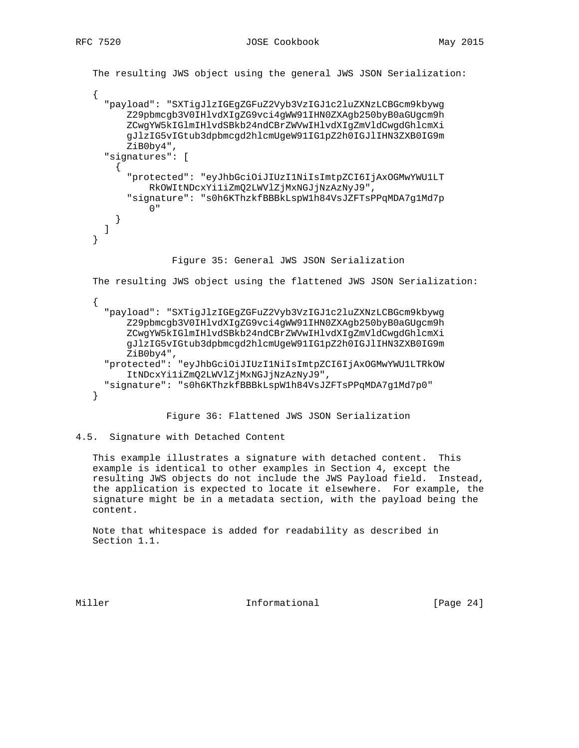```
 The resulting JWS object using the general JWS JSON Serialization:
    {
       "payload": "SXTigJlzIGEgZGFuZ2Vyb3VzIGJ1c2luZXNzLCBGcm9kbywg
           Z29pbmcgb3V0IHlvdXIgZG9vci4gWW91IHN0ZXAgb250byB0aGUgcm9h
           ZCwgYW5kIGlmIHlvdSBkb24ndCBrZWVwIHlvdXIgZmVldCwgdGhlcmXi
           gJlzIG5vIGtub3dpbmcgd2hlcmUgeW91IG1pZ2h0IGJlIHN3ZXB0IG9m
           ZiB0by4",
       "signatures": [
         {
            "protected": "eyJhbGciOiJIUzI1NiIsImtpZCI6IjAxOGMwYWU1LT
                RkOWItNDcxYi1iZmQ2LWVlZjMxNGJjNzAzNyJ9",
            "signature": "s0h6KThzkfBBBkLspW1h84VsJZFTsPPqMDA7g1Md7p
 0"
         }
      ]
    }
                     Figure 35: General JWS JSON Serialization
    The resulting JWS object using the flattened JWS JSON Serialization:
\{ \cdot \cdot \cdot \cdot \cdot \cdot \cdot \cdot \cdot \cdot \cdot \cdot \cdot \cdot \cdot \cdot \cdot \cdot \cdot \cdot \cdot \cdot \cdot \cdot \cdot \cdot \cdot \cdot \cdot \cdot \cdot \cdot \cdot \cdot \cdot \cdot 
       "payload": "SXTigJlzIGEgZGFuZ2Vyb3VzIGJ1c2luZXNzLCBGcm9kbywg
           Z29pbmcgb3V0IHlvdXIgZG9vci4gWW91IHN0ZXAgb250byB0aGUgcm9h
           ZCwgYW5kIGlmIHlvdSBkb24ndCBrZWVwIHlvdXIgZmVldCwgdGhlcmXi
           gJlzIG5vIGtub3dpbmcgd2hlcmUgeW91IG1pZ2h0IGJlIHN3ZXB0IG9m
           ZiB0by4",
       "protected": "eyJhbGciOiJIUzI1NiIsImtpZCI6IjAxOGMwYWU1LTRkOW
            ItNDcxYi1iZmQ2LWVlZjMxNGJjNzAzNyJ9",
       "signature": "s0h6KThzkfBBBkLspW1h84VsJZFTsPPqMDA7g1Md7p0"
    }
```
Figure 36: Flattened JWS JSON Serialization

```
4.5. Signature with Detached Content
```
 This example illustrates a signature with detached content. This example is identical to other examples in Section 4, except the resulting JWS objects do not include the JWS Payload field. Instead, the application is expected to locate it elsewhere. For example, the signature might be in a metadata section, with the payload being the content.

 Note that whitespace is added for readability as described in Section 1.1.

Miller **Informational** [Page 24]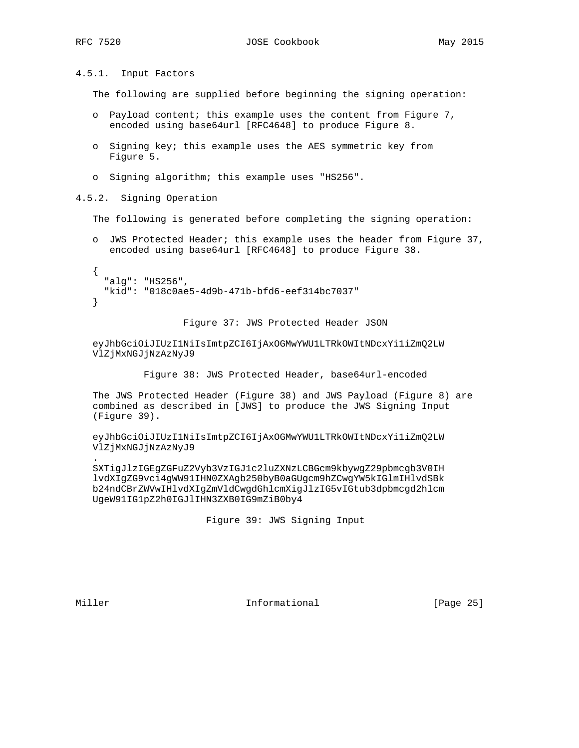4.5.1. Input Factors

The following are supplied before beginning the signing operation:

- o Payload content; this example uses the content from Figure 7, encoded using base64url [RFC4648] to produce Figure 8.
- o Signing key; this example uses the AES symmetric key from Figure 5.
- o Signing algorithm; this example uses "HS256".

4.5.2. Signing Operation

The following is generated before completing the signing operation:

 o JWS Protected Header; this example uses the header from Figure 37, encoded using base64url [RFC4648] to produce Figure 38.

```
\left\{ \right. "alg": "HS256",
   "kid": "018c0ae5-4d9b-471b-bfd6-eef314bc7037"
 }
```
Figure 37: JWS Protected Header JSON

 eyJhbGciOiJIUzI1NiIsImtpZCI6IjAxOGMwYWU1LTRkOWItNDcxYi1iZmQ2LW VlZjMxNGJjNzAzNyJ9

Figure 38: JWS Protected Header, base64url-encoded

 The JWS Protected Header (Figure 38) and JWS Payload (Figure 8) are combined as described in [JWS] to produce the JWS Signing Input (Figure 39).

 eyJhbGciOiJIUzI1NiIsImtpZCI6IjAxOGMwYWU1LTRkOWItNDcxYi1iZmQ2LW VlZjMxNGJjNzAzNyJ9

 SXTigJlzIGEgZGFuZ2Vyb3VzIGJ1c2luZXNzLCBGcm9kbywgZ29pbmcgb3V0IH lvdXIgZG9vci4gWW91IHN0ZXAgb250byB0aGUgcm9hZCwgYW5kIGlmIHlvdSBk b24ndCBrZWVwIHlvdXIgZmVldCwgdGhlcmXigJlzIG5vIGtub3dpbmcgd2hlcm UgeW91IG1pZ2h0IGJlIHN3ZXB0IG9mZiB0by4

Figure 39: JWS Signing Input

.

Miller **Informational** [Page 25]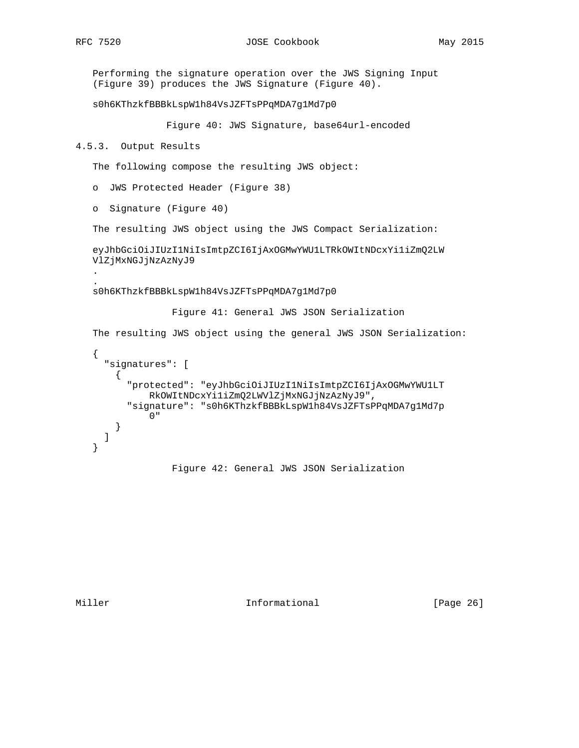. .

 Performing the signature operation over the JWS Signing Input (Figure 39) produces the JWS Signature (Figure 40).

s0h6KThzkfBBBkLspW1h84VsJZFTsPPqMDA7g1Md7p0

Figure 40: JWS Signature, base64url-encoded

```
4.5.3. Output Results
```
The following compose the resulting JWS object:

o JWS Protected Header (Figure 38)

o Signature (Figure 40)

The resulting JWS object using the JWS Compact Serialization:

 eyJhbGciOiJIUzI1NiIsImtpZCI6IjAxOGMwYWU1LTRkOWItNDcxYi1iZmQ2LW VlZjMxNGJjNzAzNyJ9

s0h6KThzkfBBBkLspW1h84VsJZFTsPPqMDA7g1Md7p0

Figure 41: General JWS JSON Serialization

The resulting JWS object using the general JWS JSON Serialization:

```
 {
   "signatures": [
     {
       "protected": "eyJhbGciOiJIUzI1NiIsImtpZCI6IjAxOGMwYWU1LT
           RkOWItNDcxYi1iZmQ2LWVlZjMxNGJjNzAzNyJ9",
       "signature": "s0h6KThzkfBBBkLspW1h84VsJZFTsPPqMDA7g1Md7p
           0"
     }
   ]
 }
```
Figure 42: General JWS JSON Serialization

Miller **Informational** [Page 26]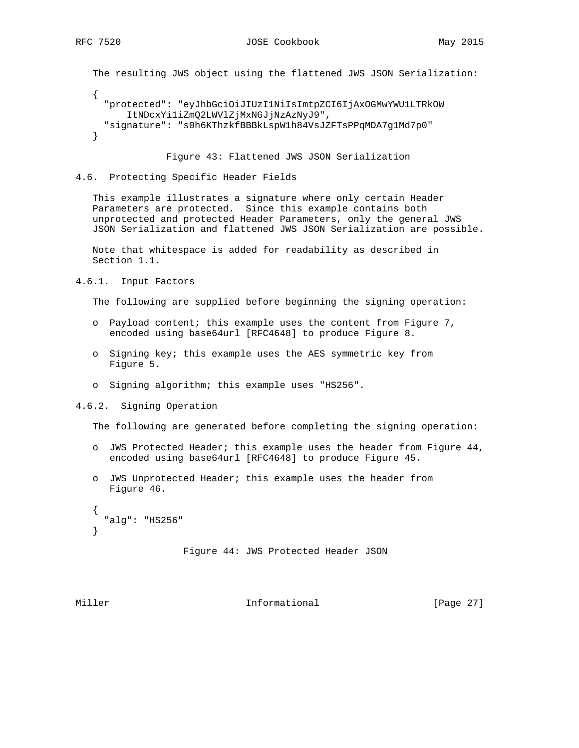The resulting JWS object using the flattened JWS JSON Serialization:

```
\left\{ \right. "protected": "eyJhbGciOiJIUzI1NiIsImtpZCI6IjAxOGMwYWU1LTRkOW
       ItNDcxYi1iZmQ2LWVlZjMxNGJjNzAzNyJ9",
   "signature": "s0h6KThzkfBBBkLspW1h84VsJZFTsPPqMDA7g1Md7p0"
 }
```
Figure 43: Flattened JWS JSON Serialization

4.6. Protecting Specific Header Fields

 This example illustrates a signature where only certain Header Parameters are protected. Since this example contains both unprotected and protected Header Parameters, only the general JWS JSON Serialization and flattened JWS JSON Serialization are possible.

 Note that whitespace is added for readability as described in Section 1.1.

4.6.1. Input Factors

The following are supplied before beginning the signing operation:

- o Payload content; this example uses the content from Figure 7, encoded using base64url [RFC4648] to produce Figure 8.
- o Signing key; this example uses the AES symmetric key from Figure 5.
- o Signing algorithm; this example uses "HS256".
- 4.6.2. Signing Operation

The following are generated before completing the signing operation:

- o JWS Protected Header; this example uses the header from Figure 44, encoded using base64url [RFC4648] to produce Figure 45.
- o JWS Unprotected Header; this example uses the header from Figure 46.

```
 {
   "alg": "HS256"
 }
```

```
 Figure 44: JWS Protected Header JSON
```
Miller **Informational** [Page 27]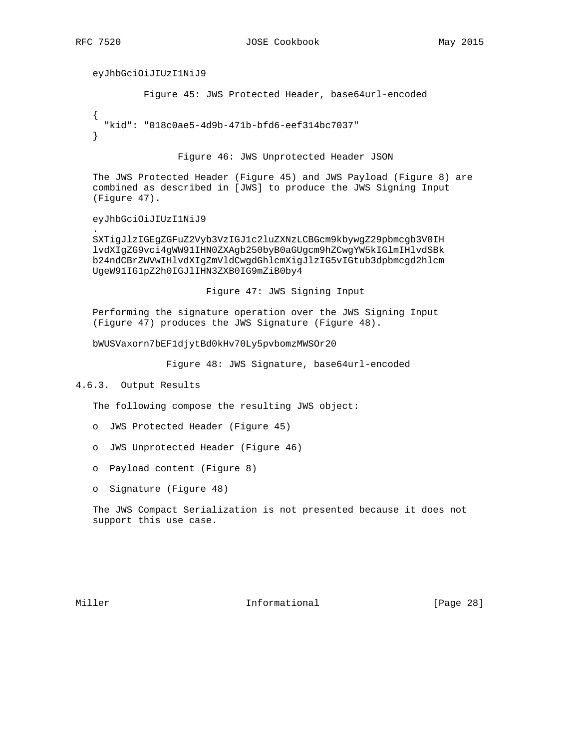.

eyJhbGciOiJIUzI1NiJ9

Figure 45: JWS Protected Header, base64url-encoded

 { "kid": "018c0ae5-4d9b-471b-bfd6-eef314bc7037" }

Figure 46: JWS Unprotected Header JSON

 The JWS Protected Header (Figure 45) and JWS Payload (Figure 8) are combined as described in [JWS] to produce the JWS Signing Input (Figure 47).

eyJhbGciOiJIUzI1NiJ9

 SXTigJlzIGEgZGFuZ2Vyb3VzIGJ1c2luZXNzLCBGcm9kbywgZ29pbmcgb3V0IH lvdXIgZG9vci4gWW91IHN0ZXAgb250byB0aGUgcm9hZCwgYW5kIGlmIHlvdSBk b24ndCBrZWVwIHlvdXIgZmVldCwgdGhlcmXigJlzIG5vIGtub3dpbmcgd2hlcm UgeW91IG1pZ2h0IGJlIHN3ZXB0IG9mZiB0by4

Figure 47: JWS Signing Input

 Performing the signature operation over the JWS Signing Input (Figure 47) produces the JWS Signature (Figure 48).

bWUSVaxorn7bEF1djytBd0kHv70Ly5pvbomzMWSOr20

Figure 48: JWS Signature, base64url-encoded

### 4.6.3. Output Results

The following compose the resulting JWS object:

- o JWS Protected Header (Figure 45)
- o JWS Unprotected Header (Figure 46)
- o Payload content (Figure 8)
- o Signature (Figure 48)

 The JWS Compact Serialization is not presented because it does not support this use case.

Miller **Informational** [Page 28]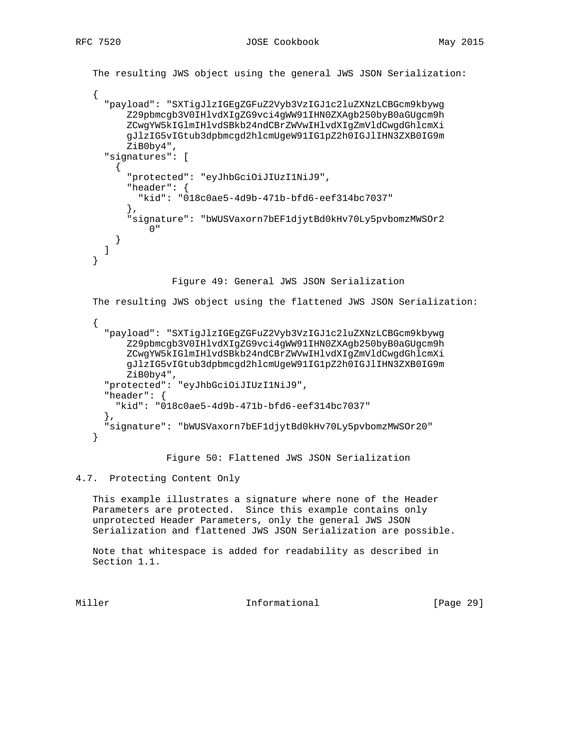```
 The resulting JWS object using the general JWS JSON Serialization:
    {
      "payload": "SXTigJlzIGEgZGFuZ2Vyb3VzIGJ1c2luZXNzLCBGcm9kbywg
          Z29pbmcgb3V0IHlvdXIgZG9vci4gWW91IHN0ZXAgb250byB0aGUgcm9h
          ZCwgYW5kIGlmIHlvdSBkb24ndCBrZWVwIHlvdXIgZmVldCwgdGhlcmXi
          gJlzIG5vIGtub3dpbmcgd2hlcmUgeW91IG1pZ2h0IGJlIHN3ZXB0IG9m
          ZiB0by4",
      "signatures": [
        {
          "protected": "eyJhbGciOiJIUzI1NiJ9",
          "header": {
            "kid": "018c0ae5-4d9b-471b-bfd6-eef314bc7037"
 },
          "signature": "bWUSVaxorn7bEF1djytBd0kHv70Ly5pvbomzMWSOr2
              0"
        }
      ]
   }
                  Figure 49: General JWS JSON Serialization
   The resulting JWS object using the flattened JWS JSON Serialization:
    {
      "payload": "SXTigJlzIGEgZGFuZ2Vyb3VzIGJ1c2luZXNzLCBGcm9kbywg
          Z29pbmcgb3V0IHlvdXIgZG9vci4gWW91IHN0ZXAgb250byB0aGUgcm9h
          ZCwgYW5kIGlmIHlvdSBkb24ndCBrZWVwIHlvdXIgZmVldCwgdGhlcmXi
          gJlzIG5vIGtub3dpbmcgd2hlcmUgeW91IG1pZ2h0IGJlIHN3ZXB0IG9m
          ZiB0by4",
      "protected": "eyJhbGciOiJIUzI1NiJ9",
      "header": {
        "kid": "018c0ae5-4d9b-471b-bfd6-eef314bc7037"
      },
      "signature": "bWUSVaxorn7bEF1djytBd0kHv70Ly5pvbomzMWSOr20"
   }
```
Figure 50: Flattened JWS JSON Serialization

## 4.7. Protecting Content Only

 This example illustrates a signature where none of the Header Parameters are protected. Since this example contains only unprotected Header Parameters, only the general JWS JSON Serialization and flattened JWS JSON Serialization are possible.

 Note that whitespace is added for readability as described in Section 1.1.

Miller **Informational** [Page 29]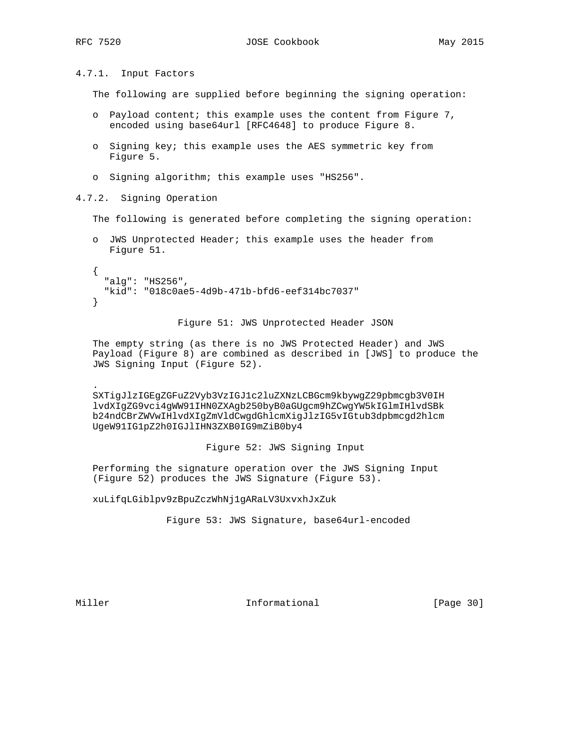4.7.1. Input Factors

The following are supplied before beginning the signing operation:

- o Payload content; this example uses the content from Figure 7, encoded using base64url [RFC4648] to produce Figure 8.
- o Signing key; this example uses the AES symmetric key from Figure 5.
- o Signing algorithm; this example uses "HS256".

4.7.2. Signing Operation

The following is generated before completing the signing operation:

```
 o JWS Unprotected Header; this example uses the header from
   Figure 51.
\{
```

```
 "alg": "HS256",
   "kid": "018c0ae5-4d9b-471b-bfd6-eef314bc7037"
 }
```
Figure 51: JWS Unprotected Header JSON

 The empty string (as there is no JWS Protected Header) and JWS Payload (Figure 8) are combined as described in [JWS] to produce the JWS Signing Input (Figure 52).

 SXTigJlzIGEgZGFuZ2Vyb3VzIGJ1c2luZXNzLCBGcm9kbywgZ29pbmcgb3V0IH lvdXIgZG9vci4gWW91IHN0ZXAgb250byB0aGUgcm9hZCwgYW5kIGlmIHlvdSBk b24ndCBrZWVwIHlvdXIgZmVldCwgdGhlcmXigJlzIG5vIGtub3dpbmcgd2hlcm UgeW91IG1pZ2h0IGJlIHN3ZXB0IG9mZiB0by4

Figure 52: JWS Signing Input

 Performing the signature operation over the JWS Signing Input (Figure 52) produces the JWS Signature (Figure 53).

xuLifqLGiblpv9zBpuZczWhNj1gARaLV3UxvxhJxZuk

Figure 53: JWS Signature, base64url-encoded

.

Miller **Informational** [Page 30]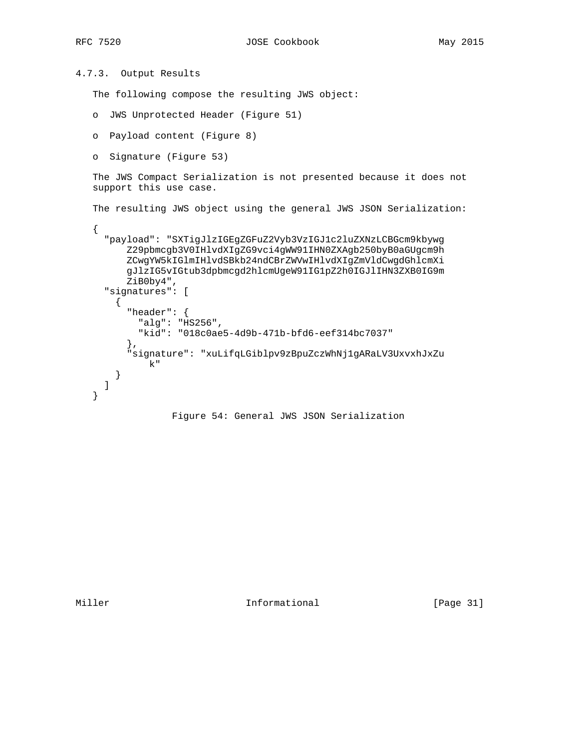```
4.7.3. Output Results
```
The following compose the resulting JWS object:

```
 o JWS Unprotected Header (Figure 51)
```

```
 o Payload content (Figure 8)
```

```
 o Signature (Figure 53)
```
 The JWS Compact Serialization is not presented because it does not support this use case.

```
 The resulting JWS object using the general JWS JSON Serialization:
```

```
 {
   "payload": "SXTigJlzIGEgZGFuZ2Vyb3VzIGJ1c2luZXNzLCBGcm9kbywg
       Z29pbmcgb3V0IHlvdXIgZG9vci4gWW91IHN0ZXAgb250byB0aGUgcm9h
       ZCwgYW5kIGlmIHlvdSBkb24ndCBrZWVwIHlvdXIgZmVldCwgdGhlcmXi
       gJlzIG5vIGtub3dpbmcgd2hlcmUgeW91IG1pZ2h0IGJlIHN3ZXB0IG9m
       ZiB0by4",
   "signatures": [
     {
       "header": {
         "alg": "HS256",
         "kid": "018c0ae5-4d9b-471b-bfd6-eef314bc7037"
       },
       "signature": "xuLifqLGiblpv9zBpuZczWhNj1gARaLV3UxvxhJxZu
           k"
     }
   ]
 }
```
## Figure 54: General JWS JSON Serialization

Miller **Informational** [Page 31]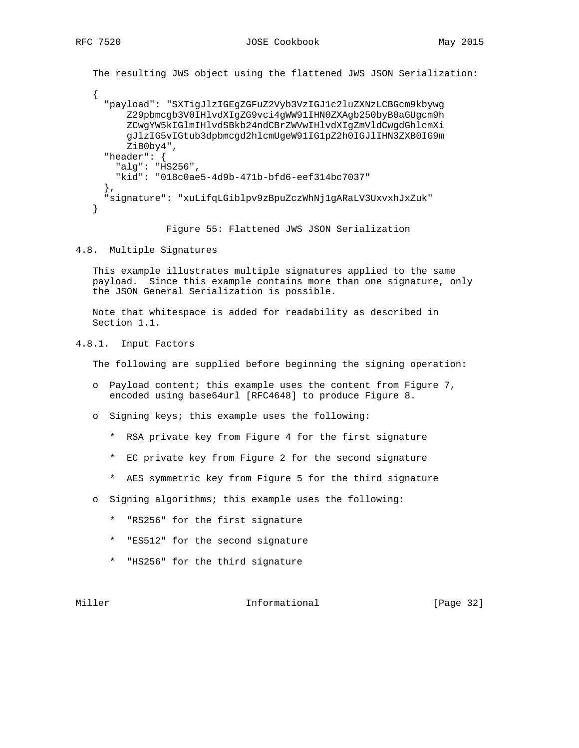The resulting JWS object using the flattened JWS JSON Serialization: { "payload": "SXTigJlzIGEgZGFuZ2Vyb3VzIGJ1c2luZXNzLCBGcm9kbywg Z29pbmcgb3V0IHlvdXIgZG9vci4gWW91IHN0ZXAgb250byB0aGUgcm9h ZCwgYW5kIGlmIHlvdSBkb24ndCBrZWVwIHlvdXIgZmVldCwgdGhlcmXi gJlzIG5vIGtub3dpbmcgd2hlcmUgeW91IG1pZ2h0IGJlIHN3ZXB0IG9m ZiB0by4", "header": { "alg": "HS256", "kid": "018c0ae5-4d9b-471b-bfd6-eef314bc7037" }, "signature": "xuLifqLGiblpv9zBpuZczWhNj1gARaLV3UxvxhJxZuk" }

Figure 55: Flattened JWS JSON Serialization

4.8. Multiple Signatures

 This example illustrates multiple signatures applied to the same payload. Since this example contains more than one signature, only the JSON General Serialization is possible.

 Note that whitespace is added for readability as described in Section 1.1.

4.8.1. Input Factors

The following are supplied before beginning the signing operation:

- o Payload content; this example uses the content from Figure 7, encoded using base64url [RFC4648] to produce Figure 8.
- o Signing keys; this example uses the following:
	- \* RSA private key from Figure 4 for the first signature
	- \* EC private key from Figure 2 for the second signature
	- \* AES symmetric key from Figure 5 for the third signature
- o Signing algorithms; this example uses the following:
	- \* "RS256" for the first signature
	- \* "ES512" for the second signature
	- \* "HS256" for the third signature

Miller **Informational** [Page 32]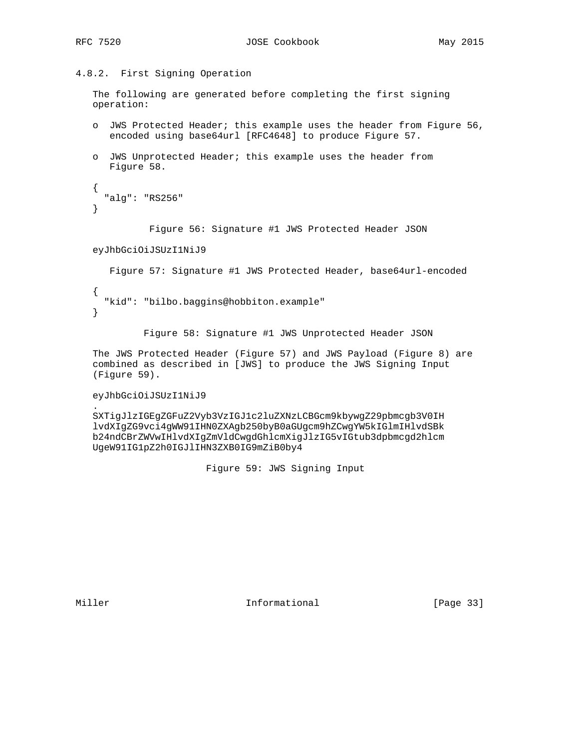# 4.8.2. First Signing Operation

 The following are generated before completing the first signing operation:

- o JWS Protected Header; this example uses the header from Figure 56, encoded using base64url [RFC4648] to produce Figure 57.
- o JWS Unprotected Header; this example uses the header from Figure 58.

```
 {
   "alg": "RS256"
 }
```
Figure 56: Signature #1 JWS Protected Header JSON

#### eyJhbGciOiJSUzI1NiJ9

 Figure 57: Signature #1 JWS Protected Header, base64url-encoded { "kid": "bilbo.baggins@hobbiton.example" }

Figure 58: Signature #1 JWS Unprotected Header JSON

 The JWS Protected Header (Figure 57) and JWS Payload (Figure 8) are combined as described in [JWS] to produce the JWS Signing Input (Figure 59).

#### eyJhbGciOiJSUzI1NiJ9

 SXTigJlzIGEgZGFuZ2Vyb3VzIGJ1c2luZXNzLCBGcm9kbywgZ29pbmcgb3V0IH lvdXIgZG9vci4gWW91IHN0ZXAgb250byB0aGUgcm9hZCwgYW5kIGlmIHlvdSBk b24ndCBrZWVwIHlvdXIgZmVldCwgdGhlcmXigJlzIG5vIGtub3dpbmcgd2hlcm UgeW91IG1pZ2h0IGJlIHN3ZXB0IG9mZiB0by4

Figure 59: JWS Signing Input

.

Miller **Informational** [Page 33]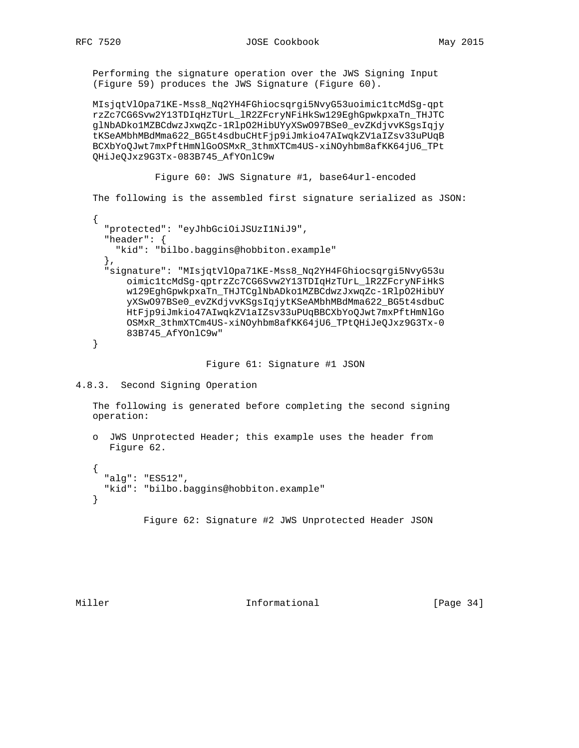Performing the signature operation over the JWS Signing Input (Figure 59) produces the JWS Signature (Figure 60).

 MIsjqtVlOpa71KE-Mss8\_Nq2YH4FGhiocsqrgi5NvyG53uoimic1tcMdSg-qpt rzZc7CG6Svw2Y13TDIqHzTUrL\_lR2ZFcryNFiHkSw129EghGpwkpxaTn\_THJTC glNbADko1MZBCdwzJxwqZc-1RlpO2HibUYyXSwO97BSe0\_evZKdjvvKSgsIqjy tKSeAMbhMBdMma622\_BG5t4sdbuCHtFjp9iJmkio47AIwqkZV1aIZsv33uPUqB BCXbYoQJwt7mxPftHmNlGoOSMxR\_3thmXTCm4US-xiNOyhbm8afKK64jU6\_TPt QHiJeQJxz9G3Tx-083B745\_AfYOnlC9w

 Figure 60: JWS Signature #1, base64url-encoded The following is the assembled first signature serialized as JSON: { "protected": "eyJhbGciOiJSUzI1NiJ9", "header": { "kid": "bilbo.baggins@hobbiton.example" }, "signature": "MIsjqtVlOpa71KE-Mss8\_Nq2YH4FGhiocsqrgi5NvyG53u oimic1tcMdSg-qptrzZc7CG6Svw2Y13TDIqHzTUrL\_lR2ZFcryNFiHkS w129EghGpwkpxaTn\_THJTCglNbADko1MZBCdwzJxwqZc-1RlpO2HibUY yXSwO97BSe0\_evZKdjvvKSgsIqjytKSeAMbhMBdMma622\_BG5t4sdbuC HtFjp9iJmkio47AIwqkZV1aIZsv33uPUqBBCXbYoQJwt7mxPftHmNlGo OSMxR\_3thmXTCm4US-xiNOyhbm8afKK64jU6\_TPtQHiJeQJxz9G3Tx-0 83B745\_AfYOnlC9w" }

Figure 61: Signature #1 JSON

```
4.8.3. Second Signing Operation
```
 The following is generated before completing the second signing operation:

```
 o JWS Unprotected Header; this example uses the header from
   Figure 62.
```
 { "alg": "ES512", "kid": "bilbo.baggins@hobbiton.example" }

Figure 62: Signature #2 JWS Unprotected Header JSON

Miller **Informational Informational** [Page 34]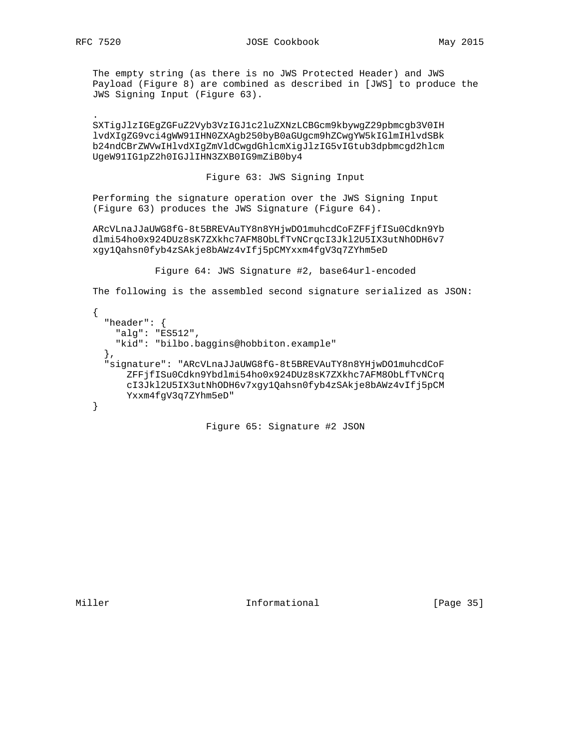The empty string (as there is no JWS Protected Header) and JWS Payload (Figure 8) are combined as described in [JWS] to produce the JWS Signing Input (Figure 63).

 SXTigJlzIGEgZGFuZ2Vyb3VzIGJ1c2luZXNzLCBGcm9kbywgZ29pbmcgb3V0IH lvdXIgZG9vci4gWW91IHN0ZXAgb250byB0aGUgcm9hZCwgYW5kIGlmIHlvdSBk b24ndCBrZWVwIHlvdXIgZmVldCwgdGhlcmXigJlzIG5vIGtub3dpbmcgd2hlcm UgeW91IG1pZ2h0IGJlIHN3ZXB0IG9mZiB0by4

Figure 63: JWS Signing Input

 Performing the signature operation over the JWS Signing Input (Figure 63) produces the JWS Signature (Figure 64).

 ARcVLnaJJaUWG8fG-8t5BREVAuTY8n8YHjwDO1muhcdCoFZFFjfISu0Cdkn9Yb dlmi54ho0x924DUz8sK7ZXkhc7AFM8ObLfTvNCrqcI3Jkl2U5IX3utNhODH6v7 xgy1Qahsn0fyb4zSAkje8bAWz4vIfj5pCMYxxm4fgV3q7ZYhm5eD

Figure 64: JWS Signature #2, base64url-encoded

The following is the assembled second signature serialized as JSON:

```
\{ \cdot \cdot \cdot \cdot \cdot \cdot \cdot \cdot \cdot \cdot \cdot \cdot \cdot \cdot \cdot \cdot \cdot \cdot \cdot \cdot \cdot \cdot \cdot \cdot \cdot \cdot \cdot \cdot \cdot \cdot \cdot \cdot \cdot \cdot \cdot \cdot 
          "header": {
             "alg": "ES512",
             "kid": "bilbo.baggins@hobbiton.example"
          },
          "signature": "ARcVLnaJJaUWG8fG-8t5BREVAuTY8n8YHjwDO1muhcdCoF
                 ZFFjfISu0Cdkn9Ybdlmi54ho0x924DUz8sK7ZXkhc7AFM8ObLfTvNCrq
                 cI3Jkl2U5IX3utNhODH6v7xgy1Qahsn0fyb4zSAkje8bAWz4vIfj5pCM
                Yxxm4fgV3q7ZYhm5eD"
      }
```
Figure 65: Signature #2 JSON

Miller **Informational** [Page 35]

.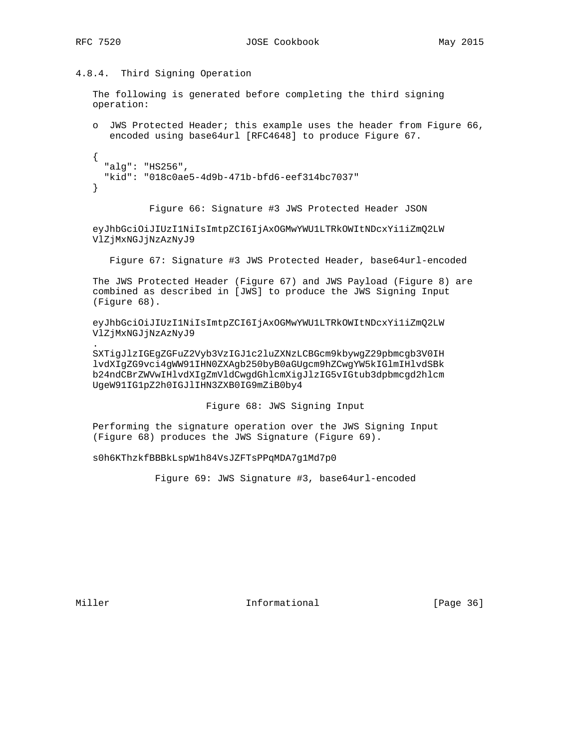## 4.8.4. Third Signing Operation

 The following is generated before completing the third signing operation:

 o JWS Protected Header; this example uses the header from Figure 66, encoded using base64url [RFC4648] to produce Figure 67.

```
 {
   "alg": "HS256",
   "kid": "018c0ae5-4d9b-471b-bfd6-eef314bc7037"
 }
```
Figure 66: Signature #3 JWS Protected Header JSON

 eyJhbGciOiJIUzI1NiIsImtpZCI6IjAxOGMwYWU1LTRkOWItNDcxYi1iZmQ2LW VlZjMxNGJjNzAzNyJ9

Figure 67: Signature #3 JWS Protected Header, base64url-encoded

 The JWS Protected Header (Figure 67) and JWS Payload (Figure 8) are combined as described in [JWS] to produce the JWS Signing Input (Figure 68).

 eyJhbGciOiJIUzI1NiIsImtpZCI6IjAxOGMwYWU1LTRkOWItNDcxYi1iZmQ2LW VlZjMxNGJjNzAzNyJ9

 SXTigJlzIGEgZGFuZ2Vyb3VzIGJ1c2luZXNzLCBGcm9kbywgZ29pbmcgb3V0IH lvdXIgZG9vci4gWW91IHN0ZXAgb250byB0aGUgcm9hZCwgYW5kIGlmIHlvdSBk b24ndCBrZWVwIHlvdXIgZmVldCwgdGhlcmXigJlzIG5vIGtub3dpbmcgd2hlcm UgeW91IG1pZ2h0IGJlIHN3ZXB0IG9mZiB0by4

Figure 68: JWS Signing Input

 Performing the signature operation over the JWS Signing Input (Figure 68) produces the JWS Signature (Figure 69).

s0h6KThzkfBBBkLspW1h84VsJZFTsPPqMDA7g1Md7p0

Figure 69: JWS Signature #3, base64url-encoded

.

Miller **Informational** [Page 36]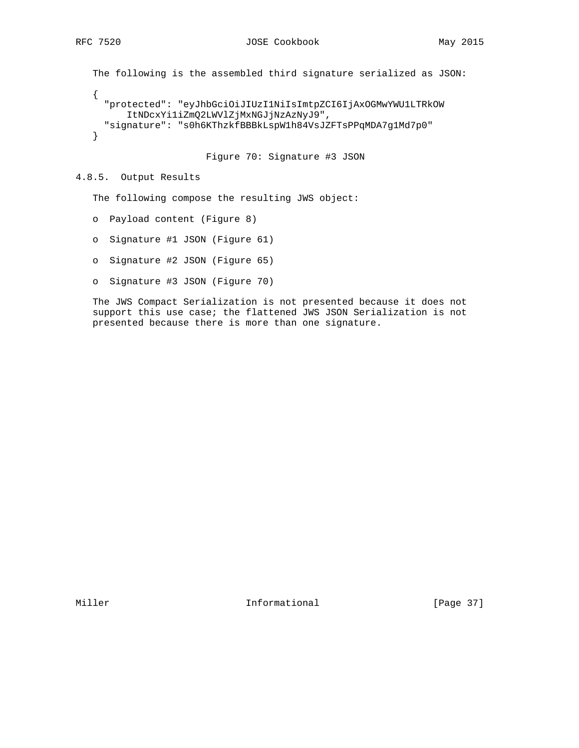```
 The following is the assembled third signature serialized as JSON:
 {
   "protected": "eyJhbGciOiJIUzI1NiIsImtpZCI6IjAxOGMwYWU1LTRkOW
       ItNDcxYi1iZmQ2LWVlZjMxNGJjNzAzNyJ9",
   "signature": "s0h6KThzkfBBBkLspW1h84VsJZFTsPPqMDA7g1Md7p0"
 }
```
Figure 70: Signature #3 JSON

# 4.8.5. Output Results

The following compose the resulting JWS object:

- o Payload content (Figure 8)
- o Signature #1 JSON (Figure 61)
- o Signature #2 JSON (Figure 65)
- o Signature #3 JSON (Figure 70)

 The JWS Compact Serialization is not presented because it does not support this use case; the flattened JWS JSON Serialization is not presented because there is more than one signature.

Miller **Informational** [Page 37]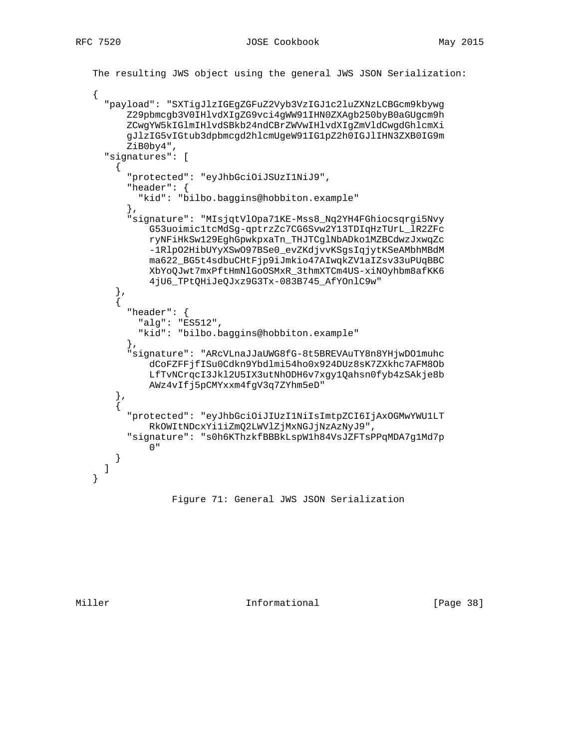```
 The resulting JWS object using the general JWS JSON Serialization:
    {
      "payload": "SXTigJlzIGEgZGFuZ2Vyb3VzIGJ1c2luZXNzLCBGcm9kbywg
          Z29pbmcgb3V0IHlvdXIgZG9vci4gWW91IHN0ZXAgb250byB0aGUgcm9h
         ZCwgYW5kIGlmIHlvdSBkb24ndCBrZWVwIHlvdXIgZmVldCwgdGhlcmXi
         gJlzIG5vIGtub3dpbmcgd2hlcmUgeW91IG1pZ2h0IGJlIHN3ZXB0IG9m
         ZiB0by4",
      "signatures": [
        {
          "protected": "eyJhbGciOiJSUzI1NiJ9",
          "header": {
            "kid": "bilbo.baggins@hobbiton.example"
          },
          "signature": "MIsjqtVlOpa71KE-Mss8_Nq2YH4FGhiocsqrgi5Nvy
              G53uoimic1tcMdSg-qptrzZc7CG6Svw2Y13TDIqHzTUrL_lR2ZFc
              ryNFiHkSw129EghGpwkpxaTn_THJTCglNbADko1MZBCdwzJxwqZc
              -1RlpO2HibUYyXSwO97BSe0_evZKdjvvKSgsIqjytKSeAMbhMBdM
              ma622_BG5t4sdbuCHtFjp9iJmkio47AIwqkZV1aIZsv33uPUqBBC
              XbYoQJwt7mxPftHmNlGoOSMxR_3thmXTCm4US-xiNOyhbm8afKK6
              4jU6_TPtQHiJeQJxz9G3Tx-083B745_AfYOnlC9w"
        },
\{ "header": {
            "alg": "ES512",
            "kid": "bilbo.baggins@hobbiton.example"
          },
          "signature": "ARcVLnaJJaUWG8fG-8t5BREVAuTY8n8YHjwDO1muhc
              dCoFZFFjfISu0Cdkn9Ybdlmi54ho0x924DUz8sK7ZXkhc7AFM8Ob
              LfTvNCrqcI3Jkl2U5IX3utNhODH6v7xgy1Qahsn0fyb4zSAkje8b
              AWz4vIfj5pCMYxxm4fgV3q7ZYhm5eD"
        },
\{ "protected": "eyJhbGciOiJIUzI1NiIsImtpZCI6IjAxOGMwYWU1LT
             RkOWItNDcxYi1iZmQ2LWVlZjMxNGJjNzAzNyJ9",
          "signature": "s0h6KThzkfBBBkLspW1h84VsJZFTsPPqMDA7g1Md7p
 0"
        }
     ]
   }
```
Figure 71: General JWS JSON Serialization

Miller **Informational Informational** [Page 38]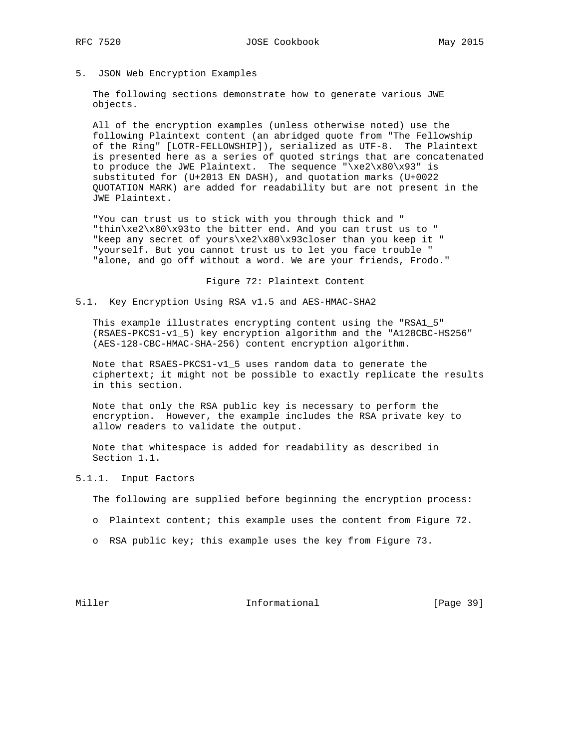5. JSON Web Encryption Examples

 The following sections demonstrate how to generate various JWE objects.

 All of the encryption examples (unless otherwise noted) use the following Plaintext content (an abridged quote from "The Fellowship of the Ring" [LOTR-FELLOWSHIP]), serialized as UTF-8. The Plaintext is presented here as a series of quoted strings that are concatenated to produce the JWE Plaintext. The sequence " $xe2\x80\x93"$  is substituted for (U+2013 EN DASH), and quotation marks (U+0022 QUOTATION MARK) are added for readability but are not present in the JWE Plaintext.

 "You can trust us to stick with you through thick and " "thin\xe2\x80\x93to the bitter end. And you can trust us to " "keep any secret of yours\xe2\x80\x93closer than you keep it " "yourself. But you cannot trust us to let you face trouble " "alone, and go off without a word. We are your friends, Frodo."

Figure 72: Plaintext Content

5.1. Key Encryption Using RSA v1.5 and AES-HMAC-SHA2

 This example illustrates encrypting content using the "RSA1\_5" (RSAES-PKCS1-v1\_5) key encryption algorithm and the "A128CBC-HS256" (AES-128-CBC-HMAC-SHA-256) content encryption algorithm.

 Note that RSAES-PKCS1-v1\_5 uses random data to generate the ciphertext; it might not be possible to exactly replicate the results in this section.

 Note that only the RSA public key is necessary to perform the encryption. However, the example includes the RSA private key to allow readers to validate the output.

 Note that whitespace is added for readability as described in Section 1.1.

5.1.1. Input Factors

The following are supplied before beginning the encryption process:

- o Plaintext content; this example uses the content from Figure 72.
- o RSA public key; this example uses the key from Figure 73.

Miller **Informational** [Page 39]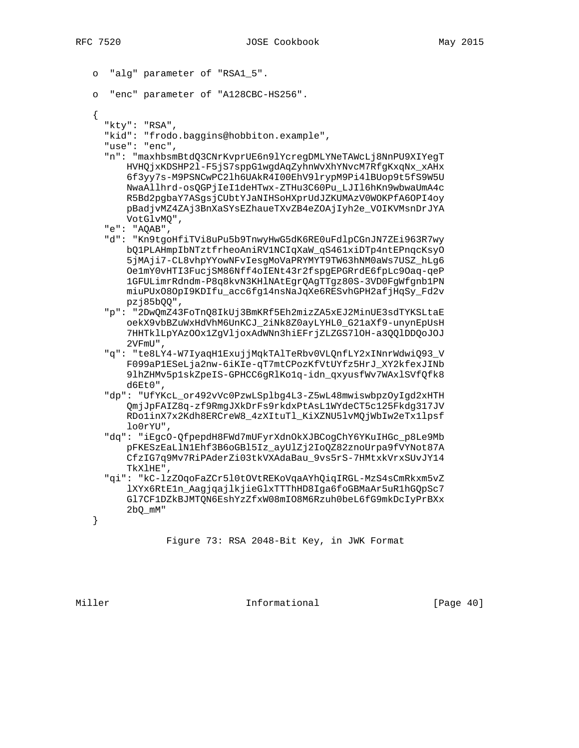```
 o "alg" parameter of "RSA1_5".
```

```
 o "enc" parameter of "A128CBC-HS256".
```
{

```
 "kty": "RSA",
```
"kid": "frodo.baggins@hobbiton.example",

"use": "enc",

 "n": "maxhbsmBtdQ3CNrKvprUE6n9lYcregDMLYNeTAWcLj8NnPU9XIYegT HVHQjxKDSHP2l-F5jS7sppG1wgdAqZyhnWvXhYNvcM7RfgKxqNx\_xAHx 6f3yy7s-M9PSNCwPC2lh6UAkR4I00EhV9lrypM9Pi4lBUop9t5fS9W5U NwaAllhrd-osQGPjIeI1deHTwx-ZTHu3C60Pu\_LJIl6hKn9wbwaUmA4c R5Bd2pgbaY7ASgsjCUbtYJaNIHSoHXprUdJZKUMAzV0WOKPfA6OPI4oy pBadjvMZ4ZAj3BnXaSYsEZhaueTXvZB4eZOAjIyh2e\_VOIKVMsnDrJYA VotGlvMQ",

"e": "AQAB",

- "d": "Kn9tgoHfiTVi8uPu5b9TnwyHwG5dK6RE0uFdlpCGnJN7ZEi963R7wy bQ1PLAHmpIbNTztfrheoAniRV1NCIqXaW\_qS461xiDTp4ntEPnqcKsyO 5jMAji7-CL8vhpYYowNFvIesgMoVaPRYMYT9TW63hNM0aWs7USZ\_hLg6 Oe1mY0vHTI3FucjSM86Nff4oIENt43r2fspgEPGRrdE6fpLc9Oaq-qeP 1GFULimrRdndm-P8q8kvN3KHlNAtEgrQAgTTgz80S-3VD0FgWfgnb1PN miuPUxO8OpI9KDIfu\_acc6fg14nsNaJqXe6RESvhGPH2afjHqSy\_Fd2v pzj85bQQ",
- "p": "2DwQmZ43FoTnQ8IkUj3BmKRf5Eh2mizZA5xEJ2MinUE3sdTYKSLtaE oekX9vbBZuWxHdVhM6UnKCJ\_2iNk8Z0ayLYHL0\_G21aXf9-unynEpUsH 7HHTklLpYAzOOx1ZgVljoxAdWNn3hiEFrjZLZGS7lOH-a3QQlDDQoJOJ 2VFmU",
- "q": "te8LY4-W7IyaqH1ExujjMqkTAlTeRbv0VLQnfLY2xINnrWdwiQ93\_V F099aP1ESeLja2nw-6iKIe-qT7mtCPozKfVtUYfz5HrJ\_XY2kfexJINb 9lhZHMv5p1skZpeIS-GPHCC6gRlKo1q-idn\_qxyusfWv7WAxlSVfQfk8 d6Et0",
- "dp": "UfYKcL\_or492vVc0PzwLSplbg4L3-Z5wL48mwiswbpzOyIgd2xHTH QmjJpFAIZ8q-zf9RmgJXkDrFs9rkdxPtAsL1WYdeCT5c125Fkdg317JV RDo1inX7x2Kdh8ERCreW8\_4zXItuTl\_KiXZNU5lvMQjWbIw2eTx1lpsf lo0rYU",
- "dq": "iEgcO-QfpepdH8FWd7mUFyrXdnOkXJBCogChY6YKuIHGc\_p8Le9Mb pFKESzEaLlN1Ehf3B6oGBl5Iz\_ayUlZj2IoQZ82znoUrpa9fVYNot87A CfzIG7q9Mv7RiPAderZi03tkVXAdaBau\_9vs5rS-7HMtxkVrxSUvJY14 TkXlHE",
- "qi": "kC-lzZOqoFaZCr5l0tOVtREKoVqaAYhQiqIRGL-MzS4sCmRkxm5vZ lXYx6RtE1n\_AagjqajlkjieGlxTTThHD8Iga6foGBMaAr5uR1hGQpSc7 Gl7CF1DZkBJMTQN6EshYzZfxW08mIO8M6Rzuh0beL6fG9mkDcIyPrBXx 2bQ\_mM"

}

Figure 73: RSA 2048-Bit Key, in JWK Format

Miller **Informational Informational** [Page 40]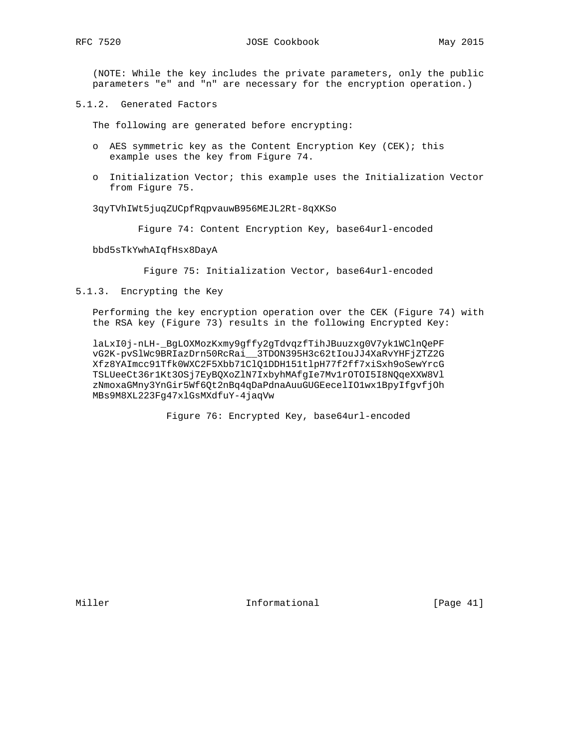(NOTE: While the key includes the private parameters, only the public parameters "e" and "n" are necessary for the encryption operation.)

5.1.2. Generated Factors

The following are generated before encrypting:

- o AES symmetric key as the Content Encryption Key (CEK); this example uses the key from Figure 74.
- o Initialization Vector; this example uses the Initialization Vector from Figure 75.

3qyTVhIWt5juqZUCpfRqpvauwB956MEJL2Rt-8qXKSo

Figure 74: Content Encryption Key, base64url-encoded

bbd5sTkYwhAIqfHsx8DayA

Figure 75: Initialization Vector, base64url-encoded

5.1.3. Encrypting the Key

 Performing the key encryption operation over the CEK (Figure 74) with the RSA key (Figure 73) results in the following Encrypted Key:

 laLxI0j-nLH-\_BgLOXMozKxmy9gffy2gTdvqzfTihJBuuzxg0V7yk1WClnQePF vG2K-pvSlWc9BRIazDrn50RcRai\_\_3TDON395H3c62tIouJJ4XaRvYHFjZTZ2G Xfz8YAImcc91Tfk0WXC2F5Xbb71ClQ1DDH151tlpH77f2ff7xiSxh9oSewYrcG TSLUeeCt36r1Kt3OSj7EyBQXoZlN7IxbyhMAfgIe7Mv1rOTOI5I8NQqeXXW8Vl zNmoxaGMny3YnGir5Wf6Qt2nBq4qDaPdnaAuuGUGEecelIO1wx1BpyIfgvfjOh MBs9M8XL223Fg47xlGsMXdfuY-4jaqVw

Figure 76: Encrypted Key, base64url-encoded

Miller **Informational** [Page 41]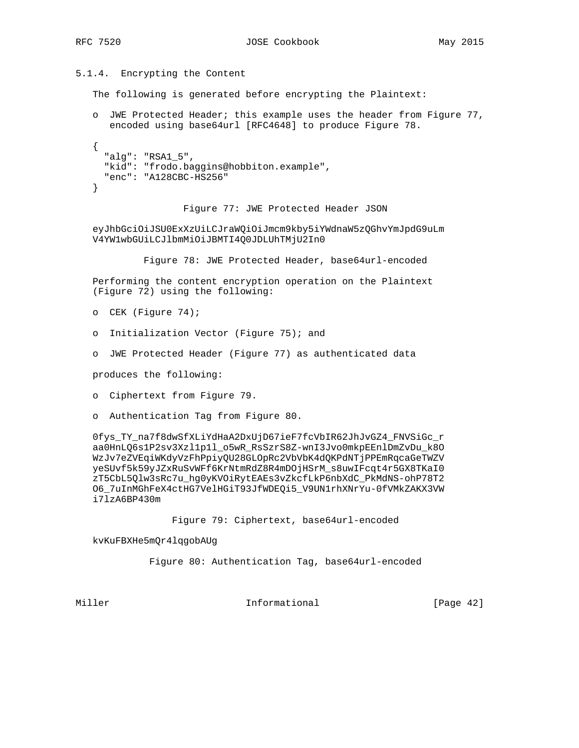5.1.4. Encrypting the Content

The following is generated before encrypting the Plaintext:

 o JWE Protected Header; this example uses the header from Figure 77, encoded using base64url [RFC4648] to produce Figure 78.

```
 {
   "alg": "RSA1_5",
   "kid": "frodo.baggins@hobbiton.example",
   "enc": "A128CBC-HS256"
 }
```
Figure 77: JWE Protected Header JSON

 eyJhbGciOiJSU0ExXzUiLCJraWQiOiJmcm9kby5iYWdnaW5zQGhvYmJpdG9uLm V4YW1wbGUiLCJlbmMiOiJBMTI4Q0JDLUhTMjU2In0

Figure 78: JWE Protected Header, base64url-encoded

 Performing the content encryption operation on the Plaintext (Figure 72) using the following:

o CEK (Figure 74);

- o Initialization Vector (Figure 75); and
- o JWE Protected Header (Figure 77) as authenticated data

produces the following:

- o Ciphertext from Figure 79.
- o Authentication Tag from Figure 80.

 0fys\_TY\_na7f8dwSfXLiYdHaA2DxUjD67ieF7fcVbIR62JhJvGZ4\_FNVSiGc\_r aa0HnLQ6s1P2sv3Xzl1p1l\_o5wR\_RsSzrS8Z-wnI3Jvo0mkpEEnlDmZvDu\_k8O WzJv7eZVEqiWKdyVzFhPpiyQU28GLOpRc2VbVbK4dQKPdNTjPPEmRqcaGeTWZV yeSUvf5k59yJZxRuSvWFf6KrNtmRdZ8R4mDOjHSrM\_s8uwIFcqt4r5GX8TKaI0 zT5CbL5Qlw3sRc7u\_hg0yKVOiRytEAEs3vZkcfLkP6nbXdC\_PkMdNS-ohP78T2 O6\_7uInMGhFeX4ctHG7VelHGiT93JfWDEQi5\_V9UN1rhXNrYu-0fVMkZAKX3VW i7lzA6BP430m

Figure 79: Ciphertext, base64url-encoded

kvKuFBXHe5mQr4lqgobAUg

Figure 80: Authentication Tag, base64url-encoded

Miller **Informational Informational** [Page 42]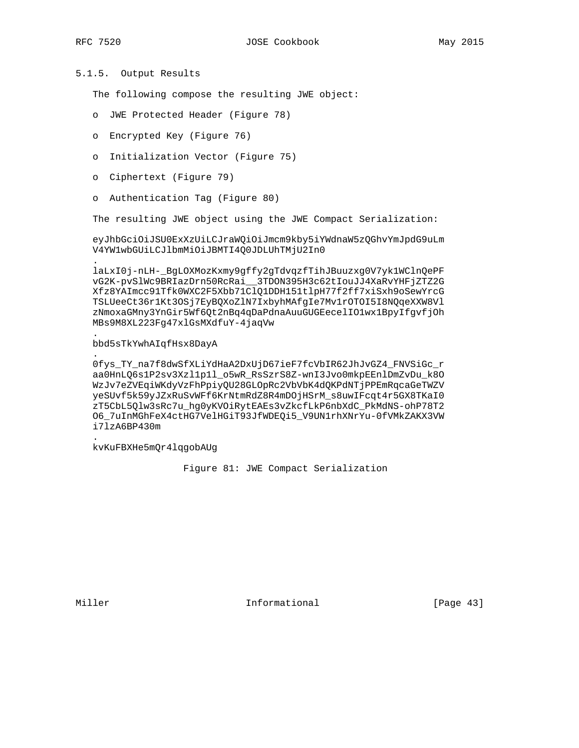.

.

.

.

# 5.1.5. Output Results

The following compose the resulting JWE object:

- o JWE Protected Header (Figure 78)
- o Encrypted Key (Figure 76)
- o Initialization Vector (Figure 75)
- o Ciphertext (Figure 79)
- o Authentication Tag (Figure 80)

The resulting JWE object using the JWE Compact Serialization:

 eyJhbGciOiJSU0ExXzUiLCJraWQiOiJmcm9kby5iYWdnaW5zQGhvYmJpdG9uLm V4YW1wbGUiLCJlbmMiOiJBMTI4Q0JDLUhTMjU2In0

 laLxI0j-nLH-\_BgLOXMozKxmy9gffy2gTdvqzfTihJBuuzxg0V7yk1WClnQePF vG2K-pvSlWc9BRIazDrn50RcRai\_\_3TDON395H3c62tIouJJ4XaRvYHFjZTZ2G Xfz8YAImcc91Tfk0WXC2F5Xbb71ClQ1DDH151tlpH77f2ff7xiSxh9oSewYrcG TSLUeeCt36r1Kt3OSj7EyBQXoZlN7IxbyhMAfgIe7Mv1rOTOI5I8NQqeXXW8Vl zNmoxaGMny3YnGir5Wf6Qt2nBq4qDaPdnaAuuGUGEecelIO1wx1BpyIfgvfjOh MBs9M8XL223Fg47xlGsMXdfuY-4jaqVw

## bbd5sTkYwhAIqfHsx8DayA

 0fys\_TY\_na7f8dwSfXLiYdHaA2DxUjD67ieF7fcVbIR62JhJvGZ4\_FNVSiGc\_r aa0HnLQ6s1P2sv3Xzl1p1l\_o5wR\_RsSzrS8Z-wnI3Jvo0mkpEEnlDmZvDu\_k8O WzJv7eZVEqiWKdyVzFhPpiyQU28GLOpRc2VbVbK4dQKPdNTjPPEmRqcaGeTWZV yeSUvf5k59yJZxRuSvWFf6KrNtmRdZ8R4mDOjHSrM\_s8uwIFcqt4r5GX8TKaI0 zT5CbL5Qlw3sRc7u\_hg0yKVOiRytEAEs3vZkcfLkP6nbXdC\_PkMdNS-ohP78T2 O6\_7uInMGhFeX4ctHG7VelHGiT93JfWDEQi5\_V9UN1rhXNrYu-0fVMkZAKX3VW i7lzA6BP430m

kvKuFBXHe5mQr4lqgobAUg

Figure 81: JWE Compact Serialization

Miller **Informational** [Page 43]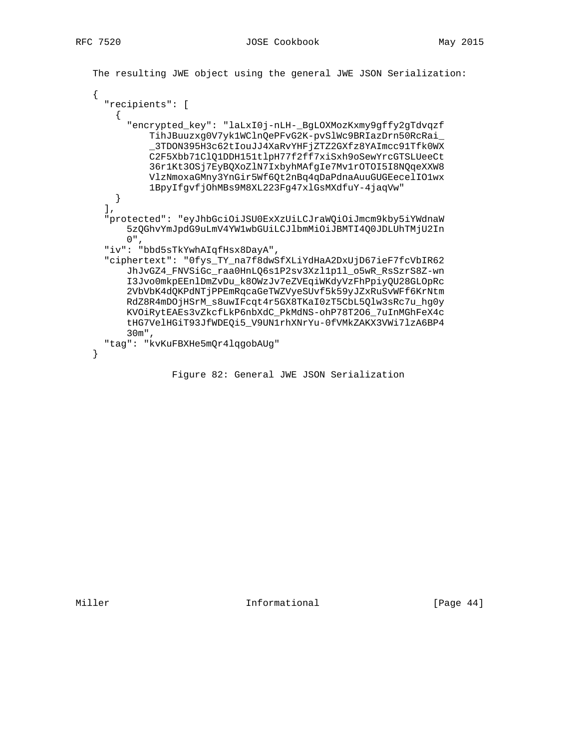```
 The resulting JWE object using the general JWE JSON Serialization:
 {
   "recipients": [
```

```
\left\{ \right. "encrypted_key": "laLxI0j-nLH-_BgLOXMozKxmy9gffy2gTdvqzf
           TihJBuuzxg0V7yk1WClnQePFvG2K-pvSlWc9BRIazDrn50RcRai_
           _3TDON395H3c62tIouJJ4XaRvYHFjZTZ2GXfz8YAImcc91Tfk0WX
           C2F5Xbb71ClQ1DDH151tlpH77f2ff7xiSxh9oSewYrcGTSLUeeCt
           36r1Kt3OSj7EyBQXoZlN7IxbyhMAfgIe7Mv1rOTOI5I8NQqeXXW8
           VlzNmoxaGMny3YnGir5Wf6Qt2nBq4qDaPdnaAuuGUGEecelIO1wx
           1BpyIfgvfjOhMBs9M8XL223Fg47xlGsMXdfuY-4jaqVw"
     }
  \mathbf{I},
   "protected": "eyJhbGciOiJSU0ExXzUiLCJraWQiOiJmcm9kby5iYWdnaW
       5zQGhvYmJpdG9uLmV4YW1wbGUiLCJlbmMiOiJBMTI4Q0JDLUhTMjU2In
     0",
   "iv": "bbd5sTkYwhAIqfHsx8DayA",
   "ciphertext": "0fys_TY_na7f8dwSfXLiYdHaA2DxUjD67ieF7fcVbIR62
       JhJvGZ4_FNVSiGc_raa0HnLQ6s1P2sv3Xzl1p1l_o5wR_RsSzrS8Z-wn
       I3Jvo0mkpEEnlDmZvDu_k8OWzJv7eZVEqiWKdyVzFhPpiyQU28GLOpRc
       2VbVbK4dQKPdNTjPPEmRqcaGeTWZVyeSUvf5k59yJZxRuSvWFf6KrNtm
       RdZ8R4mDOjHSrM_s8uwIFcqt4r5GX8TKaI0zT5CbL5Qlw3sRc7u_hg0y
       KVOiRytEAEs3vZkcfLkP6nbXdC_PkMdNS-ohP78T2O6_7uInMGhFeX4c
       tHG7VelHGiT93JfWDEQi5_V9UN1rhXNrYu-0fVMkZAKX3VWi7lzA6BP4
       30m",
   "tag": "kvKuFBXHe5mQr4lqgobAUg"
 }
```
Figure 82: General JWE JSON Serialization

Miller **Informational** [Page 44]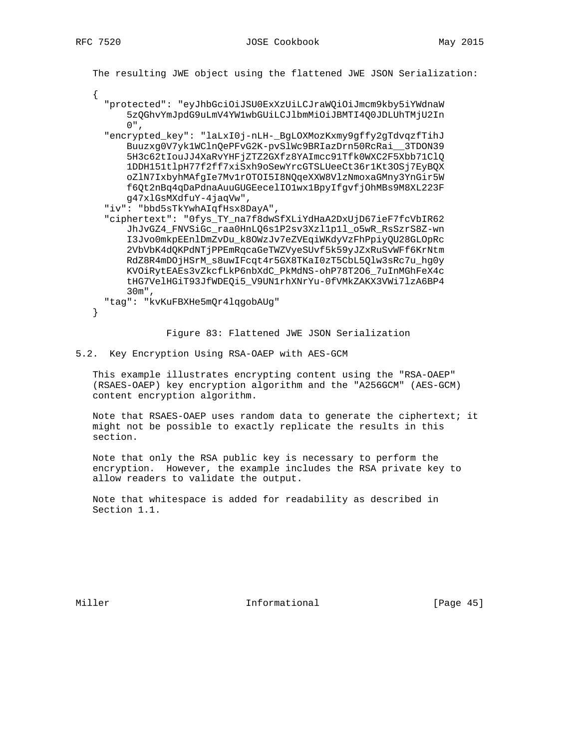{

The resulting JWE object using the flattened JWE JSON Serialization:

- "protected": "eyJhbGciOiJSU0ExXzUiLCJraWQiOiJmcm9kby5iYWdnaW 5zQGhvYmJpdG9uLmV4YW1wbGUiLCJlbmMiOiJBMTI4Q0JDLUhTMjU2In 0",
- "encrypted\_key": "laLxI0j-nLH-\_BgLOXMozKxmy9gffy2gTdvqzfTihJ Buuzxg0V7yk1WClnQePFvG2K-pvSlWc9BRIazDrn50RcRai\_\_3TDON39 5H3c62tIouJJ4XaRvYHFjZTZ2GXfz8YAImcc91Tfk0WXC2F5Xbb71ClQ 1DDH151tlpH77f2ff7xiSxh9oSewYrcGTSLUeeCt36r1Kt3OSj7EyBQX oZlN7IxbyhMAfgIe7Mv1rOTOI5I8NQqeXXW8VlzNmoxaGMny3YnGir5W f6Qt2nBq4qDaPdnaAuuGUGEecelIO1wx1BpyIfgvfjOhMBs9M8XL223F g47xlGsMXdfuY-4jaqVw",
- "iv": "bbd5sTkYwhAIqfHsx8DayA",
- "ciphertext": "0fys\_TY\_na7f8dwSfXLiYdHaA2DxUjD67ieF7fcVbIR62 JhJvGZ4\_FNVSiGc\_raa0HnLQ6s1P2sv3Xzl1p1l\_o5wR\_RsSzrS8Z-wn I3Jvo0mkpEEnlDmZvDu\_k8OWzJv7eZVEqiWKdyVzFhPpiyQU28GLOpRc 2VbVbK4dQKPdNTjPPEmRqcaGeTWZVyeSUvf5k59yJZxRuSvWFf6KrNtm RdZ8R4mDOjHSrM\_s8uwIFcqt4r5GX8TKaI0zT5CbL5Qlw3sRc7u\_hg0y KVOiRytEAEs3vZkcfLkP6nbXdC\_PkMdNS-ohP78T2O6\_7uInMGhFeX4c tHG7VelHGiT93JfWDEQi5\_V9UN1rhXNrYu-0fVMkZAKX3VWi7lzA6BP4 30m",

"tag": "kvKuFBXHe5mQr4lqgobAUg"

}

Figure 83: Flattened JWE JSON Serialization

#### 5.2. Key Encryption Using RSA-OAEP with AES-GCM

 This example illustrates encrypting content using the "RSA-OAEP" (RSAES-OAEP) key encryption algorithm and the "A256GCM" (AES-GCM) content encryption algorithm.

 Note that RSAES-OAEP uses random data to generate the ciphertext; it might not be possible to exactly replicate the results in this section.

 Note that only the RSA public key is necessary to perform the encryption. However, the example includes the RSA private key to allow readers to validate the output.

 Note that whitespace is added for readability as described in Section 1.1.

Miller **Informational** [Page 45]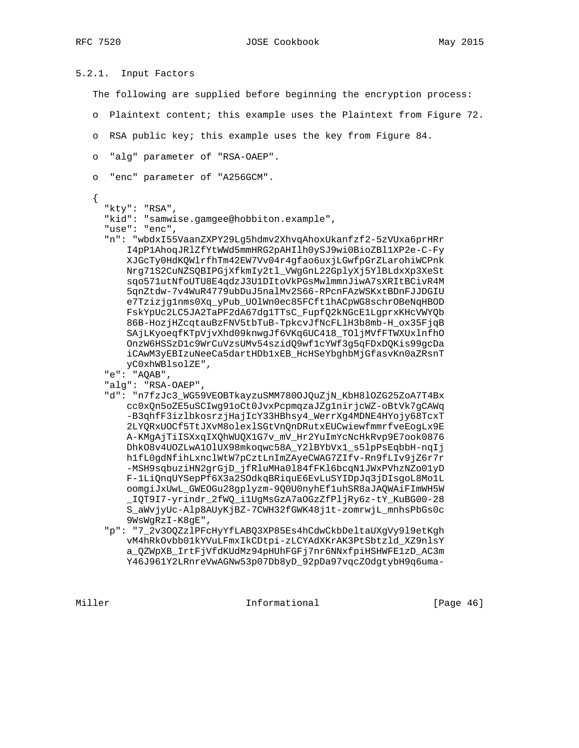```
5.2.1. Input Factors
    The following are supplied before beginning the encryption process:
    o Plaintext content; this example uses the Plaintext from Figure 72.
    o RSA public key; this example uses the key from Figure 84.
    o "alg" parameter of "RSA-OAEP".
    o "enc" parameter of "A256GCM".
    {
      "kty": "RSA",
      "kid": "samwise.gamgee@hobbiton.example",
      "use": "enc",
      "n": "wbdxI55VaanZXPY29Lg5hdmv2XhvqAhoxUkanfzf2-5zVUxa6prHRr
          I4pP1AhoqJRlZfYtWWd5mmHRG2pAHIlh0ySJ9wi0BioZBl1XP2e-C-Fy
          XJGcTy0HdKQWlrfhTm42EW7Vv04r4gfao6uxjLGwfpGrZLarohiWCPnk
          Nrg71S2CuNZSQBIPGjXfkmIy2tl_VWgGnL22GplyXj5YlBLdxXp3XeSt
          sqo571utNfoUTU8E4qdzJ3U1DItoVkPGsMwlmmnJiwA7sXRItBCivR4M
          5qnZtdw-7v4WuR4779ubDuJ5nalMv2S66-RPcnFAzWSKxtBDnFJJDGIU
          e7Tzizjg1nms0Xq_yPub_UOlWn0ec85FCft1hACpWG8schrOBeNqHBOD
          FskYpUc2LC5JA2TaPF2dA67dg1TTsC_FupfQ2kNGcE1LgprxKHcVWYQb
          86B-HozjHZcqtauBzFNV5tbTuB-TpkcvJfNcFLlH3b8mb-H_ox35FjqB
          SAjLKyoeqfKTpVjvXhd09knwgJf6VKq6UC418_TOljMVfFTWXUxlnfhO
          OnzW6HSSzD1c9WrCuVzsUMv54szidQ9wf1cYWf3g5qFDxDQKis99gcDa
          iCAwM3yEBIzuNeeCa5dartHDb1xEB_HcHSeYbghbMjGfasvKn0aZRsnT
         yC0xhWBlsolZE",
      "e": "AQAB",
      "alg": "RSA-OAEP",
      "d": "n7fzJc3_WG59VEOBTkayzuSMM780OJQuZjN_KbH8lOZG25ZoA7T4Bx
          cc0xQn5oZE5uSCIwg91oCt0JvxPcpmqzaJZg1nirjcWZ-oBtVk7gCAWq
          -B3qhfF3izlbkosrzjHajIcY33HBhsy4_WerrXg4MDNE4HYojy68TcxT
          2LYQRxUOCf5TtJXvM8olexlSGtVnQnDRutxEUCwiewfmmrfveEogLx9E
          A-KMgAjTiISXxqIXQhWUQX1G7v_mV_Hr2YuImYcNcHkRvp9E7ook0876
          DhkO8v4UOZLwA1OlUX98mkoqwc58A_Y2lBYbVx1_s5lpPsEqbbH-nqIj
          h1fL0gdNfihLxnclWtW7pCztLnImZAyeCWAG7ZIfv-Rn9fLIv9jZ6r7r
          -MSH9sqbuziHN2grGjD_jfRluMHa0l84fFKl6bcqN1JWxPVhzNZo01yD
          F-1LiQnqUYSepPf6X3a2SOdkqBRiquE6EvLuSYIDpJq3jDIsgoL8Mo1L
          oomgiJxUwL_GWEOGu28gplyzm-9Q0U0nyhEf1uhSR8aJAQWAiFImWH5W
          _IQT9I7-yrindr_2fWQ_i1UgMsGzA7aOGzZfPljRy6z-tY_KuBG00-28
          S_aWvjyUc-Alp8AUyKjBZ-7CWH32fGWK48j1t-zomrwjL_mnhsPbGs0c
          9WsWgRzI-K8gE",
      "p": "7_2v3OQZzlPFcHyYfLABQ3XP85Es4hCdwCkbDeltaUXgVy9l9etKgh
          vM4hRkOvbb01kYVuLFmxIkCDtpi-zLCYAdXKrAK3PtSbtzld_XZ9nlsY
          a_QZWpXB_IrtFjVfdKUdMz94pHUhFGFj7nr6NNxfpiHSHWFE1zD_AC3m
          Y46J961Y2LRnreVwAGNw53p07Db8yD_92pDa97vqcZOdgtybH9q6uma-
```
Miller **Informational Informational** [Page 46]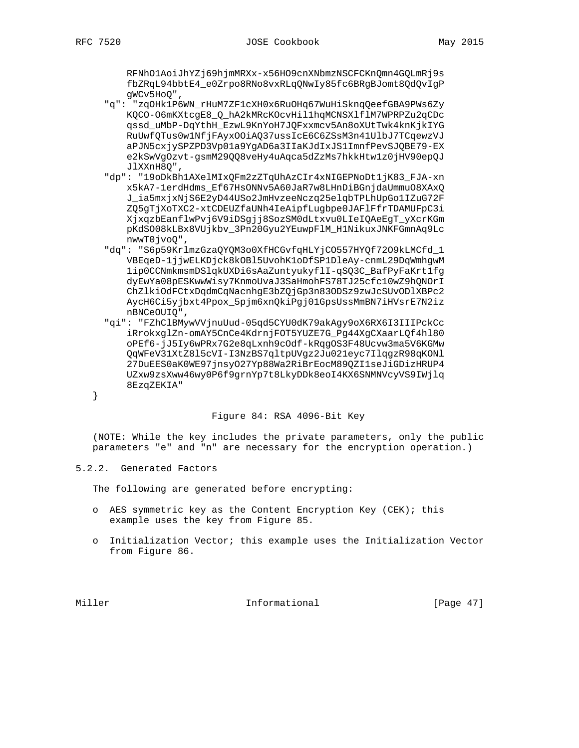RFNhO1AoiJhYZj69hjmMRXx-x56HO9cnXNbmzNSCFCKnQmn4GQLmRj9s fbZRqL94bbtE4\_e0Zrpo8RNo8vxRLqQNwIy85fc6BRgBJomt8QdQvIgP gWCv5HoQ",

- "q": "zqOHk1P6WN\_rHuM7ZF1cXH0x6RuOHq67WuHiSknqQeefGBA9PWs6Zy KQCO-O6mKXtcgE8\_Q\_hA2kMRcKOcvHillhqMCNSXlflM7WPRPZu2qCDc qssd\_uMbP-DqYthH\_EzwL9KnYoH7JQFxxmcv5An8oXUtTwk4knKjkIYG RuUwfQTus0w1NfjFAyxOOiAQ37ussIcE6C6ZSsM3n41UlbJ7TCqewzVJ aPJN5cxjySPZPD3Vp01a9YgAD6a3IIaKJdIxJS1ImnfPevSJQBE79-EX e2kSwVgOzvt-gsmM29QQ8veHy4uAqca5dZzMs7hkkHtw1z0jHV90epQJ JlXXnH8Q",
- "dp": "19oDkBh1AXelMIxQFm2zZTqUhAzCIr4xNIGEPNoDt1jK83\_FJA-xn x5kA7-1erdHdms\_Ef67HsONNv5A60JaR7w8LHnDiBGnjdaUmmuO8XAxQ J\_ia5mxjxNjS6E2yD44USo2JmHvzeeNczq25elqbTPLhUpGo1IZuG72F ZQ5gTjXoTXC2-xtCDEUZfaUNh4IeAipfLugbpe0JAFlFfrTDAMUFpC3i XjxqzbEanflwPvj6V9iDSgjj8SozSM0dLtxvu0LIeIQAeEgT\_yXcrKGm pKdSO08kLBx8VUjkbv\_3Pn20Gyu2YEuwpFlM\_H1NikuxJNKFGmnAq9Lc nwwT0jvoQ",
- "dq": "S6p59KrlmzGzaQYQM3o0XfHCGvfqHLYjCO557HYQf72O9kLMCfd\_1 VBEqeD-1jjwELKDjck8kOBl5UvohK1oDfSP1DleAy-cnmL29DqWmhgwM 1ip0CCNmkmsmDSlqkUXDi6sAaZuntyukyflI-qSQ3C\_BafPyFaKrt1fg dyEwYa08pESKwwWisy7KnmoUvaJ3SaHmohFS78TJ25cfc10wZ9hQNOrI ChZlkiOdFCtxDqdmCqNacnhgE3bZQjGp3n83ODSz9zwJcSUvODlXBPc2 AycH6Ci5yjbxt4Ppox\_5pjm6xnQkiPgj01GpsUssMmBN7iHVsrE7N2iz nBNCeOUIQ",
- "qi": "FZhClBMywVVjnuUud-05qd5CYU0dK79akAgy9oX6RX6I3IIIPckCc iRrokxglZn-omAY5CnCe4KdrnjFOT5YUZE7G\_Pg44XgCXaarLQf4hl80 oPEf6-jJ5Iy6wPRx7G2e8qLxnh9cOdf-kRqgOS3F48Ucvw3ma5V6KGMw QqWFeV31XtZ8l5cVI-I3NzBS7qltpUVgz2Ju021eyc7IlqgzR98qKONl 27DuEES0aK0WE97jnsyO27Yp88Wa2RiBrEocM89QZI1seJiGDizHRUP4 UZxw9zsXww46wy0P6f9grnYp7t8LkyDDk8eoI4KX6SNMNVcyVS9IWjlq 8EzqZEKIA"

#### }

## Figure 84: RSA 4096-Bit Key

 (NOTE: While the key includes the private parameters, only the public parameters "e" and "n" are necessary for the encryption operation.)

5.2.2. Generated Factors

The following are generated before encrypting:

- o AES symmetric key as the Content Encryption Key (CEK); this example uses the key from Figure 85.
- o Initialization Vector; this example uses the Initialization Vector from Figure 86.

Miller **Informational** [Page 47]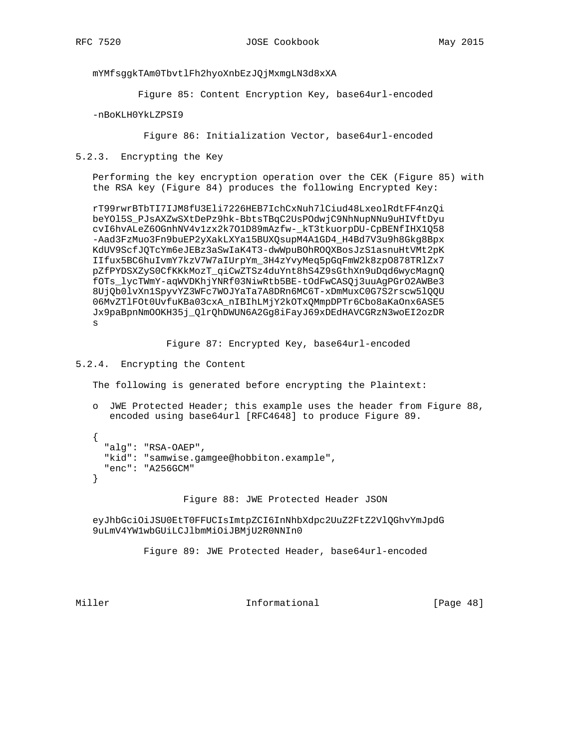mYMfsggkTAm0TbvtlFh2hyoXnbEzJQjMxmgLN3d8xXA

Figure 85: Content Encryption Key, base64url-encoded

-nBoKLH0YkLZPSI9

Figure 86: Initialization Vector, base64url-encoded

5.2.3. Encrypting the Key

 Performing the key encryption operation over the CEK (Figure 85) with the RSA key (Figure 84) produces the following Encrypted Key:

 rT99rwrBTbTI7IJM8fU3Eli7226HEB7IchCxNuh7lCiud48LxeolRdtFF4nzQi beYOl5S\_PJsAXZwSXtDePz9hk-BbtsTBqC2UsPOdwjC9NhNupNNu9uHIVftDyu cvI6hvALeZ6OGnhNV4v1zx2k7O1D89mAzfw-\_kT3tkuorpDU-CpBENfIHX1Q58 -Aad3FzMuo3Fn9buEP2yXakLXYa15BUXQsupM4A1GD4\_H4Bd7V3u9h8Gkg8Bpx KdUV9ScfJQTcYm6eJEBz3aSwIaK4T3-dwWpuBOhROQXBosJzS1asnuHtVMt2pK IIfux5BC6huIvmY7kzV7W7aIUrpYm\_3H4zYvyMeq5pGqFmW2k8zpO878TRlZx7 pZfPYDSXZyS0CfKKkMozT\_qiCwZTSz4duYnt8hS4Z9sGthXn9uDqd6wycMagnQ fOTs\_lycTWmY-aqWVDKhjYNRf03NiwRtb5BE-tOdFwCASQj3uuAgPGrO2AWBe3 8UjQb0lvXn1SpyvYZ3WFc7WOJYaTa7A8DRn6MC6T-xDmMuxC0G7S2rscw5lQQU 06MvZTlFOt0UvfuKBa03cxA\_nIBIhLMjY2kOTxQMmpDPTr6Cbo8aKaOnx6ASE5 Jx9paBpnNmOOKH35j\_QlrQhDWUN6A2Gg8iFayJ69xDEdHAVCGRzN3woEI2ozDR s

Figure 87: Encrypted Key, base64url-encoded

## 5.2.4. Encrypting the Content

The following is generated before encrypting the Plaintext:

 o JWE Protected Header; this example uses the header from Figure 88, encoded using base64url [RFC4648] to produce Figure 89.

 { "alg": "RSA-OAEP", "kid": "samwise.gamgee@hobbiton.example", "enc": "A256GCM" }

Figure 88: JWE Protected Header JSON

 eyJhbGciOiJSU0EtT0FFUCIsImtpZCI6InNhbXdpc2UuZ2FtZ2VlQGhvYmJpdG 9uLmV4YW1wbGUiLCJlbmMiOiJBMjU2R0NNIn0

Figure 89: JWE Protected Header, base64url-encoded

Miller **Informational Informational** [Page 48]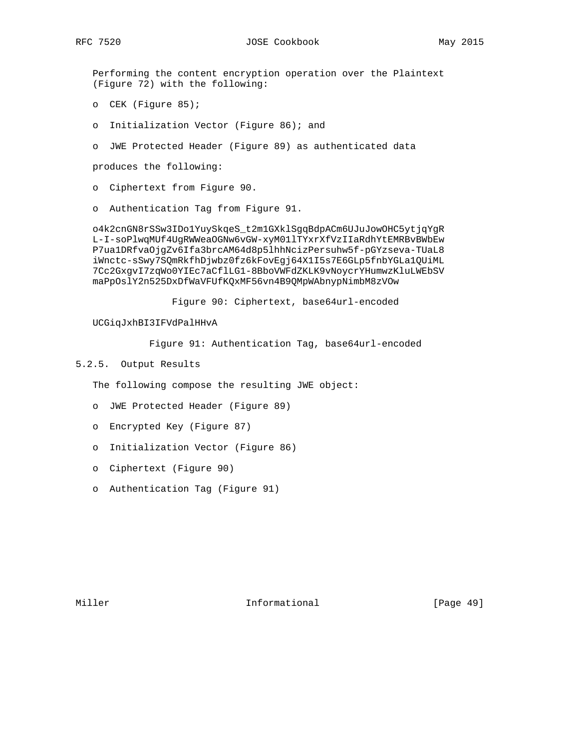Performing the content encryption operation over the Plaintext (Figure 72) with the following:

- o CEK (Figure 85);
- o Initialization Vector (Figure 86); and
- o JWE Protected Header (Figure 89) as authenticated data

produces the following:

- o Ciphertext from Figure 90.
- o Authentication Tag from Figure 91.

 o4k2cnGN8rSSw3IDo1YuySkqeS\_t2m1GXklSgqBdpACm6UJuJowOHC5ytjqYgR L-I-soPlwqMUf4UgRWWeaOGNw6vGW-xyM01lTYxrXfVzIIaRdhYtEMRBvBWbEw P7ua1DRfvaOjgZv6Ifa3brcAM64d8p5lhhNcizPersuhw5f-pGYzseva-TUaL8 iWnctc-sSwy7SQmRkfhDjwbz0fz6kFovEgj64X1I5s7E6GLp5fnbYGLa1QUiML 7Cc2GxgvI7zqWo0YIEc7aCflLG1-8BboVWFdZKLK9vNoycrYHumwzKluLWEbSV maPpOslY2n525DxDfWaVFUfKQxMF56vn4B9QMpWAbnypNimbM8zVOw

Figure 90: Ciphertext, base64url-encoded

UCGiqJxhBI3IFVdPalHHvA

Figure 91: Authentication Tag, base64url-encoded

### 5.2.5. Output Results

The following compose the resulting JWE object:

- o JWE Protected Header (Figure 89)
- o Encrypted Key (Figure 87)
- o Initialization Vector (Figure 86)
- o Ciphertext (Figure 90)
- o Authentication Tag (Figure 91)

Miller **Informational** [Page 49]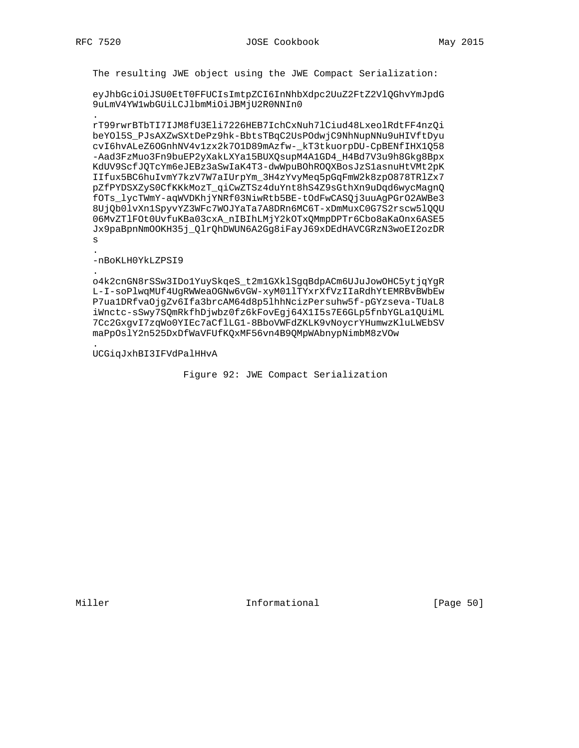The resulting JWE object using the JWE Compact Serialization:

eyJhbGciOiJSU0EtT0FFUCIsImtpZCI6InNhbXdpc2UuZ2FtZ2VlQGhvYmJpdG 9uLmV4YW1wbGUiLCJlbmMiOiJBMjU2R0NNIn0

rT99rwrBTbTI7IJM8fU3Eli7226HEB7IchCxNuh7lCiud48LxeolRdtFF4nzQi beYO15S\_PJsAXZwSXtDePz9hk-BbtsTBqC2UsPOdwjC9NhNupNNu9uHIVftDyu cvI6hvALeZ6OGnhNV4v1zx2k701D89mAzfw-\_kT3tkuorpDU-CpBENfIHX1Q58 -Aad3FzMuo3Fn9buEP2yXakLXYa15BUXQsupM4A1GD4\_H4Bd7V3u9h8Gkg8Bpx KdUV9ScfJQTcYm6eJEBz3aSwIaK4T3-dwWpuBOhROQXBosJzS1asnuHtVMt2pK IIfux5BC6huIvmY7kzV7W7aIUrpYm\_3H4zYvyMeq5pGqFmW2k8zpO878TR1Zx7 pZfPYDSXZyS0CfKKkMozT\_qiCwZTSz4duYnt8hS4Z9sGthXn9uDqd6wycMagnQ fOTs\_lycTWmY-aqWVDKhjYNRf03NiwRtb5BE-tOdFwCASQj3uuAgPGrO2AWBe3 8UjQb0lvXn1SpyvYZ3WFc7WOJYaTa7A8DRn6MC6T-xDmMuxC0G7S2rscw51QQU 06MvZTlFOt0UvfuKBa03cxA\_nIBIhLMjY2kOTxQMmpDPTr6Cbo8aKaOnx6ASE5 Jx9paBpnNmOOKH35j QlrQhDWUN6A2Gq8iFayJ69xDEdHAVCGRzN3woEI2ozDR S

-nBoKLH0YkLZPSI9

o4k2cnGN8rSSw3IDo1YuySkqeS\_t2m1GXk1SgqBdpACm6UJuJowOHC5ytjqYgR L-I-soPlwqMUf4UqRWWeaOGNw6vGW-xyM01lTYxrXfVzIIaRdhYtEMRBvBWbEw P7ua1DRfva0jgZv6Ifa3brcAM64d8p51hhNcizPersuhw5f-pGYzseva-TUaL8 iWnctc-sSwy7SQmRkfhDjwbz0fz6kFovEgj64X1I5s7E6GLp5fnbYGLa1QUiML 7Cc2GxgvI7zqWo0YIEc7aCflLG1-8BboVWFdZKLK9vNoycrYHumwzKluLWEbSV maPpOslY2n525DxDfWaVFUfKQxMF56vn4B9QMpWAbnypNimbM8zVOw

UCGiqJxhBI3IFVdPalHHvA

Figure 92: JWE Compact Serialization

Informational

[Page 50]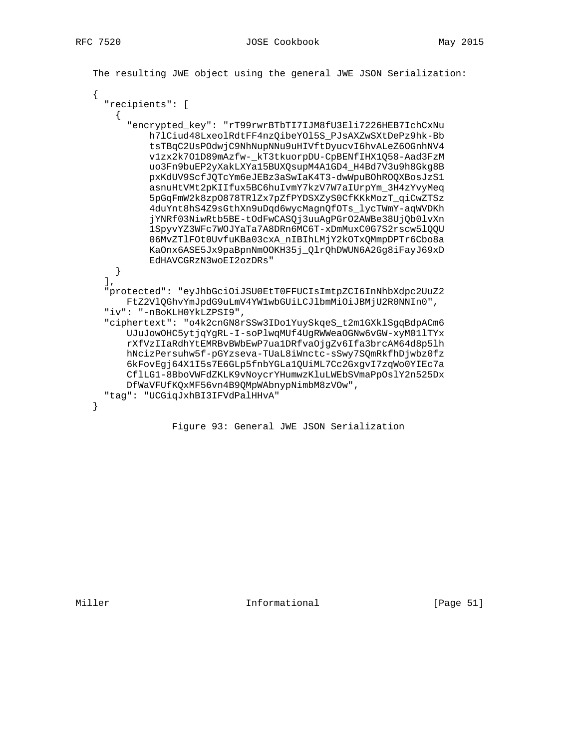The resulting JWE object using the general JWE JSON Serialization:

```
\left\{ \right."recipients": [
    \mathcal{L}"encrypted_key": "rT99rwrBTbTI7IJM8fU3Eli7226HEB7IchCxNu
          h71Ciud48LxeolRdtFF4nzQibeYO15S_PJsAXZwSXtDePz9hk-Bb
          tsTBqC2UsPOdwjC9NhNupNNu9uHIVftDyucvI6hvALeZ6OGnhNV4
          v1zx2k701D89mAzfw-_kT3tkuorpDU-CpBENfIHX1Q58-Aad3FzM
          uo3Fn9buEP2yXakLXYa15BUXQsupM4A1GD4_H4Bd7V3u9h8Gkg8B
          pxKdUV9ScfJQTcYm6eJEBz3aSwIaK4T3-dwWpuBOhROQXBosJzS1
          asnuHtVMt2pKIIfux5BC6huIvmY7kzV7W7aIUrpYm_3H4zYvyMeq
          5pGqFmW2k8zp0878TRlZx7pZfPYDSXZyS0CfKKkMozT qiCwZTSz
          4duYnt8hS4Z9sGthXn9uDqd6wycMagnQfOTs_lycTWmY-aqWVDKh
          jYNRf03NiwRtb5BE-tOdFwCASQj3uuAgPGrO2AWBe38UjQb0lvXn
          1SpyvYZ3WFc7WOJYaTa7A8DRn6MC6T-xDmMuxC0G7S2rscw51QQU
          06MvZTlFOt0UvfuKBa03cxA_nIBIhLMjY2kOTxQMmpDPTr6Cbo8a
          KaOnx6ASE5Jx9paBpnNmOOKH35j_QlrQhDWUN6A2Gg8iFayJ69xD
          EdHAVCGRZN3woEI2ozDRs"
   }
  \mathbf{1}.
  "protected": "eyJhbGciOiJSU0EtT0FFUCIsImtpZCI6InNhbXdpc2UuZ2
     FtZ2VlQGhvYmJpdG9uLmV4YWlwbGUiLCJlbmMiOiJBMjU2R0NNIn0",
  "iv": "-nBoKLH0YkLZPSI9",
  "ciphertext": "o4k2cnGN8rSSw3IDo1YuySkqeS_t2m1GXklSgqBdpACm6
      UJuJowOHC5ytjqYgRL-I-soPlwqMUf4UgRWWeaOGNw6vGW-xyM011TYx
      rXfVzIIaRdhYtEMRBvBWbEwP7ua1DRfvaOjgZv6Ifa3brcAM64d8p51h
      hNcizPersuhw5f-pGYzseva-TUaL8iWnctc-sSwy7SQmRkfhDjwbz0fz
      6kFovEgj64X1I5s7E6GLp5fnbYGLa1QUiML7Cc2GxgvI7zqWo0YIEc7a
      CflLG1-8BboVWFdZKLK9vNoycrYHumwzKluLWEbSVmaPpOslY2n525Dx
      DfWaVFUfKQxMF56vn4B9QMpWAbnypNimbM8zVOw",
  "tag": "UCGiqJxhBI3IFVdPalHHvA"
\mathcal{E}
```
Figure 93: General JWE JSON Serialization

Informational

[Page  $51$ ]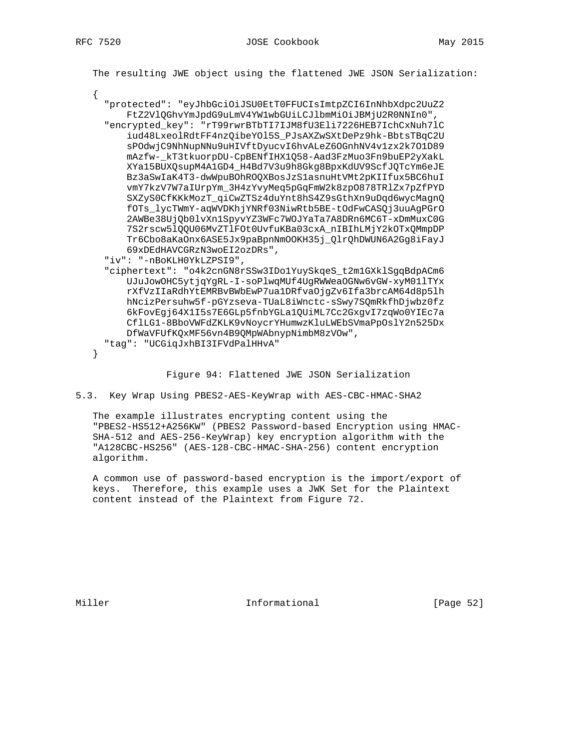The resulting JWE object using the flattened JWE JSON Serialization: "protected": "eyJhbGciOiJSU0EtT0FFUCIsImtpZCI6InNhbXdpc2UuZ2 FtZ2VlQGhvYmJpdG9uLmV4YWlwbGUiLCJlbmMiOiJBMjU2R0NNIn0", "encrypted\_key": "rT99rwrBTbTI7IJM8fU3Eli7226HEB7IchCxNuh7lC iud48LxeolRdtFF4nzQibeYOl5S\_PJsAXZwSXtDePz9hk-BbtsTBqC2U sPOdwjC9NhNupNNu9uHIVftDyucvI6hvALeZ6OGnhNV4v1zx2k7O1D89 mAzfw-\_kT3tkuorpDU-CpBENfIHX1Q58-Aad3FzMuo3Fn9buEP2yXakL XYa15BUXQsupM4A1GD4\_H4Bd7V3u9h8Gkg8BpxKdUV9ScfJQTcYm6eJE Bz3aSwIaK4T3-dwWpuBOhROQXBosJzS1asnuHtVMt2pKIIfux5BC6huI vmY7kzV7W7aIUrpYm\_3H4zYvyMeq5pGqFmW2k8zp0878TRlZx7pZfPYD SXZyS0CfKKkMozT\_qiCwZTSz4duYnt8hS4Z9sGthXn9uDqd6wycMagnQ fOTs\_lycTWmY-aqWVDKhjYNRf03NiwRtb5BE-tOdFwCASQj3uuAgPGrO 2AWBe38UjQb0lvXn1SpyvYZ3WFc7WOJYaTa7A8DRn6MC6T-xDmMuxC0G 7S2rscw5lQQU06MvZTlFOt0UvfuKBa03cxA\_nIBIhLMjY2kOTxQMmpDP Tr6Cbo8aKaOnx6ASE5Jx9paBpnNmOOKH35j\_QlrQhDWUN6A2Gg8iFayJ 69xDEdHAVCGRzN3woEI2ozDRs", "iv": "-nBoKLH0YkLZPSI9", "ciphertext": "o4k2cnGN8rSSw3IDo1YuySkqeS\_t2m1GXklSgqBdpACm6 UJuJowOHC5ytjqYgRL-I-soPlwqMUf4UgRWWeaOGNw6vGW-xyM01lTYx rXfVzIIaRdhYtEMRBvBWbEwP7ua1DRfvaOjgZv6Ifa3brcAM64d8p5lh hNcizPersuhw5f-pGYzseva-TUaL8iWnctc-sSwy7SQmRkfhDjwbz0fz 6kFovEgj64X1I5s7E6GLp5fnbYGLa1QUiML7Cc2GxgvI7zqWo0YIEc7a CflLG1-8BboVWFdZKLK9vNoycrYHumwzKluLWEbSVmaPpOslY2n525Dx DfWaVFUfKQxMF56vn4B9QMpWAbnypNimbM8zVOw", "tag": "UCGiqJxhBI3IFVdPalHHvA"  $\left\{ \right\}$ 

Figure 94: Flattened JWE JSON Serialization

5.3. Key Wrap Using PBES2-AES-KeyWrap with AES-CBC-HMAC-SHA2

The example illustrates encrypting content using the "PBES2-HS512+A256KW" (PBES2 Password-based Encryption using HMAC-SHA-512 and AES-256-KeyWrap) key encryption algorithm with the "A128CBC-HS256" (AES-128-CBC-HMAC-SHA-256) content encryption algorithm.

A common use of password-based encryption is the import/export of keys. Therefore, this example uses a JWK Set for the Plaintext content instead of the Plaintext from Figure 72.

Miller

Informational

[Page 52]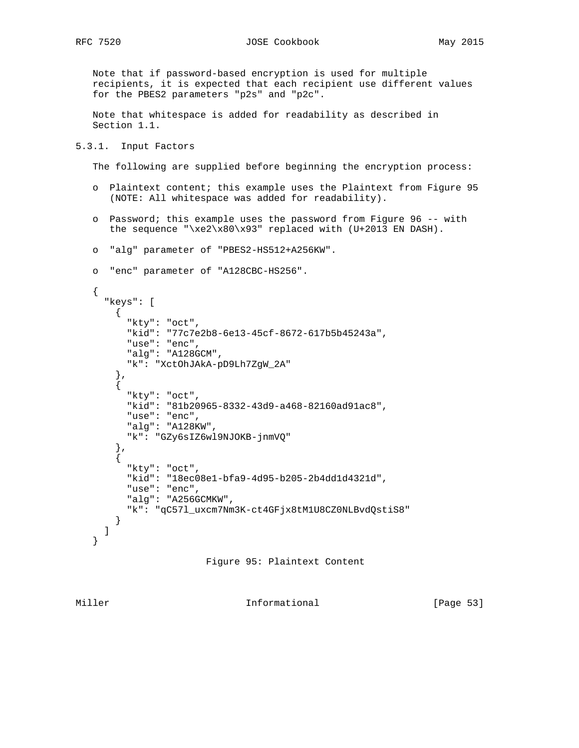Note that if password-based encryption is used for multiple recipients, it is expected that each recipient use different values for the PBES2 parameters "p2s" and "p2c".

 Note that whitespace is added for readability as described in Section 1.1.

#### 5.3.1. Input Factors

The following are supplied before beginning the encryption process:

- o Plaintext content; this example uses the Plaintext from Figure 95 (NOTE: All whitespace was added for readability).
- o Password; this example uses the password from Figure 96 -- with the sequence "\xe2\x80\x93" replaced with (U+2013 EN DASH).
- o "alg" parameter of "PBES2-HS512+A256KW".

```
 o "enc" parameter of "A128CBC-HS256".
```

```
 {
   "keys": [
    \mathcal{A} "kty": "oct",
       "kid": "77c7e2b8-6e13-45cf-8672-617b5b45243a",
       "use": "enc",
       "alg": "A128GCM",
       "k": "XctOhJAkA-pD9Lh7ZgW_2A"
     },
     {
       "kty": "oct",
       "kid": "81b20965-8332-43d9-a468-82160ad91ac8",
       "use": "enc",
       "alg": "A128KW",
       "k": "GZy6sIZ6wl9NJOKB-jnmVQ"
     },
     {
       "kty": "oct",
       "kid": "18ec08e1-bfa9-4d95-b205-2b4dd1d4321d",
       "use": "enc",
       "alg": "A256GCMKW",
       "k": "qC57l_uxcm7Nm3K-ct4GFjx8tM1U8CZ0NLBvdQstiS8"
     }
   ]
 }
```


Miller **Informational** [Page 53]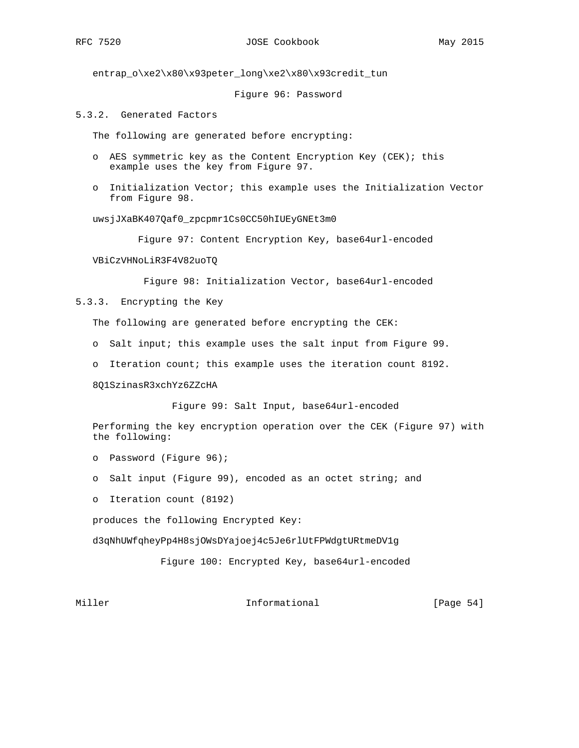entrap\_o\xe2\x80\x93peter\_long\xe2\x80\x93credit\_tun

#### Figure 96: Password

5.3.2. Generated Factors

The following are generated before encrypting:

- o AES symmetric key as the Content Encryption Key (CEK); this example uses the key from Figure 97.
- o Initialization Vector; this example uses the Initialization Vector from Figure 98.

uwsjJXaBK407Qaf0\_zpcpmr1Cs0CC50hIUEyGNEt3m0

Figure 97: Content Encryption Key, base64url-encoded

VBiCzVHNoLiR3F4V82uoTQ

Figure 98: Initialization Vector, base64url-encoded

5.3.3. Encrypting the Key

The following are generated before encrypting the CEK:

- o Salt input; this example uses the salt input from Figure 99.
- o Iteration count; this example uses the iteration count 8192.

8Q1SzinasR3xchYz6ZZcHA

Figure 99: Salt Input, base64url-encoded

 Performing the key encryption operation over the CEK (Figure 97) with the following:

- o Password (Figure 96);
- o Salt input (Figure 99), encoded as an octet string; and

o Iteration count (8192)

produces the following Encrypted Key:

d3qNhUWfqheyPp4H8sjOWsDYajoej4c5Je6rlUtFPWdgtURtmeDV1g

Figure 100: Encrypted Key, base64url-encoded

Miller **Informational Informational** [Page 54]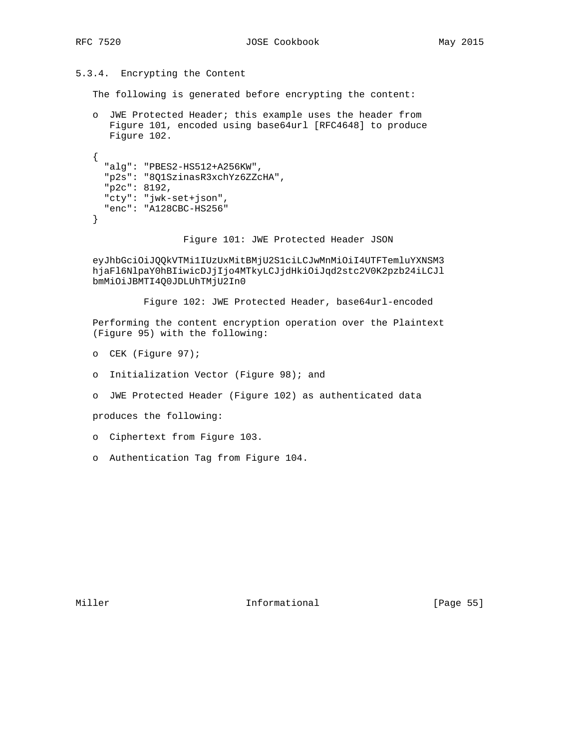5.3.4. Encrypting the Content

The following is generated before encrypting the content:

 o JWE Protected Header; this example uses the header from Figure 101, encoded using base64url [RFC4648] to produce Figure 102.

```
 {
   "alg": "PBES2-HS512+A256KW",
   "p2s": "8Q1SzinasR3xchYz6ZZcHA",
   "p2c": 8192,
   "cty": "jwk-set+json",
   "enc": "A128CBC-HS256"
 }
```
Figure 101: JWE Protected Header JSON

 eyJhbGciOiJQQkVTMi1IUzUxMitBMjU2S1ciLCJwMnMiOiI4UTFTemluYXNSM3 hjaFl6NlpaY0hBIiwicDJjIjo4MTkyLCJjdHkiOiJqd2stc2V0K2pzb24iLCJl bmMiOiJBMTI4Q0JDLUhTMjU2In0

Figure 102: JWE Protected Header, base64url-encoded

 Performing the content encryption operation over the Plaintext (Figure 95) with the following:

- o CEK (Figure 97);
- o Initialization Vector (Figure 98); and
- o JWE Protected Header (Figure 102) as authenticated data

produces the following:

- o Ciphertext from Figure 103.
- o Authentication Tag from Figure 104.

Miller **Informational** [Page 55]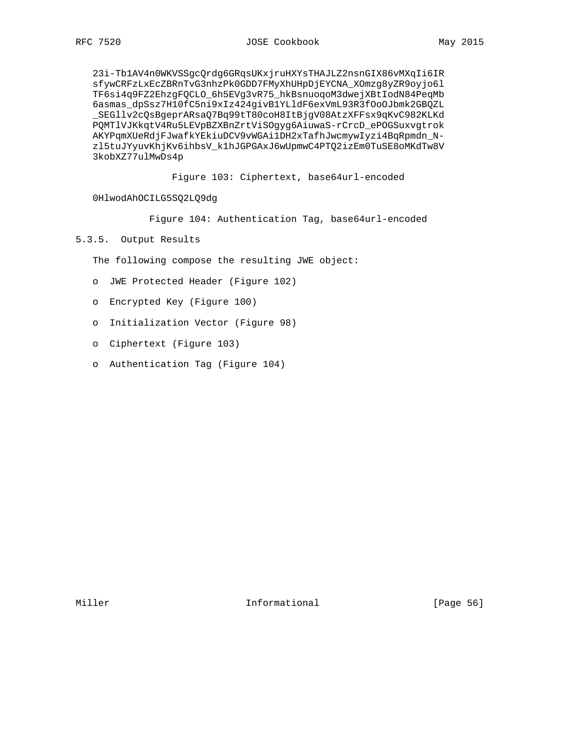23i-Tb1AV4n0WKVSSgcQrdg6GRqsUKxjruHXYsTHAJLZ2nsnGIX86vMXqIi6IR sfywCRFzLxEcZBRnTvG3nhzPk0GDD7FMyXhUHpDjEYCNA\_XOmzg8yZR9oyjo6l TF6si4q9FZ2EhzgFQCLO\_6h5EVg3vR75\_hkBsnuoqoM3dwejXBtIodN84PeqMb 6asmas\_dpSsz7H10fC5ni9xIz424givB1YLldF6exVmL93R3fOoOJbmk2GBQZL \_SEGllv2cQsBgeprARsaQ7Bq99tT80coH8ItBjgV08AtzXFFsx9qKvC982KLKd PQMTlVJKkqtV4Ru5LEVpBZXBnZrtViSOgyg6AiuwaS-rCrcD\_ePOGSuxvgtrok AKYPqmXUeRdjFJwafkYEkiuDCV9vWGAi1DH2xTafhJwcmywIyzi4BqRpmdn\_N zl5tuJYyuvKhjKv6ihbsV\_k1hJGPGAxJ6wUpmwC4PTQ2izEm0TuSE8oMKdTw8V 3kobXZ77ulMwDs4p

Figure 103: Ciphertext, base64url-encoded

0HlwodAhOCILG5SQ2LQ9dg

Figure 104: Authentication Tag, base64url-encoded

## 5.3.5. Output Results

The following compose the resulting JWE object:

- o JWE Protected Header (Figure 102)
- o Encrypted Key (Figure 100)
- o Initialization Vector (Figure 98)
- o Ciphertext (Figure 103)
- o Authentication Tag (Figure 104)

Miller **Informational** [Page 56]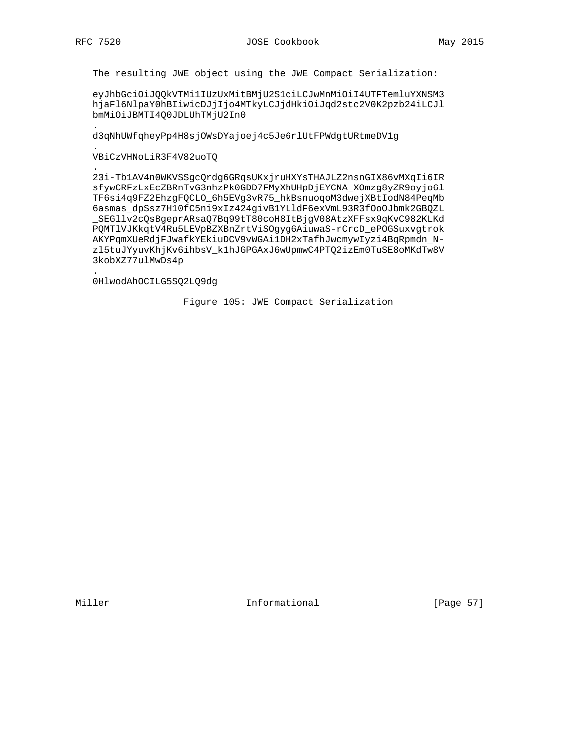The resulting JWE object using the JWE Compact Serialization:

eyJhbGciOiJQQkVTMilIUzUxMitBMjU2S1ciLCJwMnMiOiI4UTFTemluYXNSM3 hjaFl6NlpaY0hBIiwicDJjIjo4MTkyLCJjdHkiOiJqd2stc2V0K2pzb24iLCJl bmMiOiJBMTI4Q0JDLUhTMjU2In0

d3qNhUWfqheyPp4H8sjOWsDYajoej4c5Je6rlUtFPWdgtURtmeDV1g

## VBiCzVHNoLiR3F4V82uoTQ

23i-Tb1AV4n0WKVSSgcQrdg6GRqsUKxjruHXYsTHAJLZ2nsnGIX86vMXqIi6IR sfywCRFzLxEcZBRnTvG3nhzPk0GDD7FMyXhUHpDjEYCNA\_XOmzg8yZR9oyjo61 TF6si4q9FZ2EhzgFQCLO\_6h5EVg3vR75\_hkBsnuoqoM3dwejXBtIodN84PeqMb 6asmas\_dpSsz7H10fC5ni9xIz424givB1YLldF6exVmL93R3fOoOJbmk2GBQZL \_SEGllv2cQsBgeprARsaQ7Bq99tT80coH8ItBjgV08AtzXFFsx9qKvC982KLKd PQMTlVJKkqtV4Ru5LEVpBZXBnZrtViSOgyg6AiuwaS-rCrcD\_ePOGSuxvgtrok AKYPqmXUeRdjFJwafkYEkiuDCV9vWGAi1DH2xTafhJwcmywIyzi4BqRpmdn\_Nzl5tuJYyuvKhjKv6ihbsV\_k1hJGPGAxJ6wUpmwC4PTQ2izEm0TuSE8oMKdTw8V 3kobXZ77ulMwDs4p

## 0HlwodAhOCILG5SQ2LQ9dg

Figure 105: JWE Compact Serialization

Informational

[Page 57]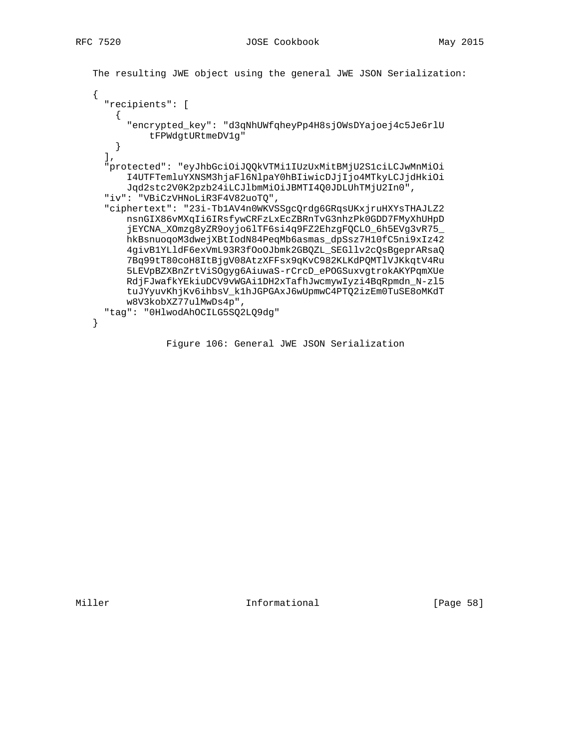```
 The resulting JWE object using the general JWE JSON Serialization:
 {
   "recipients": [
   \mathcal{A} "encrypted_key": "d3qNhUWfqheyPp4H8sjOWsDYajoej4c5Je6rlU
           tFPWdgtURtmeDV1g"
    }
  \mathbf{1},
   "protected": "eyJhbGciOiJQQkVTMi1IUzUxMitBMjU2S1ciLCJwMnMiOi
       I4UTFTemluYXNSM3hjaFl6NlpaY0hBIiwicDJjIjo4MTkyLCJjdHkiOi
       Jqd2stc2V0K2pzb24iLCJlbmMiOiJBMTI4Q0JDLUhTMjU2In0",
   "iv": "VBiCzVHNoLiR3F4V82uoTQ",
   "ciphertext": "23i-Tb1AV4n0WKVSSgcQrdg6GRqsUKxjruHXYsTHAJLZ2
       nsnGIX86vMXqIi6IRsfywCRFzLxEcZBRnTvG3nhzPk0GDD7FMyXhUHpD
       jEYCNA_XOmzg8yZR9oyjo6lTF6si4q9FZ2EhzgFQCLO_6h5EVg3vR75_
       hkBsnuoqoM3dwejXBtIodN84PeqMb6asmas_dpSsz7H10fC5ni9xIz42
       4givB1YLldF6exVmL93R3fOoOJbmk2GBQZL_SEGllv2cQsBgeprARsaQ
       7Bq99tT80coH8ItBjgV08AtzXFFsx9qKvC982KLKdPQMTlVJKkqtV4Ru
       5LEVpBZXBnZrtViSOgyg6AiuwaS-rCrcD_ePOGSuxvgtrokAKYPqmXUe
       RdjFJwafkYEkiuDCV9vWGAi1DH2xTafhJwcmywIyzi4BqRpmdn_N-zl5
       tuJYyuvKhjKv6ihbsV_k1hJGPGAxJ6wUpmwC4PTQ2izEm0TuSE8oMKdT
       w8V3kobXZ77ulMwDs4p",
   "tag": "0HlwodAhOCILG5SQ2LQ9dg"
 }
```
Figure 106: General JWE JSON Serialization

Miller **Informational** [Page 58]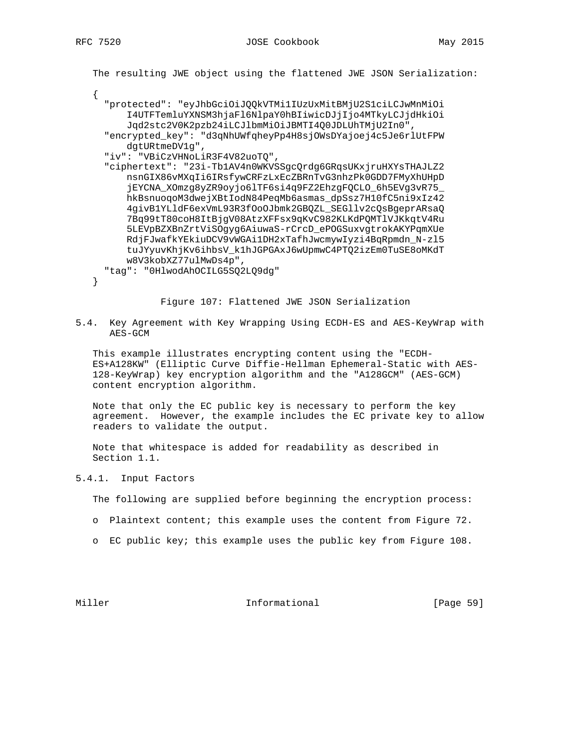| The resulting JWE object using the flattened JWE JSON Serialization: |
|----------------------------------------------------------------------|
|                                                                      |
| "protected": "eyJhbGciOiJQQkVTMilIUzUxMitBMjU2S1ciLCJwMnMiOi         |
| I4UTFTemluYXNSM3hjaFl6NlpaY0hBIiwicDJjIjo4MTkyLCJjdHkiOi             |
| Jqd2stc2V0K2pzb24iLCJ1bmMiOiJBMTI4O0JDLUhTMjU2In0",                  |
| "encrypted key": "d3qNhUWfqheyPp4H8sjOWsDYajoej4c5Je6rlUtFPW         |
| dqtURtmeDV1q",                                                       |
| "iv": "VBiCzVHNoLiR3F4V82uoTO",                                      |
| "ciphertext": "23i-TblAV4n0WKVSSgcQrdg6GRqsUKxjruHXYsTHAJLZ2         |
| nsnGIX86vMXqIi6IRsfywCRFzLxEcZBRnTvG3nhzPk0GDD7FMyXhUHpD             |
| jEYCNA_XOmzg8yZR9oyjo61TF6si4q9FZ2EhzgFQCLO_6h5EVg3vR75_             |
| hkBsnuoqoM3dwejXBtIodN84PeqMb6asmas_dpSsz7H10fC5ni9xIz42             |
| 4givB1YLldF6exVmL93R3fOoOJbmk2GBQZL_SEGllv2cQsBgeprARsaQ             |
| 7Bq99tT80coH8ItBjqV08AtzXFFsx9qKvC982KLKdPQMTlVJKkqtV4Ru             |
| 5LEVpBZXBnZrtViSOgyg6AiuwaS-rCrcD_ePOGSuxvgtrokAKYPqmXUe             |
| RdjFJwafkYEkiuDCV9vWGAi1DH2xTafhJwcmywIyzi4BqRpmdn_N-zl5             |
| tuJYyuvKhjKv6ihbsV_k1hJGPGAxJ6wUpmwC4PTQ2izEm0TuSE8oMKdT             |
| w8V3kobXZ77ulMwDs4p",                                                |
| "tag": "OHlwodAhOCILG5SO2LO9dq"                                      |
|                                                                      |

Figure 107: Flattened JWE JSON Serialization

5.4. Key Agreement with Key Wrapping Using ECDH-ES and AES-KeyWrap with AES-GCM

 This example illustrates encrypting content using the "ECDH- ES+A128KW" (Elliptic Curve Diffie-Hellman Ephemeral-Static with AES- 128-KeyWrap) key encryption algorithm and the "A128GCM" (AES-GCM) content encryption algorithm.

 Note that only the EC public key is necessary to perform the key agreement. However, the example includes the EC private key to allow readers to validate the output.

 Note that whitespace is added for readability as described in Section 1.1.

5.4.1. Input Factors

The following are supplied before beginning the encryption process:

- o Plaintext content; this example uses the content from Figure 72.
- o EC public key; this example uses the public key from Figure 108.

Miller **Informational** [Page 59]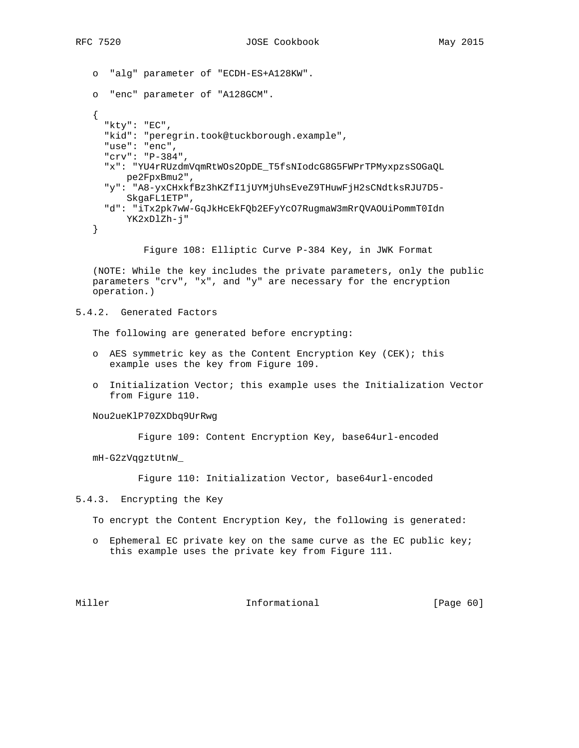```
 o "alg" parameter of "ECDH-ES+A128KW".
 o "enc" parameter of "A128GCM".
\left\{ \right. "kty": "EC",
   "kid": "peregrin.took@tuckborough.example",
   "use": "enc",
   "crv": "P-384",
   "x": "YU4rRUzdmVqmRtWOs2OpDE_T5fsNIodcG8G5FWPrTPMyxpzsSOGaQL
       pe2FpxBmu2",
   "y": "A8-yxCHxkfBz3hKZfI1jUYMjUhsEveZ9THuwFjH2sCNdtksRJU7D5-
       SkgaFL1ETP",
   "d": "iTx2pk7wW-GqJkHcEkFQb2EFyYcO7RugmaW3mRrQVAOUiPommT0Idn
      YK2xDlZh-j"
 }
```
Figure 108: Elliptic Curve P-384 Key, in JWK Format

 (NOTE: While the key includes the private parameters, only the public parameters "crv", "x", and "y" are necessary for the encryption operation.)

## 5.4.2. Generated Factors

The following are generated before encrypting:

- o AES symmetric key as the Content Encryption Key (CEK); this example uses the key from Figure 109.
- o Initialization Vector; this example uses the Initialization Vector from Figure 110.

Nou2ueKlP70ZXDbq9UrRwg

Figure 109: Content Encryption Key, base64url-encoded

mH-G2zVqgztUtnW\_

Figure 110: Initialization Vector, base64url-encoded

- 5.4.3. Encrypting the Key
	- To encrypt the Content Encryption Key, the following is generated:
	- o Ephemeral EC private key on the same curve as the EC public key; this example uses the private key from Figure 111.

Miller **Informational** [Page 60]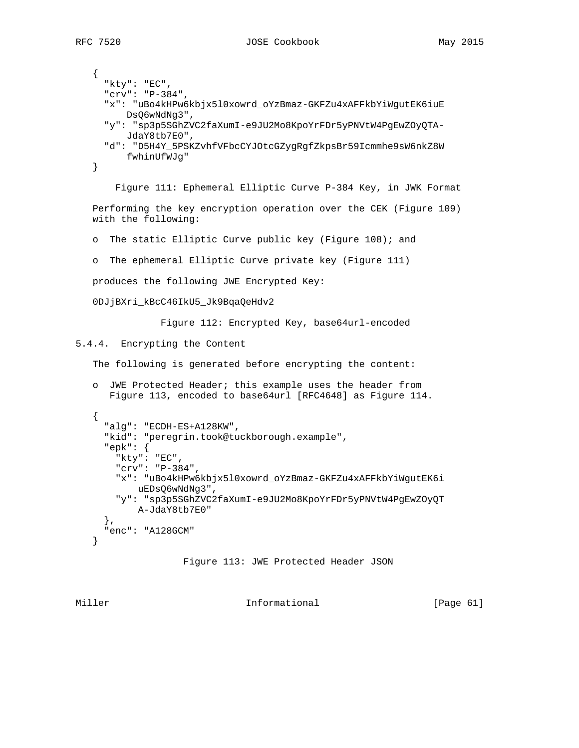```
 {
      "kty": "EC",
      "crv": "P-384",
      "x": "uBo4kHPw6kbjx5l0xowrd_oYzBmaz-GKFZu4xAFFkbYiWgutEK6iuE
          DsQ6wNdNg3",
      "y": "sp3p5SGhZVC2faXumI-e9JU2Mo8KpoYrFDr5yPNVtW4PgEwZOyQTA-
          JdaY8tb7E0",
      "d": "D5H4Y_5PSKZvhfVFbcCYJOtcGZygRgfZkpsBr59Icmmhe9sW6nkZ8W
          fwhinUfWJg"
    }
        Figure 111: Ephemeral Elliptic Curve P-384 Key, in JWK Format
    Performing the key encryption operation over the CEK (Figure 109)
    with the following:
    o The static Elliptic Curve public key (Figure 108); and
    o The ephemeral Elliptic Curve private key (Figure 111)
   produces the following JWE Encrypted Key:
    0DJjBXri_kBcC46IkU5_Jk9BqaQeHdv2
                Figure 112: Encrypted Key, base64url-encoded
5.4.4. Encrypting the Content
    The following is generated before encrypting the content:
    o JWE Protected Header; this example uses the header from
       Figure 113, encoded to base64url [RFC4648] as Figure 114.
    {
      "alg": "ECDH-ES+A128KW",
      "kid": "peregrin.took@tuckborough.example",
      "epk": {
        "kty": "EC",
        "crv": "P-384",
        "x": "uBo4kHPw6kbjx5l0xowrd_oYzBmaz-GKFZu4xAFFkbYiWgutEK6i
           uEDsQ6wNdNg3",
        "y": "sp3p5SGhZVC2faXumI-e9JU2Mo8KpoYrFDr5yPNVtW4PgEwZOyQT
            A-JdaY8tb7E0"
      },
      "enc": "A128GCM"
    }
                    Figure 113: JWE Protected Header JSON
```
Miller **Informational Informational** [Page 61]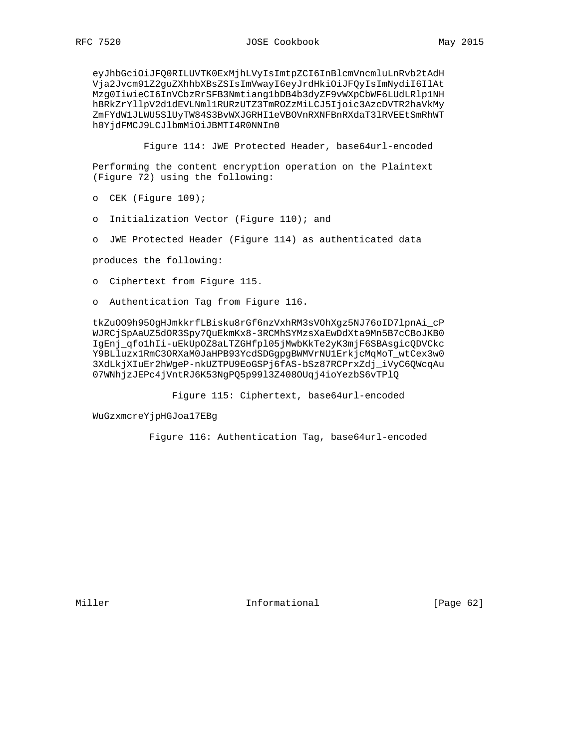eyJhbGciOiJFQ0RILUVTK0ExMjhLVyIsImtpZCI6InBlcmVncmluLnRvb2tAdH Vja2Jvcm91Z2guZXhhbXBsZSIsImVwayI6eyJrdHkiOiJFQyIsImNydiI6IlAt Mzg0IiwieCI6InVCbzRrSFB3Nmtiang1bDB4b3dyZF9vWXpCbWF6LUdLRlp1NH hBRkZrYllpV2d1dEVLNml1RURzUTZ3TmROZzMiLCJ5Ijoic3AzcDVTR2haVkMy ZmFYdW1JLWU5SlUyTW84S3BvWXJGRHI1eVBOVnRXNFBnRXdaT3lRVEEtSmRhWT h0YjdFMCJ9LCJlbmMiOiJBMTI4R0NNIn0

Figure 114: JWE Protected Header, base64url-encoded

 Performing the content encryption operation on the Plaintext (Figure 72) using the following:

- o CEK (Figure 109);
- o Initialization Vector (Figure 110); and
- o JWE Protected Header (Figure 114) as authenticated data

produces the following:

- o Ciphertext from Figure 115.
- o Authentication Tag from Figure 116.

 tkZuOO9h95OgHJmkkrfLBisku8rGf6nzVxhRM3sVOhXgz5NJ76oID7lpnAi\_cP WJRCjSpAaUZ5dOR3Spy7QuEkmKx8-3RCMhSYMzsXaEwDdXta9Mn5B7cCBoJKB0 IgEnj\_qfo1hIi-uEkUpOZ8aLTZGHfpl05jMwbKkTe2yK3mjF6SBAsgicQDVCkc Y9BLluzx1RmC3ORXaM0JaHPB93YcdSDGgpgBWMVrNU1ErkjcMqMoT\_wtCex3w0 3XdLkjXIuEr2hWgeP-nkUZTPU9EoGSPj6fAS-bSz87RCPrxZdj\_iVyC6QWcqAu 07WNhjzJEPc4jVntRJ6K53NgPQ5p99l3Z408OUqj4ioYezbS6vTPlQ

Figure 115: Ciphertext, base64url-encoded

WuGzxmcreYjpHGJoa17EBg

Figure 116: Authentication Tag, base64url-encoded

Miller **Informational** [Page 62]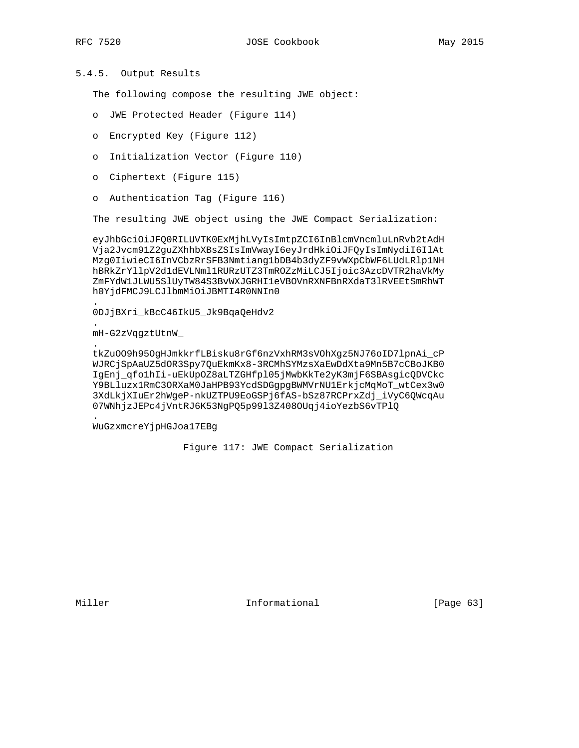# 5.4.5. Output Results

The following compose the resulting JWE object:

- o JWE Protected Header (Figure 114)
- o Encrypted Key (Figure 112)
- o Initialization Vector (Figure 110)
- o Ciphertext (Figure 115)
- o Authentication Tag (Figure 116)

The resulting JWE object using the JWE Compact Serialization:

 eyJhbGciOiJFQ0RILUVTK0ExMjhLVyIsImtpZCI6InBlcmVncmluLnRvb2tAdH Vja2Jvcm91Z2guZXhhbXBsZSIsImVwayI6eyJrdHkiOiJFQyIsImNydiI6IlAt Mzg0IiwieCI6InVCbzRrSFB3Nmtiang1bDB4b3dyZF9vWXpCbWF6LUdLRlp1NH hBRkZrYllpV2d1dEVLNml1RURzUTZ3TmROZzMiLCJ5Ijoic3AzcDVTR2haVkMy ZmFYdW1JLWU5SlUyTW84S3BvWXJGRHI1eVBOVnRXNFBnRXdaT3lRVEEtSmRhWT h0YjdFMCJ9LCJlbmMiOiJBMTI4R0NNIn0

 . 0DJjBXri\_kBcC46IkU5\_Jk9BqaQeHdv2

mH-G2zVqgztUtnW\_

.

.

.

 tkZuOO9h95OgHJmkkrfLBisku8rGf6nzVxhRM3sVOhXgz5NJ76oID7lpnAi\_cP WJRCjSpAaUZ5dOR3Spy7QuEkmKx8-3RCMhSYMzsXaEwDdXta9Mn5B7cCBoJKB0 IgEnj\_qfo1hIi-uEkUpOZ8aLTZGHfpl05jMwbKkTe2yK3mjF6SBAsgicQDVCkc Y9BLluzx1RmC3ORXaM0JaHPB93YcdSDGgpgBWMVrNU1ErkjcMqMoT\_wtCex3w0 3XdLkjXIuEr2hWgeP-nkUZTPU9EoGSPj6fAS-bSz87RCPrxZdj\_iVyC6QWcqAu 07WNhjzJEPc4jVntRJ6K53NgPQ5p99l3Z408OUqj4ioYezbS6vTPlQ

WuGzxmcreYjpHGJoa17EBg

Figure 117: JWE Compact Serialization

Miller **Informational** [Page 63]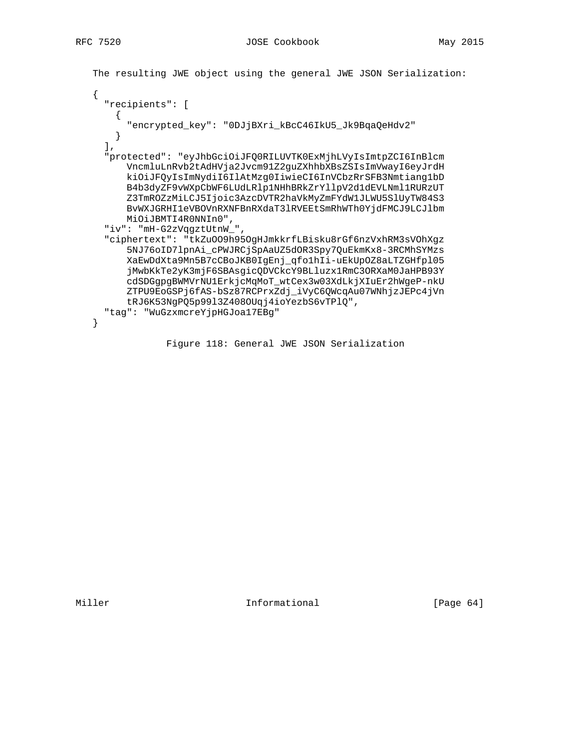The resulting JWE object using the general JWE JSON Serialization:

```
\{"recipients": [
   \mathcal{A}"encrypted_key": "ODJjBXri_kBcC46IkU5_Jk9BqaQeHdv2"
   \}\cdot"protected": "eyJhbGciOiJFQ0RILUVTK0ExMjhLVyIsImtpZCI6InBlcm
     VncmluLnRvb2tAdHVja2Jvcm91Z2guZXhhbXBsZSIsImVwayI6eyJrdH
     kiOiJFQyIsImNydiI6IlAtMzg0IiwieCI6InVCbzRrSFB3Nmtiang1bD
      B4b3dyZF9vWXpCbWF6LUdLRlp1NHhBRkZrYllpV2d1dEVLNml1RURzUT
      Z3TmROZzMiLCJ5Ijoic3AzcDVTR2haVkMyZmFYdW1JLWU5SlUyTW84S3
      BVWXJGRHI1eVBOVnRXNFBnRXdaT31RVEEtSmRhWTh0YjdFMCJ9LCJ1bm
     MiOiJBMTI4R0NNIn0",
  "iv": "mH-G2zVqgztUtnW_",
  "ciphertext": "tkZuOO9h95OgHJmkkrfLBisku8rGf6nzVxhRM3sVOhXgz
      5NJ76oID7lpnAi_cPWJRCjSpAaUZ5dOR3Spy7QuEkmKx8-3RCMhSYMzs
      XaEwDdXta9Mn5B7cCBoJKB0IgEnj_qfo1hIi-uEkUpOZ8aLTZGHfp105
      jMwbKkTe2yK3mjF6SBAsgicQDVCkcY9BLluzx1RmC3ORXaM0JaHPB93Y
      cdSDGgpgBWMVrNU1ErkjcMqMoT_wtCex3w03XdLkjXIuEr2hWgeP-nkU
      ZTPU9EoGSPj6fAS-bSz87RCPrxZdj_iVyC6QWcqAu07WNhjzJEPc4jVn
      tRJ6K53NgPQ5p9913Z408OUqj4ioYezbS6vTPlQ",
  "tag": "WuGzxmcreYjpHGJoa17EBg"
\}
```
Figure 118: General JWE JSON Serialization

Informational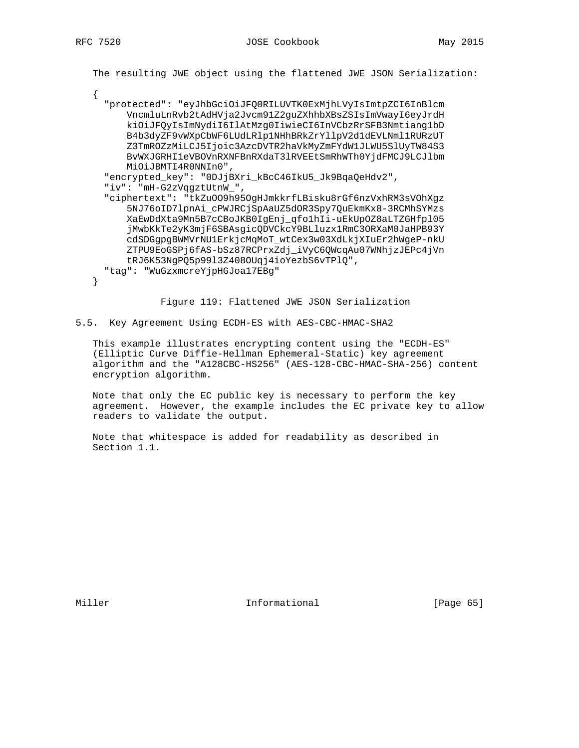The resulting JWE object using the flattened JWE JSON Serialization:

"protected": "eyJhbGciOiJFQ0RILUVTK0ExMjhLVyIsImtpZCI6InBlcm VncmluLnRvb2tAdHVja2Jvcm91Z2guZXhhbXBsZSIsImVwayI6eyJrdH kiOiJFQyIsImNydiI6IlAtMzg0IiwieCI6InVCbzRrSFB3Nmtiang1bD B4b3dyZF9vWXpCbWF6LUdLRlp1NHhBRkZrYllpV2d1dEVLNml1RURzUT Z3TmROZzMiLCJ5Ijoic3AzcDVTR2haVkMyZmFYdW1JLWU5SlUyTW84S3 BVWXJGRHI1eVBOVnRXNFBnRXdaT31RVEEtSmRhWTh0YjdFMCJ9LCJ1bm MiOiJBMTI4R0NNIn0", "encrypted\_key": "0DJjBXri\_kBcC46IkU5\_Jk9BqaQeHdv2", "iv": "mH-G2zVqgztUtnW\_", "ciphertext": "tkZu009h950gHJmkkrfLBisku8rGf6nzVxhRM3sVOhXgz 5NJ76oID71pnAi\_cPWJRCjSpAaUZ5dOR3Spy7QuEkmKx8-3RCMhSYMzs XaEwDdXta9Mn5B7cCBoJKB0IgEnj\_qfo1hIi-uEkUpOZ8aLTZGHfp105 jMwbKkTe2yK3mjF6SBAsgicQDVCkcY9BLluzx1RmC3ORXaM0JaHPB93Y cdSDGgpgBWMVrNU1ErkjcMqMoT\_wtCex3w03XdLkjXIuEr2hWgeP-nkU ZTPU9EoGSPj6fAS-bSz87RCPrxZdj\_iVyC6QWcqAu07WNhjzJEPc4jVn tRJ6K53NgPQ5p9913Z408OUqj4ioYezbS6vTPlQ", "tag": "WuGzxmcreYjpHGJoa17EBg"  $\mathcal{E}$ 

Figure 119: Flattened JWE JSON Serialization

5.5. Key Agreement Using ECDH-ES with AES-CBC-HMAC-SHA2

This example illustrates encrypting content using the "ECDH-ES" (Elliptic Curve Diffie-Hellman Ephemeral-Static) key agreement algorithm and the "A128CBC-HS256" (AES-128-CBC-HMAC-SHA-256) content encryption algorithm.

Note that only the EC public key is necessary to perform the key agreement. However, the example includes the EC private key to allow readers to validate the output.

Note that whitespace is added for readability as described in Section 1.1.

Miller

Informational

 $[Page 65]$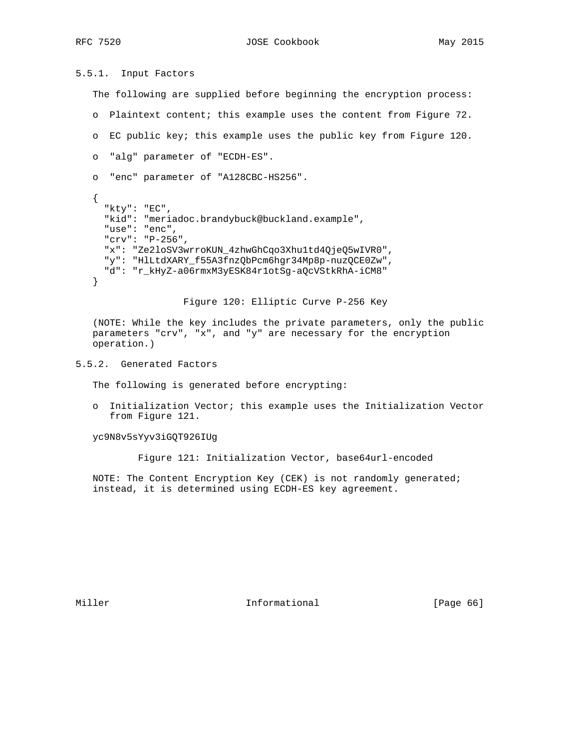RFC 7520 JOSE Cookbook May 2015

5.5.1. Input Factors

The following are supplied before beginning the encryption process:

- o Plaintext content; this example uses the content from Figure 72.
- o EC public key; this example uses the public key from Figure 120.
- o "alg" parameter of "ECDH-ES".

```
 o "enc" parameter of "A128CBC-HS256".
```

```
 {
   "kty": "EC",
   "kid": "meriadoc.brandybuck@buckland.example",
   "use": "enc",
   "crv": "P-256",
   "x": "Ze2loSV3wrroKUN_4zhwGhCqo3Xhu1td4QjeQ5wIVR0",
   "y": "HlLtdXARY_f55A3fnzQbPcm6hgr34Mp8p-nuzQCE0Zw",
   "d": "r_kHyZ-a06rmxM3yESK84r1otSg-aQcVStkRhA-iCM8"
 }
```
Figure 120: Elliptic Curve P-256 Key

 (NOTE: While the key includes the private parameters, only the public parameters "crv", "x", and "y" are necessary for the encryption operation.)

# 5.5.2. Generated Factors

The following is generated before encrypting:

 o Initialization Vector; this example uses the Initialization Vector from Figure 121.

yc9N8v5sYyv3iGQT926IUg

Figure 121: Initialization Vector, base64url-encoded

 NOTE: The Content Encryption Key (CEK) is not randomly generated; instead, it is determined using ECDH-ES key agreement.

Miller **Informational** [Page 66]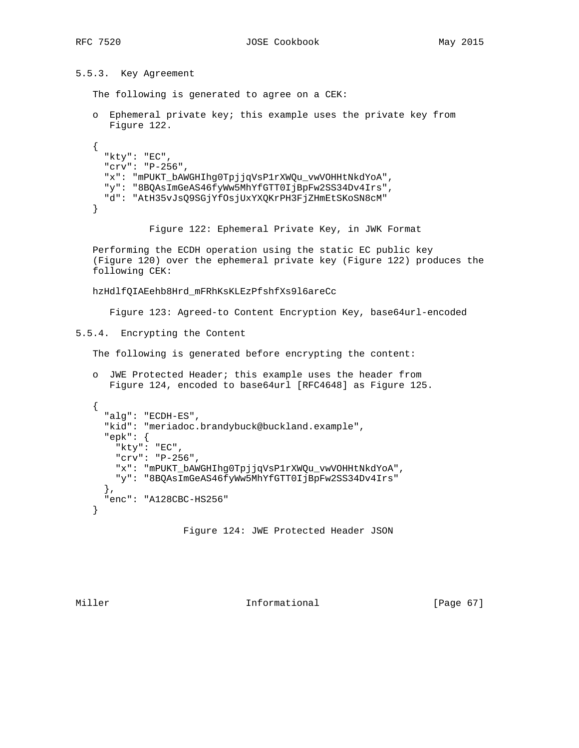5.5.3. Key Agreement

```
 The following is generated to agree on a CEK:
    o Ephemeral private key; this example uses the private key from
       Figure 122.
    {
      "kty": "EC",
      "crv": "P-256",
      "x": "mPUKT_bAWGHIhg0TpjjqVsP1rXWQu_vwVOHHtNkdYoA",
      "y": "8BQAsImGeAS46fyWw5MhYfGTT0IjBpFw2SS34Dv4Irs",
      "d": "AtH35vJsQ9SGjYfOsjUxYXQKrPH3FjZHmEtSKoSN8cM"
    }
              Figure 122: Ephemeral Private Key, in JWK Format
    Performing the ECDH operation using the static EC public key
    (Figure 120) over the ephemeral private key (Figure 122) produces the
    following CEK:
   hzHdlfQIAEehb8Hrd_mFRhKsKLEzPfshfXs9l6areCc
       Figure 123: Agreed-to Content Encryption Key, base64url-encoded
5.5.4. Encrypting the Content
    The following is generated before encrypting the content:
    o JWE Protected Header; this example uses the header from
       Figure 124, encoded to base64url [RFC4648] as Figure 125.
    {
      "alg": "ECDH-ES",
      "kid": "meriadoc.brandybuck@buckland.example",
      "epk": {
        "kty": "EC",
        "crv": "P-256",
        "x": "mPUKT_bAWGHIhg0TpjjqVsP1rXWQu_vwVOHHtNkdYoA",
        "y": "8BQAsImGeAS46fyWw5MhYfGTT0IjBpFw2SS34Dv4Irs"
      },
      "enc": "A128CBC-HS256"
    }
                    Figure 124: JWE Protected Header JSON
```
Miller **Informational** [Page 67]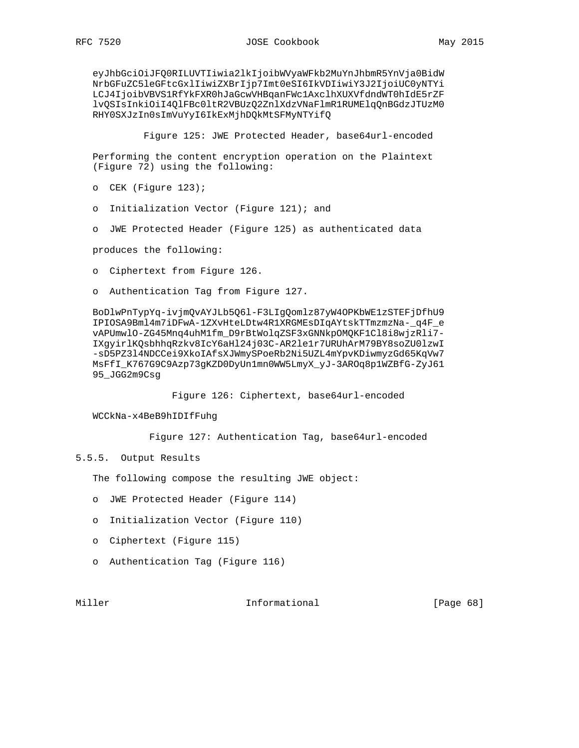eyJhbGciOiJFQ0RILUVTIiwia2lkIjoibWVyaWFkb2MuYnJhbmR5YnVja0BidW NrbGFuZC5leGFtcGxlIiwiZXBrIjp7Imt0eSI6IkVDIiwiY3J2IjoiUC0yNTYi LCJ4IjoibVBVS1RfYkFXR0hJaGcwVHBqanFWc1AxclhXUXVfdndWT0hIdE5rZF lvQSIsInkiOiI4QlFBc0ltR2VBUzQ2ZnlXdzVNaFlmR1RUMElqQnBGdzJTUzM0 RHY0SXJzIn0sImVuYyI6IkExMjhDQkMtSFMyNTYifQ

Figure 125: JWE Protected Header, base64url-encoded

 Performing the content encryption operation on the Plaintext (Figure 72) using the following:

- o CEK (Figure 123);
- o Initialization Vector (Figure 121); and
- o JWE Protected Header (Figure 125) as authenticated data

produces the following:

- o Ciphertext from Figure 126.
- o Authentication Tag from Figure 127.

 BoDlwPnTypYq-ivjmQvAYJLb5Q6l-F3LIgQomlz87yW4OPKbWE1zSTEFjDfhU9 IPIOSA9Bml4m7iDFwA-1ZXvHteLDtw4R1XRGMEsDIqAYtskTTmzmzNa-\_q4F\_e vAPUmwlO-ZG45Mnq4uhM1fm\_D9rBtWolqZSF3xGNNkpOMQKF1Cl8i8wjzRli7- IXgyirlKQsbhhqRzkv8IcY6aHl24j03C-AR2le1r7URUhArM79BY8soZU0lzwI -sD5PZ3l4NDCCei9XkoIAfsXJWmySPoeRb2Ni5UZL4mYpvKDiwmyzGd65KqVw7 MsFfI\_K767G9C9Azp73gKZD0DyUn1mn0WW5LmyX\_yJ-3AROq8p1WZBfG-ZyJ61 95\_JGG2m9Csg

Figure 126: Ciphertext, base64url-encoded

WCCkNa-x4BeB9hIDIfFuhg

Figure 127: Authentication Tag, base64url-encoded

#### 5.5.5. Output Results

The following compose the resulting JWE object:

- o JWE Protected Header (Figure 114)
- o Initialization Vector (Figure 110)
- o Ciphertext (Figure 115)
- o Authentication Tag (Figure 116)

Miller **Informational Informational** [Page 68]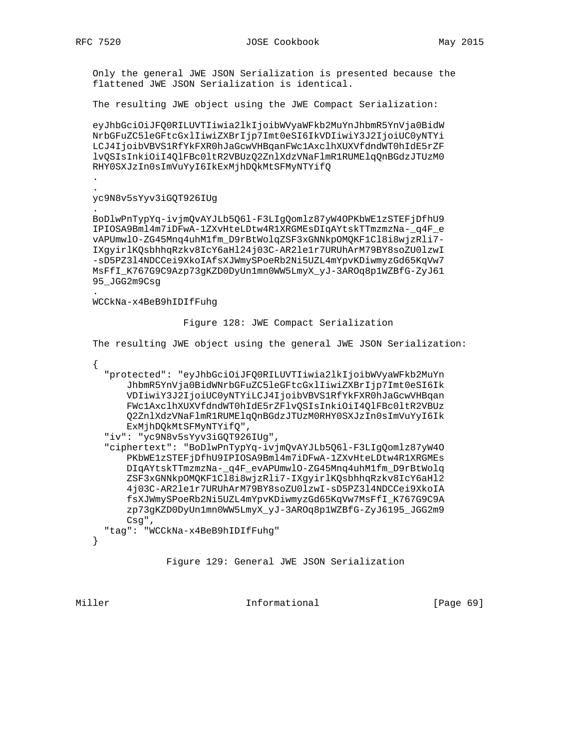Only the general JWE JSON Serialization is presented because the flattened JWE JSON Serialization is identical.

The resulting JWE object using the JWE Compact Serialization:

 eyJhbGciOiJFQ0RILUVTIiwia2lkIjoibWVyaWFkb2MuYnJhbmR5YnVja0BidW NrbGFuZC5leGFtcGxlIiwiZXBrIjp7Imt0eSI6IkVDIiwiY3J2IjoiUC0yNTYi LCJ4IjoibVBVS1RfYkFXR0hJaGcwVHBqanFWc1AxclhXUXVfdndWT0hIdE5rZF lvQSIsInkiOiI4QlFBc0ltR2VBUzQ2ZnlXdzVNaFlmR1RUMElqQnBGdzJTUzM0 RHY0SXJzIn0sImVuYyI6IkExMjhDQkMtSFMyNTYifQ

 . .

.

.

yc9N8v5sYyv3iGQT926IUg

 BoDlwPnTypYq-ivjmQvAYJLb5Q6l-F3LIgQomlz87yW4OPKbWE1zSTEFjDfhU9 IPIOSA9Bml4m7iDFwA-1ZXvHteLDtw4R1XRGMEsDIqAYtskTTmzmzNa-\_q4F\_e vAPUmwlO-ZG45Mnq4uhM1fm\_D9rBtWolqZSF3xGNNkpOMQKF1Cl8i8wjzRli7- IXgyirlKQsbhhqRzkv8IcY6aHl24j03C-AR2le1r7URUhArM79BY8soZU0lzwI -sD5PZ3l4NDCCei9XkoIAfsXJWmySPoeRb2Ni5UZL4mYpvKDiwmyzGd65KqVw7 MsFfI\_K767G9C9Azp73gKZD0DyUn1mn0WW5LmyX\_yJ-3AROq8p1WZBfG-ZyJ61 95\_JGG2m9Csg

WCCkNa-x4BeB9hIDIfFuhg

Figure 128: JWE Compact Serialization

The resulting JWE object using the general JWE JSON Serialization:

 $\{$  "protected": "eyJhbGciOiJFQ0RILUVTIiwia2lkIjoibWVyaWFkb2MuYn JhbmR5YnVja0BidWNrbGFuZC5leGFtcGxlIiwiZXBrIjp7Imt0eSI6Ik VDIiwiY3J2IjoiUC0yNTYiLCJ4IjoibVBVS1RfYkFXR0hJaGcwVHBqan FWc1AxclhXUXVfdndWT0hIdE5rZFlvQSIsInkiOiI4QlFBc0ltR2VBUz Q2ZnlXdzVNaFlmR1RUMElqQnBGdzJTUzM0RHY0SXJzIn0sImVuYyI6Ik ExMjhDQkMtSFMyNTYifQ", "iv": "yc9N8v5sYyv3iGQT926IUg",

 "ciphertext": "BoDlwPnTypYq-ivjmQvAYJLb5Q6l-F3LIgQomlz87yW4O PKbWE1zSTEFjDfhU9IPIOSA9Bml4m7iDFwA-1ZXvHteLDtw4R1XRGMEs DIqAYtskTTmzmzNa-\_q4F\_evAPUmwlO-ZG45Mnq4uhM1fm\_D9rBtWolq ZSF3xGNNkpOMQKF1Cl8i8wjzRli7-IXgyirlKQsbhhqRzkv8IcY6aHl2 4j03C-AR2le1r7URUhArM79BY8soZU0lzwI-sD5PZ3l4NDCCei9XkoIA fsXJWmySPoeRb2Ni5UZL4mYpvKDiwmyzGd65KqVw7MsFfI\_K767G9C9A zp73gKZD0DyUn1mn0WW5LmyX\_yJ-3AROq8p1WZBfG-ZyJ6195\_JGG2m9 Csg",

"tag": "WCCkNa-x4BeB9hIDIfFuhg"

}

Figure 129: General JWE JSON Serialization

Miller **Informational Informational** [Page 69]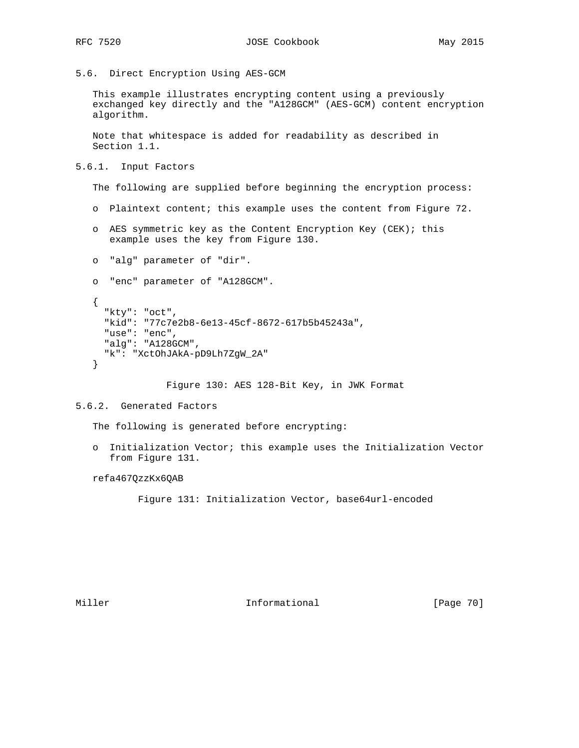5.6. Direct Encryption Using AES-GCM

 This example illustrates encrypting content using a previously exchanged key directly and the "A128GCM" (AES-GCM) content encryption algorithm.

 Note that whitespace is added for readability as described in Section 1.1.

5.6.1. Input Factors

The following are supplied before beginning the encryption process:

- o Plaintext content; this example uses the content from Figure 72.
- o AES symmetric key as the Content Encryption Key (CEK); this example uses the key from Figure 130.
- o "alg" parameter of "dir".
- o "enc" parameter of "A128GCM".

```
 {
   "kty": "oct",
   "kid": "77c7e2b8-6e13-45cf-8672-617b5b45243a",
   "use": "enc",
   "alg": "A128GCM",
   "k": "XctOhJAkA-pD9Lh7ZgW_2A"
 }
```
Figure 130: AES 128-Bit Key, in JWK Format

#### 5.6.2. Generated Factors

The following is generated before encrypting:

 o Initialization Vector; this example uses the Initialization Vector from Figure 131.

refa467QzzKx6QAB

Figure 131: Initialization Vector, base64url-encoded

Miller **Informational** [Page 70]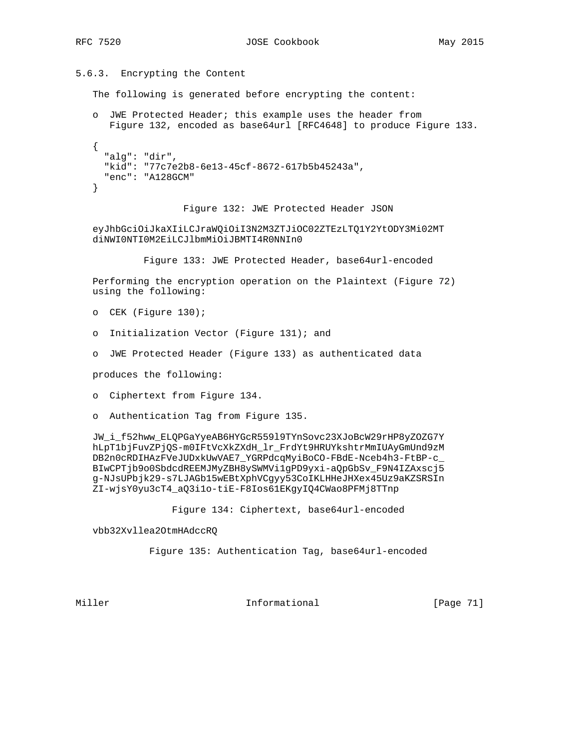5.6.3. Encrypting the Content

The following is generated before encrypting the content:

 o JWE Protected Header; this example uses the header from Figure 132, encoded as base64url [RFC4648] to produce Figure 133. { "alg": "dir", "kid": "77c7e2b8-6e13-45cf-8672-617b5b45243a", "enc": "A128GCM" }

Figure 132: JWE Protected Header JSON

 eyJhbGciOiJkaXIiLCJraWQiOiI3N2M3ZTJiOC02ZTEzLTQ1Y2YtODY3Mi02MT diNWI0NTI0M2EiLCJlbmMiOiJBMTI4R0NNIn0

Figure 133: JWE Protected Header, base64url-encoded

 Performing the encryption operation on the Plaintext (Figure 72) using the following:

o CEK (Figure 130);

- o Initialization Vector (Figure 131); and
- o JWE Protected Header (Figure 133) as authenticated data

produces the following:

- o Ciphertext from Figure 134.
- o Authentication Tag from Figure 135.

 JW\_i\_f52hww\_ELQPGaYyeAB6HYGcR559l9TYnSovc23XJoBcW29rHP8yZOZG7Y hLpT1bjFuvZPjQS-m0IFtVcXkZXdH\_lr\_FrdYt9HRUYkshtrMmIUAyGmUnd9zM DB2n0cRDIHAzFVeJUDxkUwVAE7\_YGRPdcqMyiBoCO-FBdE-Nceb4h3-FtBP-c\_ BIwCPTjb9o0SbdcdREEMJMyZBH8ySWMVi1gPD9yxi-aQpGbSv\_F9N4IZAxscj5 g-NJsUPbjk29-s7LJAGb15wEBtXphVCgyy53CoIKLHHeJHXex45Uz9aKZSRSIn ZI-wjsY0yu3cT4\_aQ3i1o-tiE-F8Ios61EKgyIQ4CWao8PFMj8TTnp

Figure 134: Ciphertext, base64url-encoded

vbb32Xvllea2OtmHAdccRQ

Figure 135: Authentication Tag, base64url-encoded

Miller **Informational Informational** [Page 71]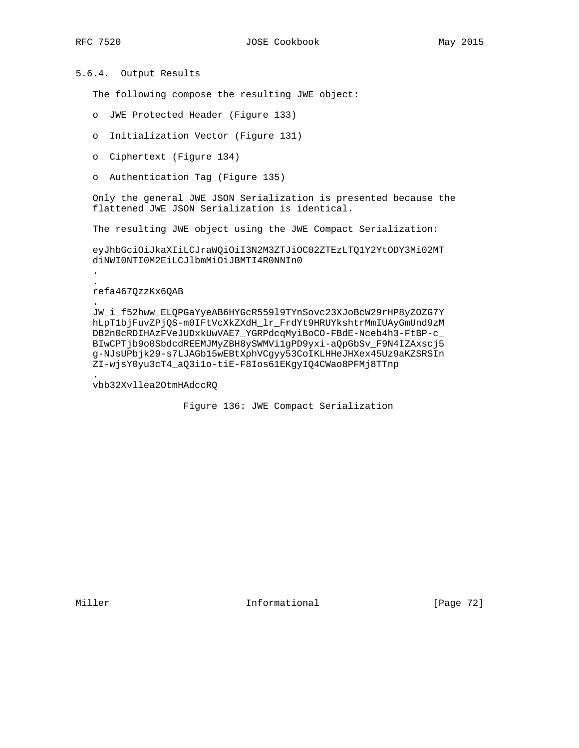# 5.6.4. Output Results

The following compose the resulting JWE object:

- o JWE Protected Header (Figure 133)
- o Initialization Vector (Figure 131)
- o Ciphertext (Figure 134)
- o Authentication Tag (Figure 135)

 Only the general JWE JSON Serialization is presented because the flattened JWE JSON Serialization is identical.

The resulting JWE object using the JWE Compact Serialization:

 eyJhbGciOiJkaXIiLCJraWQiOiI3N2M3ZTJiOC02ZTEzLTQ1Y2YtODY3Mi02MT diNWI0NTI0M2EiLCJlbmMiOiJBMTI4R0NNIn0

#### refa467QzzKx6QAB

 . .

.

 JW\_i\_f52hww\_ELQPGaYyeAB6HYGcR559l9TYnSovc23XJoBcW29rHP8yZOZG7Y hLpT1bjFuvZPjQS-m0IFtVcXkZXdH\_lr\_FrdYt9HRUYkshtrMmIUAyGmUnd9zM DB2n0cRDIHAzFVeJUDxkUwVAE7\_YGRPdcqMyiBoCO-FBdE-Nceb4h3-FtBP-c\_ BIwCPTjb9o0SbdcdREEMJMyZBH8ySWMVi1gPD9yxi-aQpGbSv\_F9N4IZAxscj5 g-NJsUPbjk29-s7LJAGb15wEBtXphVCgyy53CoIKLHHeJHXex45Uz9aKZSRSIn ZI-wjsY0yu3cT4\_aQ3i1o-tiE-F8Ios61EKgyIQ4CWao8PFMj8TTnp .

vbb32Xvllea2OtmHAdccRQ

Figure 136: JWE Compact Serialization

Miller **Informational** [Page 72]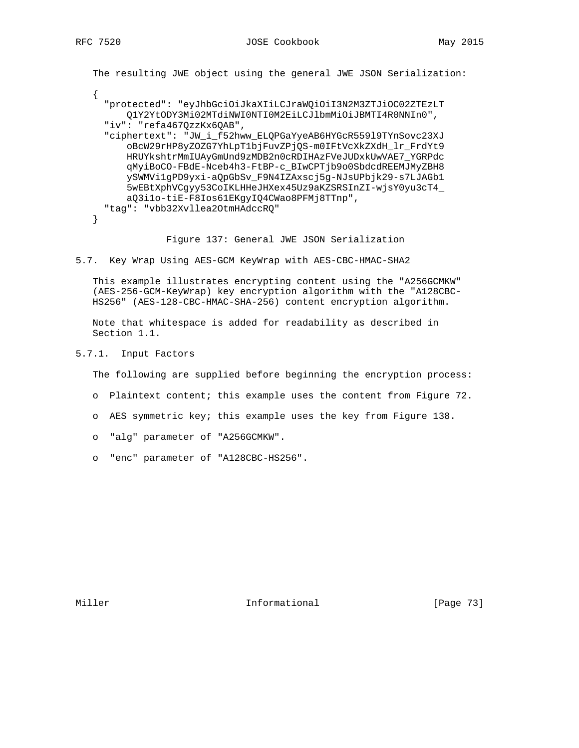The resulting JWE object using the general JWE JSON Serialization: { "protected": "eyJhbGciOiJkaXIiLCJraWQiOiI3N2M3ZTJiOC02ZTEzLT Q1Y2YtODY3Mi02MTdiNWI0NTI0M2EiLCJlbmMiOiJBMTI4R0NNIn0", "iv": "refa467QzzKx6QAB", "ciphertext": "JW\_i\_f52hww\_ELQPGaYyeAB6HYGcR559l9TYnSovc23XJ oBcW29rHP8yZOZG7YhLpT1bjFuvZPjQS-m0IFtVcXkZXdH\_lr\_FrdYt9 HRUYkshtrMmIUAyGmUnd9zMDB2n0cRDIHAzFVeJUDxkUwVAE7\_YGRPdc qMyiBoCO-FBdE-Nceb4h3-FtBP-c\_BIwCPTjb9o0SbdcdREEMJMyZBH8 ySWMVi1gPD9yxi-aQpGbSv\_F9N4IZAxscj5g-NJsUPbjk29-s7LJAGb1 5wEBtXphVCgyy53CoIKLHHeJHXex45Uz9aKZSRSInZI-wjsY0yu3cT4\_ aQ3i1o-tiE-F8Ios61EKgyIQ4CWao8PFMj8TTnp", "tag": "vbb32Xvllea2OtmHAdccRQ" }

Figure 137: General JWE JSON Serialization

5.7. Key Wrap Using AES-GCM KeyWrap with AES-CBC-HMAC-SHA2

 This example illustrates encrypting content using the "A256GCMKW" (AES-256-GCM-KeyWrap) key encryption algorithm with the "A128CBC- HS256" (AES-128-CBC-HMAC-SHA-256) content encryption algorithm.

 Note that whitespace is added for readability as described in Section 1.1.

5.7.1. Input Factors

The following are supplied before beginning the encryption process:

- o Plaintext content; this example uses the content from Figure 72.
- o AES symmetric key; this example uses the key from Figure 138.
- o "alg" parameter of "A256GCMKW".
- o "enc" parameter of "A128CBC-HS256".

Miller **Informational** [Page 73]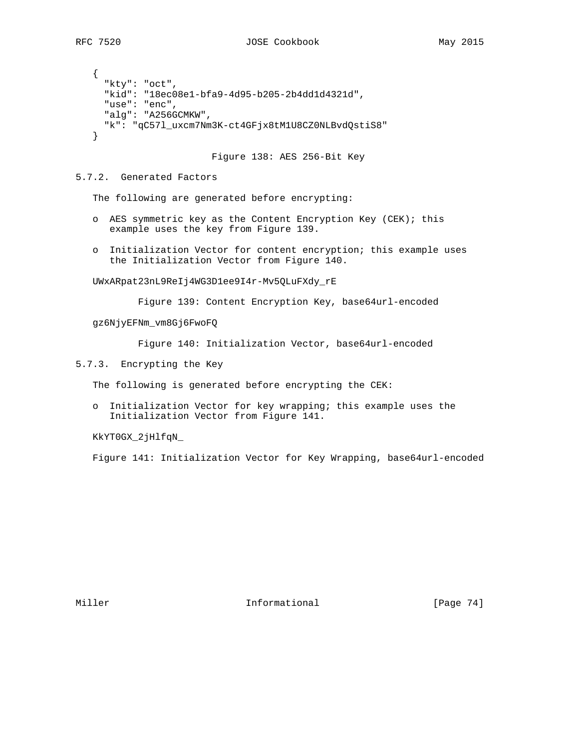{ "kty": "oct", "kid": "18ec08e1-bfa9-4d95-b205-2b4dd1d4321d", "use": "enc", "alg": "A256GCMKW", "k": "qC57l\_uxcm7Nm3K-ct4GFjx8tM1U8CZ0NLBvdQstiS8" }

Figure 138: AES 256-Bit Key

# 5.7.2. Generated Factors

The following are generated before encrypting:

- o AES symmetric key as the Content Encryption Key (CEK); this example uses the key from Figure 139.
- o Initialization Vector for content encryption; this example uses the Initialization Vector from Figure 140.

UWxARpat23nL9ReIj4WG3D1ee9I4r-Mv5QLuFXdy\_rE

Figure 139: Content Encryption Key, base64url-encoded

gz6NjyEFNm\_vm8Gj6FwoFQ

Figure 140: Initialization Vector, base64url-encoded

5.7.3. Encrypting the Key

The following is generated before encrypting the CEK:

 o Initialization Vector for key wrapping; this example uses the Initialization Vector from Figure 141.

KkYT0GX\_2jHlfqN\_

Figure 141: Initialization Vector for Key Wrapping, base64url-encoded

Miller **Informational** [Page 74]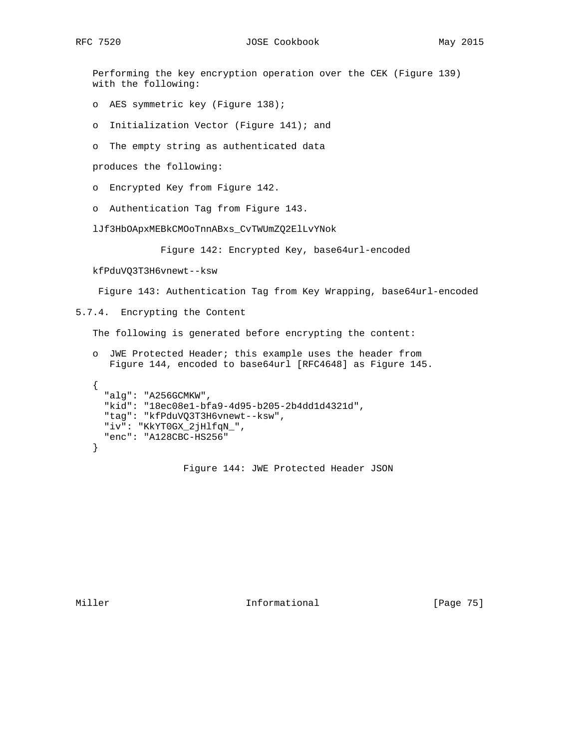Performing the key encryption operation over the CEK (Figure 139) with the following:

- o AES symmetric key (Figure 138);
- o Initialization Vector (Figure 141); and
- o The empty string as authenticated data

produces the following:

- o Encrypted Key from Figure 142.
- o Authentication Tag from Figure 143.

lJf3HbOApxMEBkCMOoTnnABxs\_CvTWUmZQ2ElLvYNok

Figure 142: Encrypted Key, base64url-encoded

kfPduVQ3T3H6vnewt--ksw

Figure 143: Authentication Tag from Key Wrapping, base64url-encoded

5.7.4. Encrypting the Content

The following is generated before encrypting the content:

- o JWE Protected Header; this example uses the header from Figure 144, encoded to base64url [RFC4648] as Figure 145.
- { "alg": "A256GCMKW", "kid": "18ec08e1-bfa9-4d95-b205-2b4dd1d4321d", "tag": "kfPduVQ3T3H6vnewt--ksw", "iv": "KkYT0GX\_2jHlfqN\_", "enc": "A128CBC-HS256" }

Figure 144: JWE Protected Header JSON

Miller **Informational** [Page 75]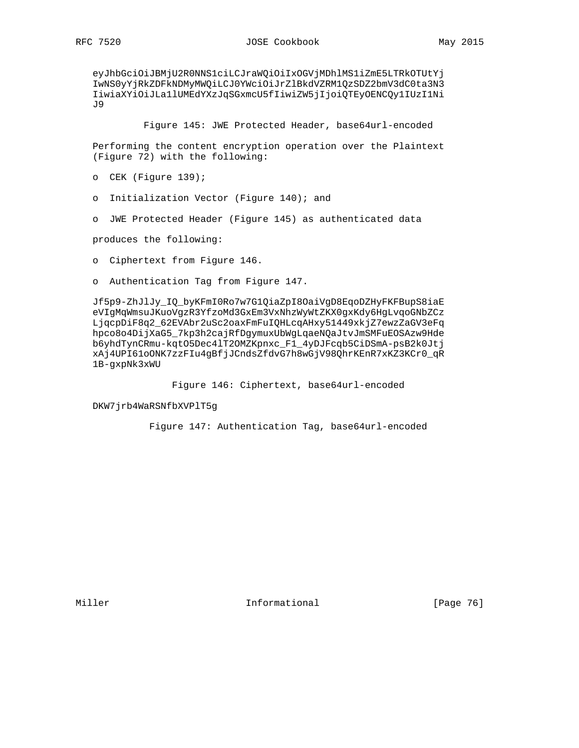eyJhbGciOiJBMjU2R0NNS1ciLCJraWQiOiIxOGVjMDhlMS1iZmE5LTRkOTUtYj IwNS0yYjRkZDFkNDMyMWQiLCJ0YWciOiJrZlBkdVZRM1QzSDZ2bmV3dC0ta3N3 IiwiaXYiOiJLa1lUMEdYXzJqSGxmcU5fIiwiZW5jIjoiQTEyOENCQy1IUzI1Ni J9

Figure 145: JWE Protected Header, base64url-encoded

 Performing the content encryption operation over the Plaintext (Figure 72) with the following:

- o CEK (Figure 139);
- o Initialization Vector (Figure 140); and
- o JWE Protected Header (Figure 145) as authenticated data

produces the following:

- o Ciphertext from Figure 146.
- o Authentication Tag from Figure 147.

 Jf5p9-ZhJlJy\_IQ\_byKFmI0Ro7w7G1QiaZpI8OaiVgD8EqoDZHyFKFBupS8iaE eVIgMqWmsuJKuoVgzR3YfzoMd3GxEm3VxNhzWyWtZKX0gxKdy6HgLvqoGNbZCz LjqcpDiF8q2\_62EVAbr2uSc2oaxFmFuIQHLcqAHxy51449xkjZ7ewzZaGV3eFq hpco8o4DijXaG5\_7kp3h2cajRfDgymuxUbWgLqaeNQaJtvJmSMFuEOSAzw9Hde b6yhdTynCRmu-kqtO5Dec4lT2OMZKpnxc\_F1\_4yDJFcqb5CiDSmA-psB2k0Jtj xAj4UPI61oONK7zzFIu4gBfjJCndsZfdvG7h8wGjV98QhrKEnR7xKZ3KCr0\_qR 1B-gxpNk3xWU

Figure 146: Ciphertext, base64url-encoded

DKW7jrb4WaRSNfbXVPlT5g

Figure 147: Authentication Tag, base64url-encoded

Miller **Informational** [Page 76]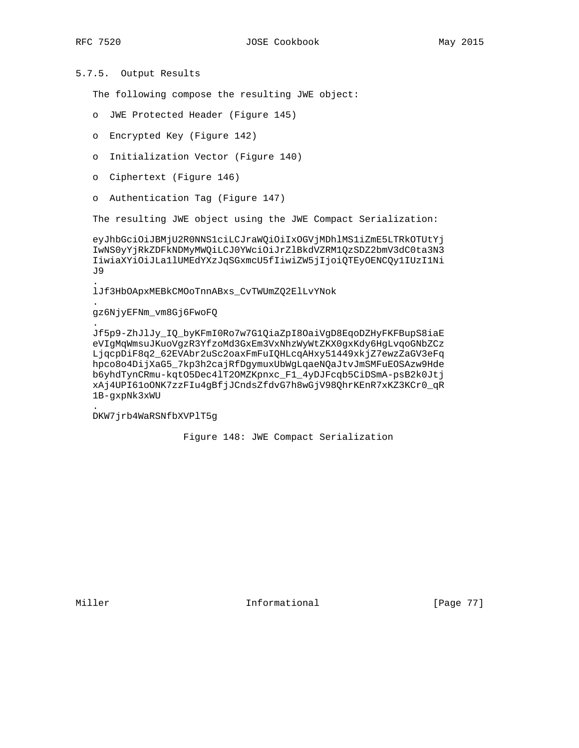.

.

.

.

# 5.7.5. Output Results

The following compose the resulting JWE object:

- o JWE Protected Header (Figure 145)
- o Encrypted Key (Figure 142)
- o Initialization Vector (Figure 140)
- o Ciphertext (Figure 146)
- o Authentication Tag (Figure 147)

The resulting JWE object using the JWE Compact Serialization:

 eyJhbGciOiJBMjU2R0NNS1ciLCJraWQiOiIxOGVjMDhlMS1iZmE5LTRkOTUtYj IwNS0yYjRkZDFkNDMyMWQiLCJ0YWciOiJrZlBkdVZRM1QzSDZ2bmV3dC0ta3N3 IiwiaXYiOiJLa1lUMEdYXzJqSGxmcU5fIiwiZW5jIjoiQTEyOENCQy1IUzI1Ni J9

lJf3HbOApxMEBkCMOoTnnABxs\_CvTWUmZQ2ElLvYNok

### gz6NjyEFNm\_vm8Gj6FwoFQ

 Jf5p9-ZhJlJy\_IQ\_byKFmI0Ro7w7G1QiaZpI8OaiVgD8EqoDZHyFKFBupS8iaE eVIgMqWmsuJKuoVgzR3YfzoMd3GxEm3VxNhzWyWtZKX0gxKdy6HgLvqoGNbZCz LjqcpDiF8q2\_62EVAbr2uSc2oaxFmFuIQHLcqAHxy51449xkjZ7ewzZaGV3eFq hpco8o4DijXaG5\_7kp3h2cajRfDgymuxUbWgLqaeNQaJtvJmSMFuEOSAzw9Hde b6yhdTynCRmu-kqtO5Dec4lT2OMZKpnxc\_F1\_4yDJFcqb5CiDSmA-psB2k0Jtj xAj4UPI61oONK7zzFIu4gBfjJCndsZfdvG7h8wGjV98QhrKEnR7xKZ3KCr0\_qR 1B-gxpNk3xWU

DKW7jrb4WaRSNfbXVPlT5g

Figure 148: JWE Compact Serialization

Miller **Informational Informational** [Page 77]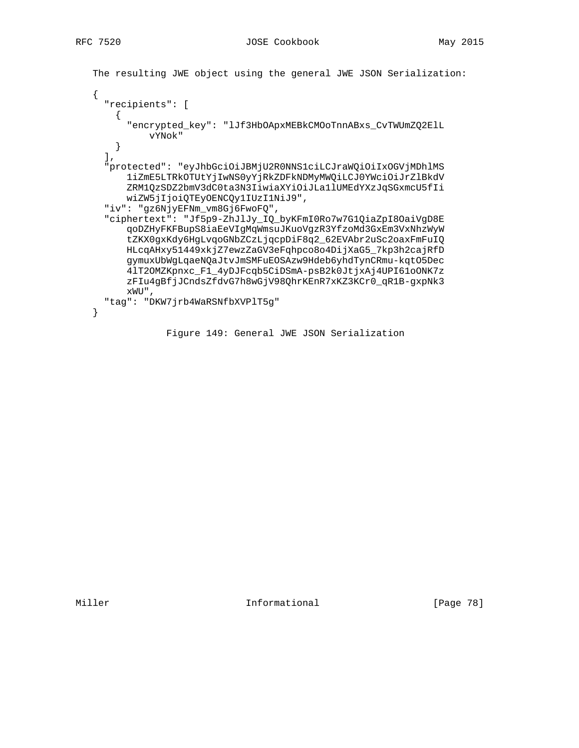```
 The resulting JWE object using the general JWE JSON Serialization:
```

```
 {
   "recipients": [
   \mathcal{A} "encrypted_key": "lJf3HbOApxMEBkCMOoTnnABxs_CvTWUmZQ2ElL
           vYNok"
    }
  \mathbf{I},
   "protected": "eyJhbGciOiJBMjU2R0NNS1ciLCJraWQiOiIxOGVjMDhlMS
       1iZmE5LTRkOTUtYjIwNS0yYjRkZDFkNDMyMWQiLCJ0YWciOiJrZlBkdV
       ZRM1QzSDZ2bmV3dC0ta3N3IiwiaXYiOiJLa1lUMEdYXzJqSGxmcU5fIi
       wiZW5jIjoiQTEyOENCQy1IUzI1NiJ9",
   "iv": "gz6NjyEFNm_vm8Gj6FwoFQ",
   "ciphertext": "Jf5p9-ZhJlJy_IQ_byKFmI0Ro7w7G1QiaZpI8OaiVgD8E
       qoDZHyFKFBupS8iaEeVIgMqWmsuJKuoVgzR3YfzoMd3GxEm3VxNhzWyW
       tZKX0gxKdy6HgLvqoGNbZCzLjqcpDiF8q2_62EVAbr2uSc2oaxFmFuIQ
       HLcqAHxy51449xkjZ7ewzZaGV3eFqhpco8o4DijXaG5_7kp3h2cajRfD
       gymuxUbWgLqaeNQaJtvJmSMFuEOSAzw9Hdeb6yhdTynCRmu-kqtO5Dec
       4lT2OMZKpnxc_F1_4yDJFcqb5CiDSmA-psB2k0JtjxAj4UPI61oONK7z
       zFIu4gBfjJCndsZfdvG7h8wGjV98QhrKEnR7xKZ3KCr0_qR1B-gxpNk3
       xWU",
   "tag": "DKW7jrb4WaRSNfbXVPlT5g"
 }
```
Figure 149: General JWE JSON Serialization

Miller **Informational** [Page 78]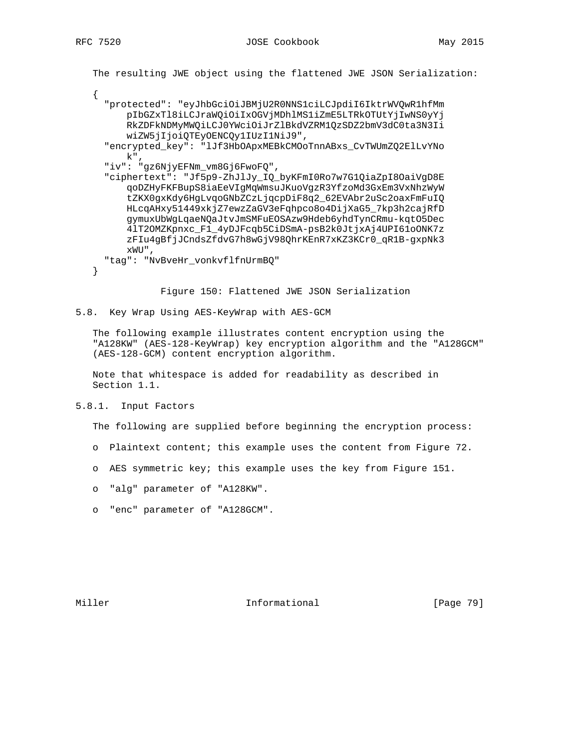```
 The resulting JWE object using the flattened JWE JSON Serialization:
 {
   "protected": "eyJhbGciOiJBMjU2R0NNS1ciLCJpdiI6IktrWVQwR1hfMm
       pIbGZxTl8iLCJraWQiOiIxOGVjMDhlMS1iZmE5LTRkOTUtYjIwNS0yYj
       RkZDFkNDMyMWQiLCJ0YWciOiJrZlBkdVZRM1QzSDZ2bmV3dC0ta3N3Ii
       wiZW5jIjoiQTEyOENCQy1IUzI1NiJ9",
   "encrypted_key": "lJf3HbOApxMEBkCMOoTnnABxs_CvTWUmZQ2ElLvYNo
      k",
   "iv": "gz6NjyEFNm_vm8Gj6FwoFQ",
   "ciphertext": "Jf5p9-ZhJlJy_IQ_byKFmI0Ro7w7G1QiaZpI8OaiVgD8E
       qoDZHyFKFBupS8iaEeVIgMqWmsuJKuoVgzR3YfzoMd3GxEm3VxNhzWyW
       tZKX0gxKdy6HgLvqoGNbZCzLjqcpDiF8q2_62EVAbr2uSc2oaxFmFuIQ
       HLcqAHxy51449xkjZ7ewzZaGV3eFqhpco8o4DijXaG5_7kp3h2cajRfD
       gymuxUbWgLqaeNQaJtvJmSMFuEOSAzw9Hdeb6yhdTynCRmu-kqtO5Dec
       4lT2OMZKpnxc_F1_4yDJFcqb5CiDSmA-psB2k0JtjxAj4UPI61oONK7z
       zFIu4gBfjJCndsZfdvG7h8wGjV98QhrKEnR7xKZ3KCr0_qR1B-gxpNk3
       xWU",
   "tag": "NvBveHr_vonkvflfnUrmBQ"
 }
```
Figure 150: Flattened JWE JSON Serialization

5.8. Key Wrap Using AES-KeyWrap with AES-GCM

 The following example illustrates content encryption using the "A128KW" (AES-128-KeyWrap) key encryption algorithm and the "A128GCM" (AES-128-GCM) content encryption algorithm.

 Note that whitespace is added for readability as described in Section 1.1.

5.8.1. Input Factors

The following are supplied before beginning the encryption process:

- o Plaintext content; this example uses the content from Figure 72.
- o AES symmetric key; this example uses the key from Figure 151.
- o "alg" parameter of "A128KW".
- o "enc" parameter of "A128GCM".

Miller **Informational** [Page 79]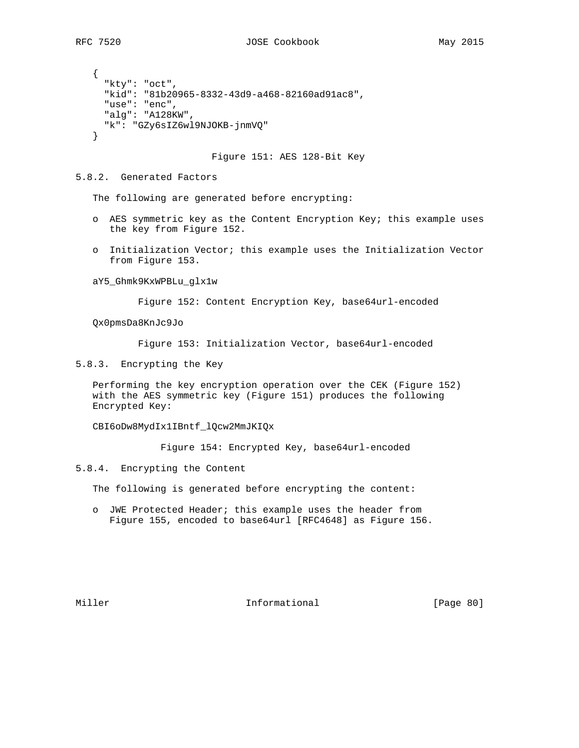{ "kty": "oct", "kid": "81b20965-8332-43d9-a468-82160ad91ac8", "use": "enc", "alg": "A128KW", "k": "GZy6sIZ6wl9NJOKB-jnmVQ" }

Figure 151: AES 128-Bit Key

#### 5.8.2. Generated Factors

The following are generated before encrypting:

- o AES symmetric key as the Content Encryption Key; this example uses the key from Figure 152.
- o Initialization Vector; this example uses the Initialization Vector from Figure 153.

#### aY5\_Ghmk9KxWPBLu\_glx1w

Figure 152: Content Encryption Key, base64url-encoded

Qx0pmsDa8KnJc9Jo

Figure 153: Initialization Vector, base64url-encoded

5.8.3. Encrypting the Key

 Performing the key encryption operation over the CEK (Figure 152) with the AES symmetric key (Figure 151) produces the following Encrypted Key:

CBI6oDw8MydIx1IBntf\_lQcw2MmJKIQx

Figure 154: Encrypted Key, base64url-encoded

5.8.4. Encrypting the Content

The following is generated before encrypting the content:

 o JWE Protected Header; this example uses the header from Figure 155, encoded to base64url [RFC4648] as Figure 156.

Miller **Informational** [Page 80]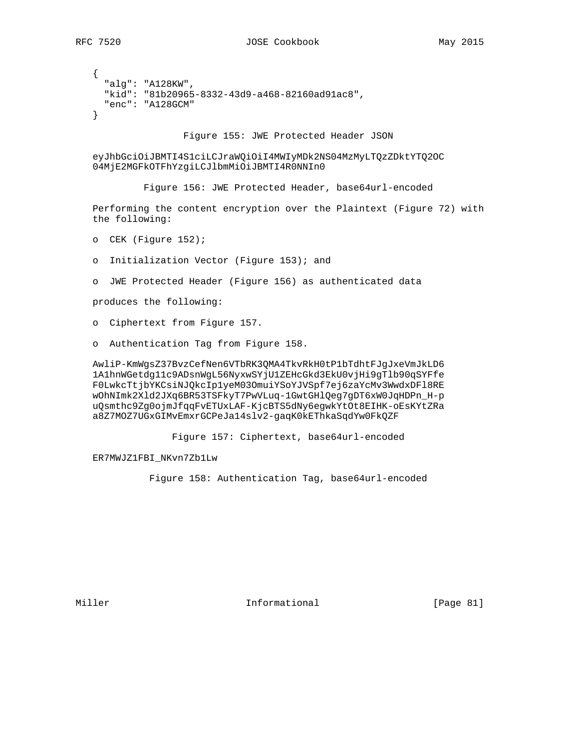```
 {
   "alg": "A128KW",
   "kid": "81b20965-8332-43d9-a468-82160ad91ac8",
   "enc": "A128GCM"
 }
```
Figure 155: JWE Protected Header JSON

 eyJhbGciOiJBMTI4S1ciLCJraWQiOiI4MWIyMDk2NS04MzMyLTQzZDktYTQ2OC 04MjE2MGFkOTFhYzgiLCJlbmMiOiJBMTI4R0NNIn0

Figure 156: JWE Protected Header, base64url-encoded

 Performing the content encryption over the Plaintext (Figure 72) with the following:

- o CEK (Figure 152);
- o Initialization Vector (Figure 153); and
- o JWE Protected Header (Figure 156) as authenticated data

produces the following:

- o Ciphertext from Figure 157.
- o Authentication Tag from Figure 158.

 AwliP-KmWgsZ37BvzCefNen6VTbRK3QMA4TkvRkH0tP1bTdhtFJgJxeVmJkLD6 1A1hnWGetdg11c9ADsnWgL56NyxwSYjU1ZEHcGkd3EkU0vjHi9gTlb90qSYFfe F0LwkcTtjbYKCsiNJQkcIp1yeM03OmuiYSoYJVSpf7ej6zaYcMv3WwdxDFl8RE wOhNImk2Xld2JXq6BR53TSFkyT7PwVLuq-1GwtGHlQeg7gDT6xW0JqHDPn\_H-p uQsmthc9Zg0ojmJfqqFvETUxLAF-KjcBTS5dNy6egwkYtOt8EIHK-oEsKYtZRa a8Z7MOZ7UGxGIMvEmxrGCPeJa14slv2-gaqK0kEThkaSqdYw0FkQZF

Figure 157: Ciphertext, base64url-encoded

ER7MWJZ1FBI\_NKvn7Zb1Lw

Figure 158: Authentication Tag, base64url-encoded

Miller **Informational** [Page 81]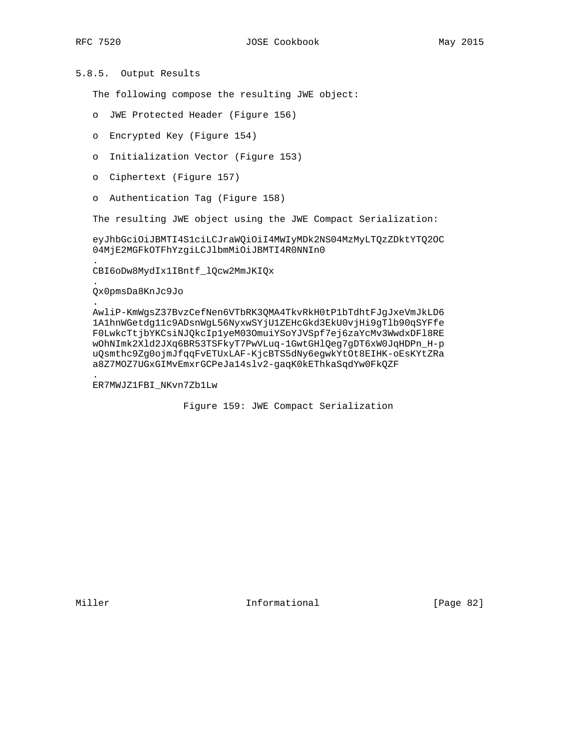.

.

.

.

# 5.8.5. Output Results

The following compose the resulting JWE object:

- o JWE Protected Header (Figure 156)
- o Encrypted Key (Figure 154)
- o Initialization Vector (Figure 153)
- o Ciphertext (Figure 157)
- o Authentication Tag (Figure 158)

The resulting JWE object using the JWE Compact Serialization:

 eyJhbGciOiJBMTI4S1ciLCJraWQiOiI4MWIyMDk2NS04MzMyLTQzZDktYTQ2OC 04MjE2MGFkOTFhYzgiLCJlbmMiOiJBMTI4R0NNIn0

CBI6oDw8MydIx1IBntf\_lQcw2MmJKIQx

Qx0pmsDa8KnJc9Jo

 AwliP-KmWgsZ37BvzCefNen6VTbRK3QMA4TkvRkH0tP1bTdhtFJgJxeVmJkLD6 1A1hnWGetdg11c9ADsnWgL56NyxwSYjU1ZEHcGkd3EkU0vjHi9gTlb90qSYFfe F0LwkcTtjbYKCsiNJQkcIp1yeM03OmuiYSoYJVSpf7ej6zaYcMv3WwdxDFl8RE wOhNImk2Xld2JXq6BR53TSFkyT7PwVLuq-1GwtGHlQeg7gDT6xW0JqHDPn\_H-p uQsmthc9Zg0ojmJfqqFvETUxLAF-KjcBTS5dNy6egwkYtOt8EIHK-oEsKYtZRa a8Z7MOZ7UGxGIMvEmxrGCPeJa14slv2-gaqK0kEThkaSqdYw0FkQZF

ER7MWJZ1FBI\_NKvn7Zb1Lw

Figure 159: JWE Compact Serialization

Miller **Informational** [Page 82]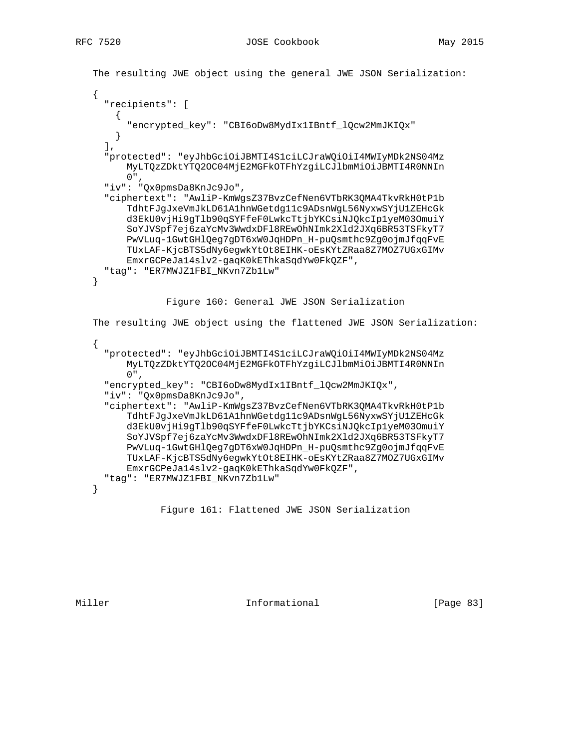```
 The resulting JWE object using the general JWE JSON Serialization:
    {
      "recipients": [
      \mathcal{A} "encrypted_key": "CBI6oDw8MydIx1IBntf_lQcw2MmJKIQx"
 }
     \,,
      "protected": "eyJhbGciOiJBMTI4S1ciLCJraWQiOiI4MWIyMDk2NS04Mz
          MyLTQzZDktYTQ2OC04MjE2MGFkOTFhYzgiLCJlbmMiOiJBMTI4R0NNIn
         0",
      "iv": "Qx0pmsDa8KnJc9Jo",
      "ciphertext": "AwliP-KmWgsZ37BvzCefNen6VTbRK3QMA4TkvRkH0tP1b
          TdhtFJgJxeVmJkLD61A1hnWGetdg11c9ADsnWgL56NyxwSYjU1ZEHcGk
          d3EkU0vjHi9gTlb90qSYFfeF0LwkcTtjbYKCsiNJQkcIp1yeM03OmuiY
          SoYJVSpf7ej6zaYcMv3WwdxDFl8REwOhNImk2Xld2JXq6BR53TSFkyT7
          PwVLuq-1GwtGHlQeg7gDT6xW0JqHDPn_H-puQsmthc9Zg0ojmJfqqFvE
          TUxLAF-KjcBTS5dNy6egwkYtOt8EIHK-oEsKYtZRaa8Z7MOZ7UGxGIMv
          EmxrGCPeJa14slv2-gaqK0kEThkaSqdYw0FkQZF",
      "tag": "ER7MWJZ1FBI_NKvn7Zb1Lw"
   }
                 Figure 160: General JWE JSON Serialization
   The resulting JWE object using the flattened JWE JSON Serialization:
    {
      "protected": "eyJhbGciOiJBMTI4S1ciLCJraWQiOiI4MWIyMDk2NS04Mz
          MyLTQzZDktYTQ2OC04MjE2MGFkOTFhYzgiLCJlbmMiOiJBMTI4R0NNIn
          0",
      "encrypted_key": "CBI6oDw8MydIx1IBntf_lQcw2MmJKIQx",
      "iv": "Qx0pmsDa8KnJc9Jo",
      "ciphertext": "AwliP-KmWgsZ37BvzCefNen6VTbRK3QMA4TkvRkH0tP1b
          TdhtFJgJxeVmJkLD61A1hnWGetdg11c9ADsnWgL56NyxwSYjU1ZEHcGk
          d3EkU0vjHi9gTlb90qSYFfeF0LwkcTtjbYKCsiNJQkcIp1yeM03OmuiY
          SoYJVSpf7ej6zaYcMv3WwdxDFl8REwOhNImk2Xld2JXq6BR53TSFkyT7
          PwVLuq-1GwtGHlQeg7gDT6xW0JqHDPn_H-puQsmthc9Zg0ojmJfqqFvE
          TUxLAF-KjcBTS5dNy6egwkYtOt8EIHK-oEsKYtZRaa8Z7MOZ7UGxGIMv
          EmxrGCPeJa14slv2-gaqK0kEThkaSqdYw0FkQZF",
     "tag": "ER7MWJZ1FBI NKvn7Zb1Lw"
   }
```
Figure 161: Flattened JWE JSON Serialization

Miller **Informational Informational** [Page 83]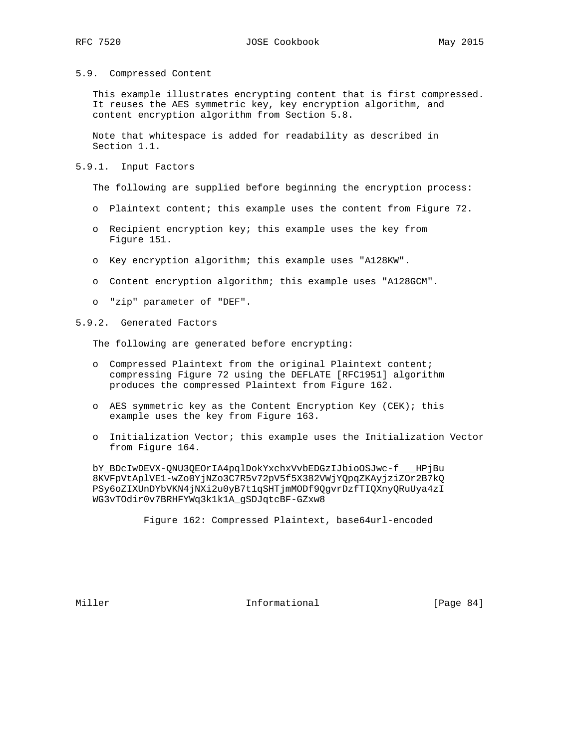#### 5.9. Compressed Content

 This example illustrates encrypting content that is first compressed. It reuses the AES symmetric key, key encryption algorithm, and content encryption algorithm from Section 5.8.

 Note that whitespace is added for readability as described in Section 1.1.

#### 5.9.1. Input Factors

The following are supplied before beginning the encryption process:

- o Plaintext content; this example uses the content from Figure 72.
- o Recipient encryption key; this example uses the key from Figure 151.
- o Key encryption algorithm; this example uses "A128KW".
- o Content encryption algorithm; this example uses "A128GCM".
- o "zip" parameter of "DEF".
- 5.9.2. Generated Factors

The following are generated before encrypting:

- o Compressed Plaintext from the original Plaintext content; compressing Figure 72 using the DEFLATE [RFC1951] algorithm produces the compressed Plaintext from Figure 162.
- o AES symmetric key as the Content Encryption Key (CEK); this example uses the key from Figure 163.
- o Initialization Vector; this example uses the Initialization Vector from Figure 164.

 bY\_BDcIwDEVX-QNU3QEOrIA4pqlDokYxchxVvbEDGzIJbioOSJwc-f\_\_\_HPjBu 8KVFpVtAplVE1-wZo0YjNZo3C7R5v72pV5f5X382VWjYQpqZKAyjziZOr2B7kQ PSy6oZIXUnDYbVKN4jNXi2u0yB7t1qSHTjmMODf9QgvrDzfTIQXnyQRuUya4zI WG3vTOdir0v7BRHFYWq3k1k1A\_gSDJqtcBF-GZxw8

Figure 162: Compressed Plaintext, base64url-encoded

Miller **Informational** [Page 84]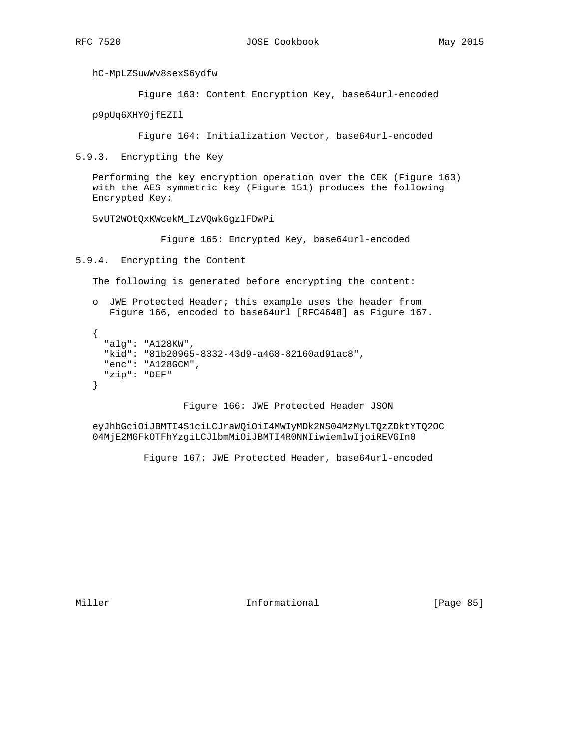hC-MpLZSuwWv8sexS6ydfw

Figure 163: Content Encryption Key, base64url-encoded

p9pUq6XHY0jfEZIl

Figure 164: Initialization Vector, base64url-encoded

5.9.3. Encrypting the Key

 Performing the key encryption operation over the CEK (Figure 163) with the AES symmetric key (Figure 151) produces the following Encrypted Key:

5vUT2WOtQxKWcekM\_IzVQwkGgzlFDwPi

Figure 165: Encrypted Key, base64url-encoded

5.9.4. Encrypting the Content

The following is generated before encrypting the content:

```
 o JWE Protected Header; this example uses the header from
   Figure 166, encoded to base64url [RFC4648] as Figure 167.
```

```
\left\{ \right. "alg": "A128KW",
   "kid": "81b20965-8332-43d9-a468-82160ad91ac8",
   "enc": "A128GCM",
   "zip": "DEF"
 }
```
Figure 166: JWE Protected Header JSON

 eyJhbGciOiJBMTI4S1ciLCJraWQiOiI4MWIyMDk2NS04MzMyLTQzZDktYTQ2OC 04MjE2MGFkOTFhYzgiLCJlbmMiOiJBMTI4R0NNIiwiemlwIjoiREVGIn0

Figure 167: JWE Protected Header, base64url-encoded

Miller **Informational** [Page 85]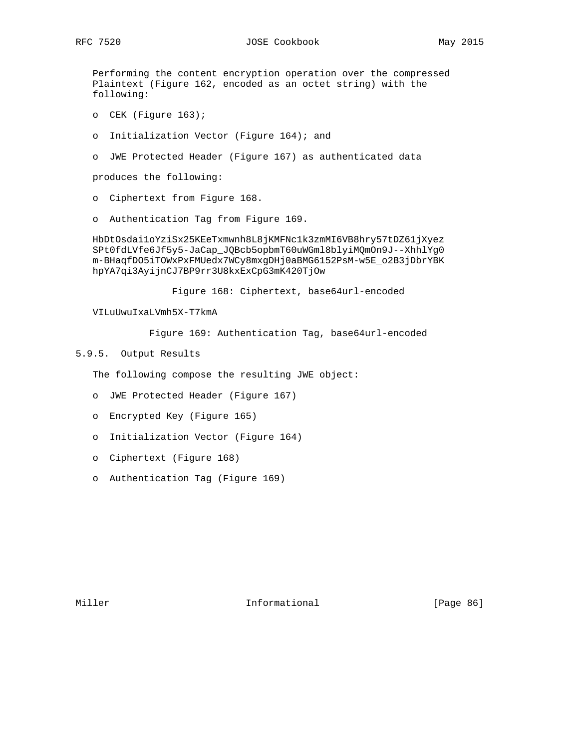Performing the content encryption operation over the compressed Plaintext (Figure 162, encoded as an octet string) with the following:

- o CEK (Figure 163);
- o Initialization Vector (Figure 164); and
- o JWE Protected Header (Figure 167) as authenticated data

produces the following:

- o Ciphertext from Figure 168.
- o Authentication Tag from Figure 169.

 HbDtOsdai1oYziSx25KEeTxmwnh8L8jKMFNc1k3zmMI6VB8hry57tDZ61jXyez SPt0fdLVfe6Jf5y5-JaCap\_JQBcb5opbmT60uWGml8blyiMQmOn9J--XhhlYg0 m-BHaqfDO5iTOWxPxFMUedx7WCy8mxgDHj0aBMG6152PsM-w5E\_o2B3jDbrYBK hpYA7qi3AyijnCJ7BP9rr3U8kxExCpG3mK420TjOw

Figure 168: Ciphertext, base64url-encoded

VILuUwuIxaLVmh5X-T7kmA

Figure 169: Authentication Tag, base64url-encoded

5.9.5. Output Results

The following compose the resulting JWE object:

- o JWE Protected Header (Figure 167)
- o Encrypted Key (Figure 165)
- o Initialization Vector (Figure 164)
- o Ciphertext (Figure 168)
- o Authentication Tag (Figure 169)

Miller **Informational** [Page 86]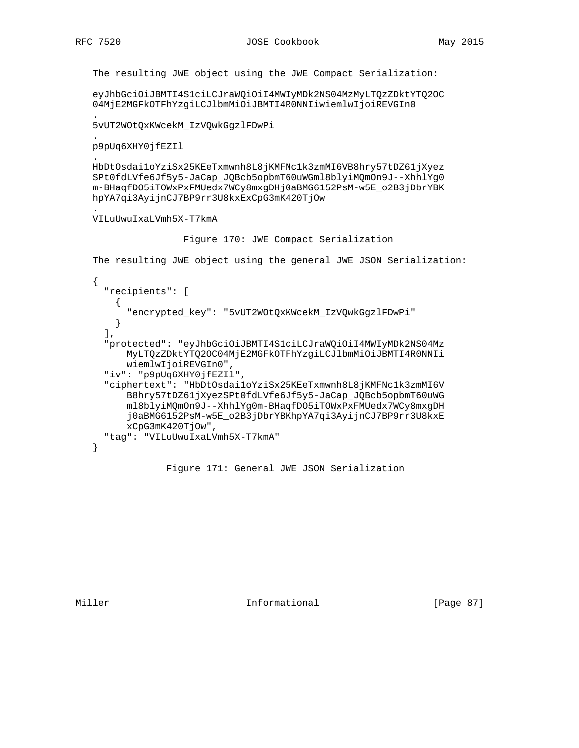.

.

.

The resulting JWE object using the JWE Compact Serialization:

 eyJhbGciOiJBMTI4S1ciLCJraWQiOiI4MWIyMDk2NS04MzMyLTQzZDktYTQ2OC 04MjE2MGFkOTFhYzgiLCJlbmMiOiJBMTI4R0NNIiwiemlwIjoiREVGIn0

 . 5vUT2WOtQxKWcekM\_IzVQwkGgzlFDwPi

p9pUq6XHY0jfEZIl

 HbDtOsdai1oYziSx25KEeTxmwnh8L8jKMFNc1k3zmMI6VB8hry57tDZ61jXyez SPt0fdLVfe6Jf5y5-JaCap\_JQBcb5opbmT60uWGml8blyiMQmOn9J--XhhlYg0 m-BHaqfDO5iTOWxPxFMUedx7WCy8mxgDHj0aBMG6152PsM-w5E\_o2B3jDbrYBK hpYA7qi3AyijnCJ7BP9rr3U8kxExCpG3mK420TjOw

VILuUwuIxaLVmh5X-T7kmA

Figure 170: JWE Compact Serialization

The resulting JWE object using the general JWE JSON Serialization:

```
 {
   "recipients": [
    \mathcal{L} "encrypted_key": "5vUT2WOtQxKWcekM_IzVQwkGgzlFDwPi"
     }
  \,,
   "protected": "eyJhbGciOiJBMTI4S1ciLCJraWQiOiI4MWIyMDk2NS04Mz
       MyLTQzZDktYTQ2OC04MjE2MGFkOTFhYzgiLCJlbmMiOiJBMTI4R0NNIi
       wiemlwIjoiREVGIn0",
   "iv": "p9pUq6XHY0jfEZIl",
   "ciphertext": "HbDtOsdai1oYziSx25KEeTxmwnh8L8jKMFNc1k3zmMI6V
       B8hry57tDZ61jXyezSPt0fdLVfe6Jf5y5-JaCap_JQBcb5opbmT60uWG
       ml8blyiMQmOn9J--XhhlYg0m-BHaqfDO5iTOWxPxFMUedx7WCy8mxgDH
       j0aBMG6152PsM-w5E_o2B3jDbrYBKhpYA7qi3AyijnCJ7BP9rr3U8kxE
       xCpG3mK420TjOw",
   "tag": "VILuUwuIxaLVmh5X-T7kmA"
 }
```
Figure 171: General JWE JSON Serialization

Miller **Informational Informational** [Page 87]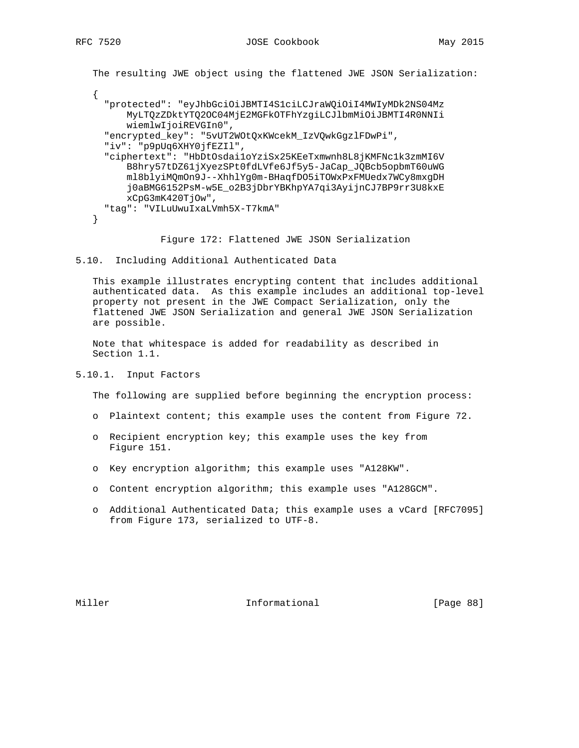The resulting JWE object using the flattened JWE JSON Serialization:

 { "protected": "eyJhbGciOiJBMTI4S1ciLCJraWQiOiI4MWIyMDk2NS04Mz MyLTQzZDktYTQ2OC04MjE2MGFkOTFhYzgiLCJlbmMiOiJBMTI4R0NNIi wiemlwIjoiREVGIn0", "encrypted\_key": "5vUT2WOtQxKWcekM\_IzVQwkGgzlFDwPi", "iv": "p9pUq6XHY0jfEZIl", "ciphertext": "HbDtOsdai1oYziSx25KEeTxmwnh8L8jKMFNc1k3zmMI6V B8hry57tDZ61jXyezSPt0fdLVfe6Jf5y5-JaCap\_JQBcb5opbmT60uWG ml8blyiMQmOn9J--XhhlYg0m-BHaqfDO5iTOWxPxFMUedx7WCy8mxgDH j0aBMG6152PsM-w5E\_o2B3jDbrYBKhpYA7qi3AyijnCJ7BP9rr3U8kxE xCpG3mK420TjOw", "tag": "VILuUwuIxaLVmh5X-T7kmA" }

Figure 172: Flattened JWE JSON Serialization

```
5.10. Including Additional Authenticated Data
```
 This example illustrates encrypting content that includes additional authenticated data. As this example includes an additional top-level property not present in the JWE Compact Serialization, only the flattened JWE JSON Serialization and general JWE JSON Serialization are possible.

 Note that whitespace is added for readability as described in Section 1.1.

#### 5.10.1. Input Factors

The following are supplied before beginning the encryption process:

- o Plaintext content; this example uses the content from Figure 72.
- o Recipient encryption key; this example uses the key from Figure 151.
- o Key encryption algorithm; this example uses "A128KW".
- o Content encryption algorithm; this example uses "A128GCM".
- o Additional Authenticated Data; this example uses a vCard [RFC7095] from Figure 173, serialized to UTF-8.

Miller **Informational** [Page 88]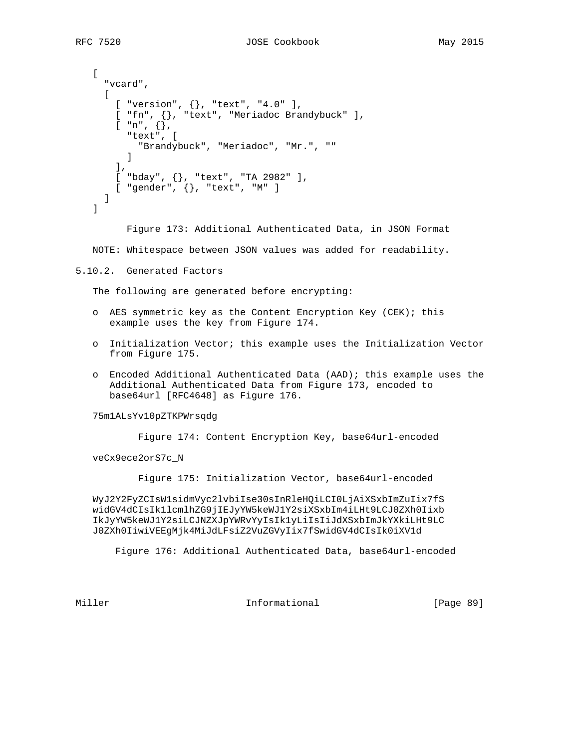```
\Gamma "vcard",
     \Gamma[ "version", {}, "text", "4.0" ],
        [ "fn", {}, "text", "Meriadoc Brandybuck" ],
       \lbrack "n", \lbrack,
          "text", [
            "Brandybuck", "Meriadoc", "Mr.", ""
 ]
        ],
 [ "bday", {}, "text", "TA 2982" ],
 [ "gender", {}, "text", "M" ]
      ]
   ]
```
Figure 173: Additional Authenticated Data, in JSON Format

NOTE: Whitespace between JSON values was added for readability.

```
5.10.2. Generated Factors
```
The following are generated before encrypting:

- o AES symmetric key as the Content Encryption Key (CEK); this example uses the key from Figure 174.
- o Initialization Vector; this example uses the Initialization Vector from Figure 175.
- o Encoded Additional Authenticated Data (AAD); this example uses the Additional Authenticated Data from Figure 173, encoded to base64url [RFC4648] as Figure 176.

#### 75m1ALsYv10pZTKPWrsqdg

Figure 174: Content Encryption Key, base64url-encoded

veCx9ece2orS7c\_N

Figure 175: Initialization Vector, base64url-encoded

 WyJ2Y2FyZCIsW1sidmVyc2lvbiIse30sInRleHQiLCI0LjAiXSxbImZuIix7fS widGV4dCIsIk1lcmlhZG9jIEJyYW5keWJ1Y2siXSxbIm4iLHt9LCJ0ZXh0Iixb IkJyYW5keWJ1Y2siLCJNZXJpYWRvYyIsIk1yLiIsIiJdXSxbImJkYXkiLHt9LC J0ZXh0IiwiVEEgMjk4MiJdLFsiZ2VuZGVyIix7fSwidGV4dCIsIk0iXV1d

Figure 176: Additional Authenticated Data, base64url-encoded

Miller **Informational** [Page 89]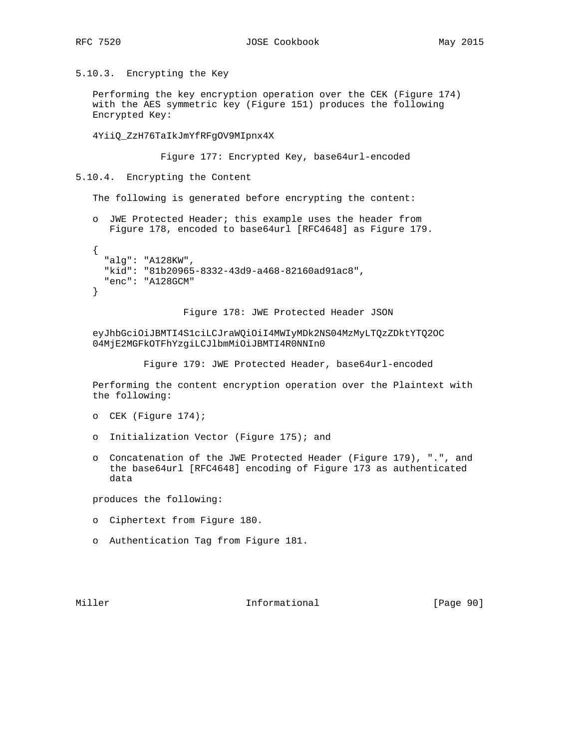5.10.3. Encrypting the Key

 Performing the key encryption operation over the CEK (Figure 174) with the AES symmetric key (Figure 151) produces the following Encrypted Key:

4YiiQ\_ZzH76TaIkJmYfRFgOV9MIpnx4X

Figure 177: Encrypted Key, base64url-encoded

5.10.4. Encrypting the Content

The following is generated before encrypting the content:

 o JWE Protected Header; this example uses the header from Figure 178, encoded to base64url [RFC4648] as Figure 179.

```
 {
   "alg": "A128KW",
   "kid": "81b20965-8332-43d9-a468-82160ad91ac8",
   "enc": "A128GCM"
 }
```
Figure 178: JWE Protected Header JSON

 eyJhbGciOiJBMTI4S1ciLCJraWQiOiI4MWIyMDk2NS04MzMyLTQzZDktYTQ2OC 04MjE2MGFkOTFhYzgiLCJlbmMiOiJBMTI4R0NNIn0

Figure 179: JWE Protected Header, base64url-encoded

 Performing the content encryption operation over the Plaintext with the following:

- o CEK (Figure 174);
- o Initialization Vector (Figure 175); and
- o Concatenation of the JWE Protected Header (Figure 179), ".", and the base64url [RFC4648] encoding of Figure 173 as authenticated data

produces the following:

- o Ciphertext from Figure 180.
- o Authentication Tag from Figure 181.

Miller **Informational** [Page 90]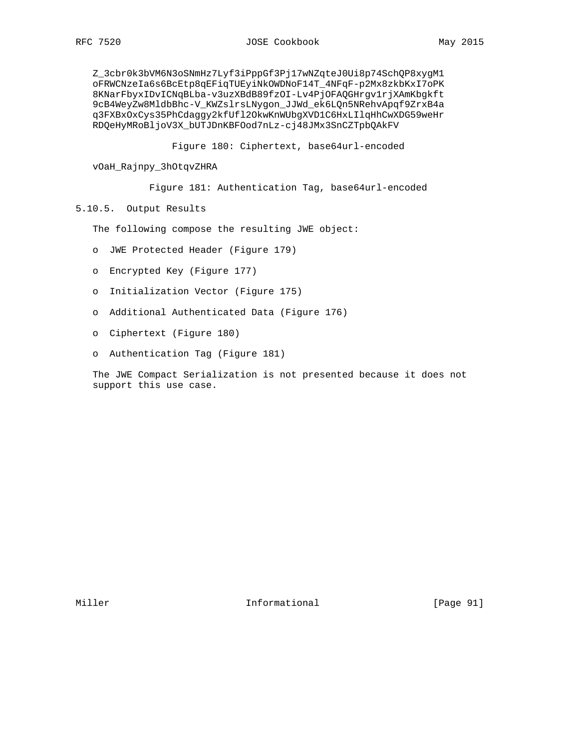Z\_3cbr0k3bVM6N3oSNmHz7Lyf3iPppGf3Pj17wNZqteJ0Ui8p74SchQP8xygM1 oFRWCNzeIa6s6BcEtp8qEFiqTUEyiNkOWDNoF14T\_4NFqF-p2Mx8zkbKxI7oPK 8KNarFbyxIDvICNqBLba-v3uzXBdB89fzOI-Lv4PjOFAQGHrgv1rjXAmKbgkft 9cB4WeyZw8MldbBhc-V\_KWZslrsLNygon\_JJWd\_ek6LQn5NRehvApqf9ZrxB4a q3FXBxOxCys35PhCdaggy2kfUfl2OkwKnWUbgXVD1C6HxLIlqHhCwXDG59weHr RDQeHyMRoBljoV3X\_bUTJDnKBFOod7nLz-cj48JMx3SnCZTpbQAkFV

Figure 180: Ciphertext, base64url-encoded

vOaH\_Rajnpy\_3hOtqvZHRA

Figure 181: Authentication Tag, base64url-encoded

5.10.5. Output Results

The following compose the resulting JWE object:

- o JWE Protected Header (Figure 179)
- o Encrypted Key (Figure 177)
- o Initialization Vector (Figure 175)
- o Additional Authenticated Data (Figure 176)
- o Ciphertext (Figure 180)
- o Authentication Tag (Figure 181)

 The JWE Compact Serialization is not presented because it does not support this use case.

Miller **Informational Informational** [Page 91]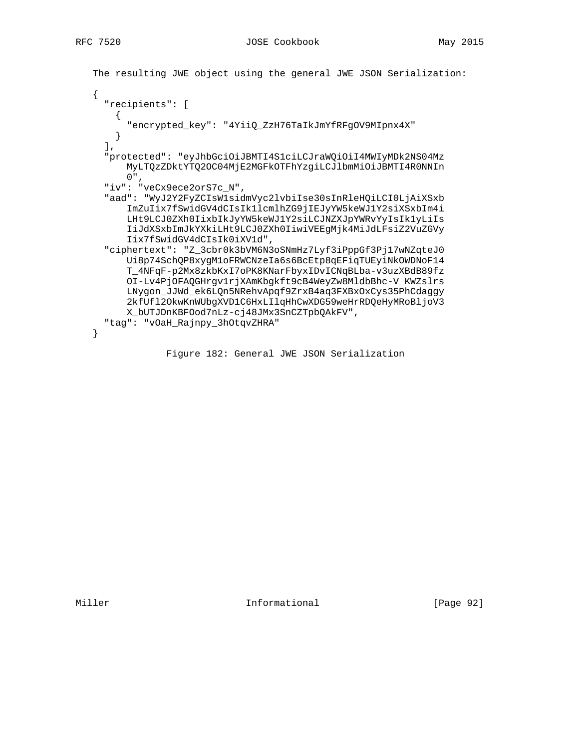```
 The resulting JWE object using the general JWE JSON Serialization:
 {
   "recipients": [
   \mathcal{A} "encrypted_key": "4YiiQ_ZzH76TaIkJmYfRFgOV9MIpnx4X"
    }
  \,, \, "protected": "eyJhbGciOiJBMTI4S1ciLCJraWQiOiI4MWIyMDk2NS04Mz
       MyLTQzZDktYTQ2OC04MjE2MGFkOTFhYzgiLCJlbmMiOiJBMTI4R0NNIn
       0",
   "iv": "veCx9ece2orS7c_N",
   "aad": "WyJ2Y2FyZCIsW1sidmVyc2lvbiIse30sInRleHQiLCI0LjAiXSxb
       ImZuIix7fSwidGV4dCIsIk1lcmlhZG9jIEJyYW5keWJ1Y2siXSxbIm4i
       LHt9LCJ0ZXh0IixbIkJyYW5keWJ1Y2siLCJNZXJpYWRvYyIsIk1yLiIs
       IiJdXSxbImJkYXkiLHt9LCJ0ZXh0IiwiVEEgMjk4MiJdLFsiZ2VuZGVy
       Iix7fSwidGV4dCIsIk0iXV1d",
   "ciphertext": "Z_3cbr0k3bVM6N3oSNmHz7Lyf3iPppGf3Pj17wNZqteJ0
       Ui8p74SchQP8xygM1oFRWCNzeIa6s6BcEtp8qEFiqTUEyiNkOWDNoF14
       T_4NFqF-p2Mx8zkbKxI7oPK8KNarFbyxIDvICNqBLba-v3uzXBdB89fz
       OI-Lv4PjOFAQGHrgv1rjXAmKbgkft9cB4WeyZw8MldbBhc-V_KWZslrs
       LNygon_JJWd_ek6LQn5NRehvApqf9ZrxB4aq3FXBxOxCys35PhCdaggy
       2kfUfl2OkwKnWUbgXVD1C6HxLIlqHhCwXDG59weHrRDQeHyMRoBljoV3
       X_bUTJDnKBFOod7nLz-cj48JMx3SnCZTpbQAkFV",
   "tag": "vOaH_Rajnpy_3hOtqvZHRA"
 }
```
Figure 182: General JWE JSON Serialization

Miller **Informational** [Page 92]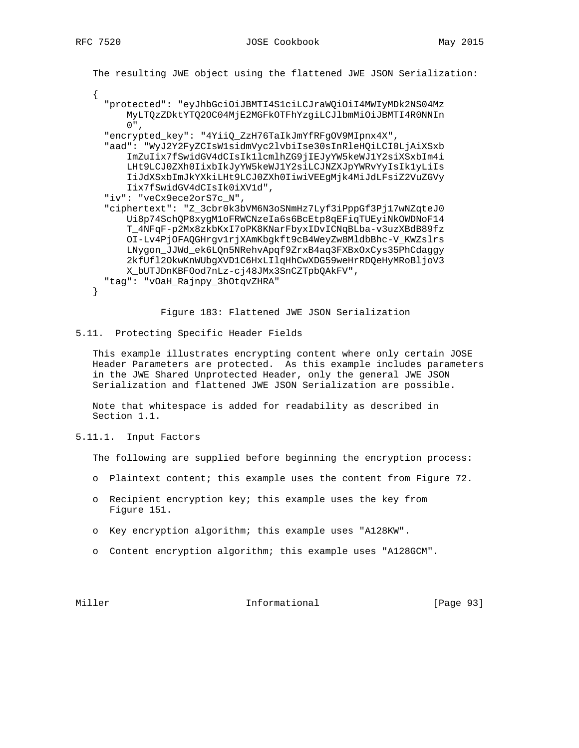The resulting JWE object using the flattened JWE JSON Serialization: { "protected": "eyJhbGciOiJBMTI4S1ciLCJraWQiOiI4MWIyMDk2NS04Mz MyLTQzZDktYTQ2OC04MjE2MGFkOTFhYzgiLCJlbmMiOiJBMTI4R0NNIn 0", "encrypted\_key": "4YiiQ\_ZzH76TaIkJmYfRFgOV9MIpnx4X", "aad": "WyJ2Y2FyZCIsW1sidmVyc2lvbiIse30sInRleHQiLCI0LjAiXSxb ImZuIix7fSwidGV4dCIsIk1lcmlhZG9jIEJyYW5keWJ1Y2siXSxbIm4i LHt9LCJ0ZXh0IixbIkJyYW5keWJ1Y2siLCJNZXJpYWRvYyIsIk1yLiIs IiJdXSxbImJkYXkiLHt9LCJ0ZXh0IiwiVEEgMjk4MiJdLFsiZ2VuZGVy Iix7fSwidGV4dCIsIk0iXV1d", "iv": "veCx9ece2orS7c\_N", "ciphertext": "Z\_3cbr0k3bVM6N3oSNmHz7Lyf3iPppGf3Pj17wNZqteJ0 Ui8p74SchQP8xygM1oFRWCNzeIa6s6BcEtp8qEFiqTUEyiNkOWDNoF14 T\_4NFqF-p2Mx8zkbKxI7oPK8KNarFbyxIDvICNqBLba-v3uzXBdB89fz OI-Lv4PjOFAQGHrgv1rjXAmKbgkft9cB4WeyZw8MldbBhc-V\_KWZslrs LNygon\_JJWd\_ek6LQn5NRehvApqf9ZrxB4aq3FXBxOxCys35PhCdaggy 2kfUfl2OkwKnWUbgXVD1C6HxLIlqHhCwXDG59weHrRDQeHyMRoBljoV3 X\_bUTJDnKBFOod7nLz-cj48JMx3SnCZTpbQAkFV", "tag": "vOaH\_Rajnpy\_3hOtqvZHRA" }

Figure 183: Flattened JWE JSON Serialization

#### 5.11. Protecting Specific Header Fields

 This example illustrates encrypting content where only certain JOSE Header Parameters are protected. As this example includes parameters in the JWE Shared Unprotected Header, only the general JWE JSON Serialization and flattened JWE JSON Serialization are possible.

 Note that whitespace is added for readability as described in Section 1.1.

5.11.1. Input Factors

The following are supplied before beginning the encryption process:

- o Plaintext content; this example uses the content from Figure 72.
- o Recipient encryption key; this example uses the key from Figure 151.
- o Key encryption algorithm; this example uses "A128KW".
- o Content encryption algorithm; this example uses "A128GCM".

Miller **Informational** [Page 93]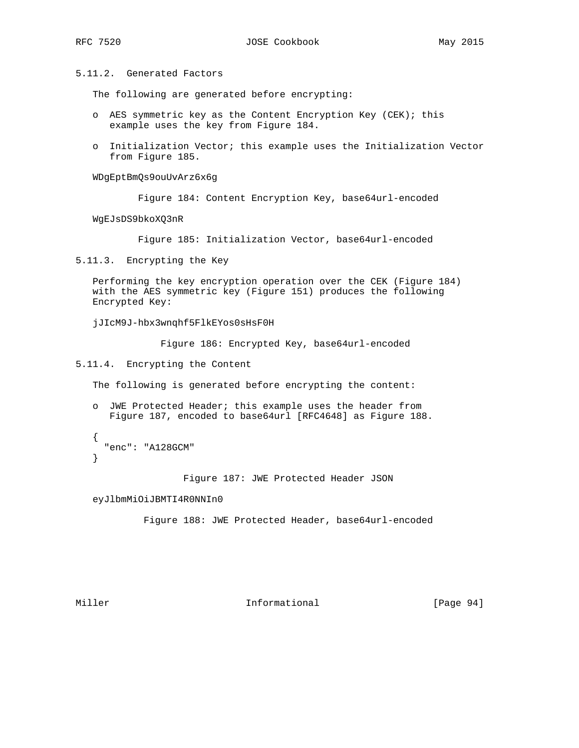5.11.2. Generated Factors

The following are generated before encrypting:

- o AES symmetric key as the Content Encryption Key (CEK); this example uses the key from Figure 184.
- o Initialization Vector; this example uses the Initialization Vector from Figure 185.

WDgEptBmQs9ouUvArz6x6g

Figure 184: Content Encryption Key, base64url-encoded

WgEJsDS9bkoXQ3nR

Figure 185: Initialization Vector, base64url-encoded

5.11.3. Encrypting the Key

 Performing the key encryption operation over the CEK (Figure 184) with the AES symmetric key (Figure 151) produces the following Encrypted Key:

jJIcM9J-hbx3wnqhf5FlkEYos0sHsF0H

Figure 186: Encrypted Key, base64url-encoded

5.11.4. Encrypting the Content

The following is generated before encrypting the content:

 o JWE Protected Header; this example uses the header from Figure 187, encoded to base64url [RFC4648] as Figure 188.

```
 {
   "enc": "A128GCM"
 }
```
Figure 187: JWE Protected Header JSON

eyJlbmMiOiJBMTI4R0NNIn0

Figure 188: JWE Protected Header, base64url-encoded

Miller **Informational** [Page 94]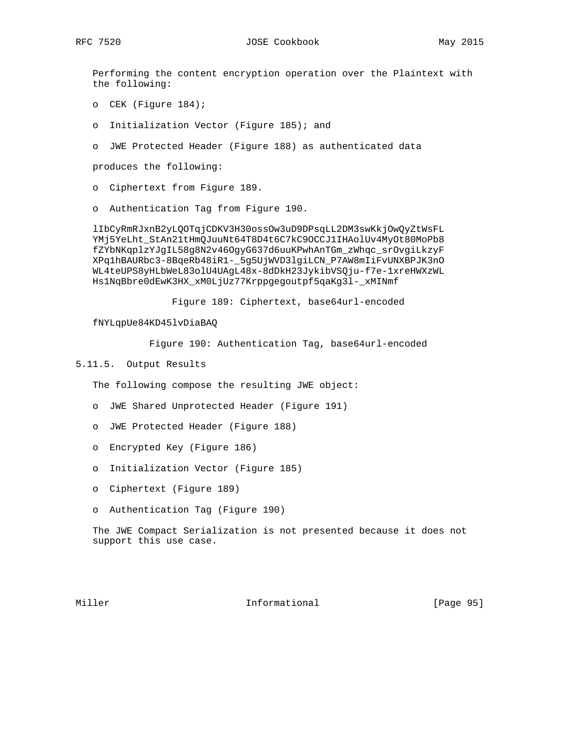Performing the content encryption operation over the Plaintext with the following:

- o CEK (Figure 184);
- o Initialization Vector (Figure 185); and
- o JWE Protected Header (Figure 188) as authenticated data

produces the following:

- o Ciphertext from Figure 189.
- o Authentication Tag from Figure 190.

 lIbCyRmRJxnB2yLQOTqjCDKV3H30ossOw3uD9DPsqLL2DM3swKkjOwQyZtWsFL YMj5YeLht\_StAn21tHmQJuuNt64T8D4t6C7kC9OCCJ1IHAolUv4MyOt80MoPb8 fZYbNKqplzYJgIL58g8N2v46OgyG637d6uuKPwhAnTGm\_zWhqc\_srOvgiLkzyF XPq1hBAURbc3-8BqeRb48iR1-\_5g5UjWVD3lgiLCN\_P7AW8mIiFvUNXBPJK3nO WL4teUPS8yHLbWeL83olU4UAgL48x-8dDkH23JykibVSQju-f7e-1xreHWXzWL Hs1NqBbre0dEwK3HX\_xM0LjUz77Krppgegoutpf5qaKg3l-\_xMINmf

Figure 189: Ciphertext, base64url-encoded

fNYLqpUe84KD45lvDiaBAQ

Figure 190: Authentication Tag, base64url-encoded

#### 5.11.5. Output Results

The following compose the resulting JWE object:

- o JWE Shared Unprotected Header (Figure 191)
- o JWE Protected Header (Figure 188)
- o Encrypted Key (Figure 186)
- o Initialization Vector (Figure 185)
- o Ciphertext (Figure 189)
- o Authentication Tag (Figure 190)

 The JWE Compact Serialization is not presented because it does not support this use case.

Miller **Informational** [Page 95]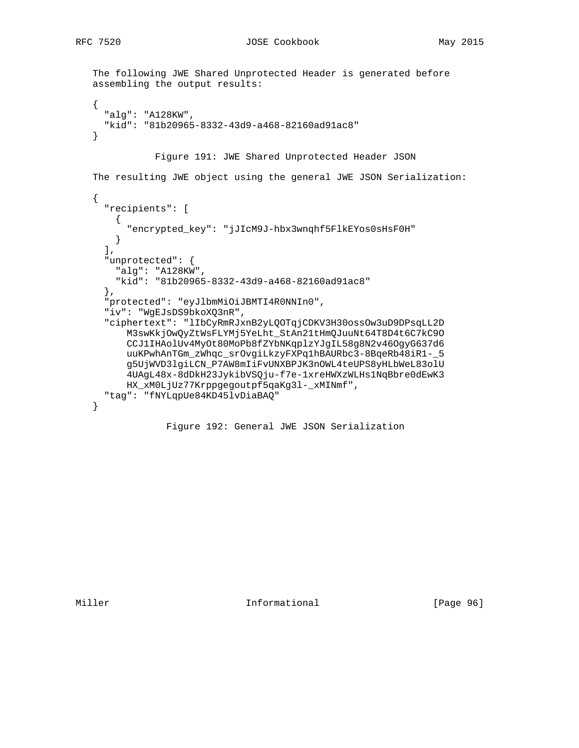RFC 7520 JOSE Cookbook May 2015

```
 The following JWE Shared Unprotected Header is generated before
 assembling the output results:
 {
   "alg": "A128KW",
   "kid": "81b20965-8332-43d9-a468-82160ad91ac8"
 }
            Figure 191: JWE Shared Unprotected Header JSON
 The resulting JWE object using the general JWE JSON Serialization:
 {
   "recipients": [
    {
       "encrypted_key": "jJIcM9J-hbx3wnqhf5FlkEYos0sHsF0H"
    }
 \mathbf{l} ,
   "unprotected": {
    "alg": "A128KW",
    "kid": "81b20965-8332-43d9-a468-82160ad91ac8"
   },
   "protected": "eyJlbmMiOiJBMTI4R0NNIn0",
   "iv": "WgEJsDS9bkoXQ3nR",
   "ciphertext": "lIbCyRmRJxnB2yLQOTqjCDKV3H30ossOw3uD9DPsqLL2D
       M3swKkjOwQyZtWsFLYMj5YeLht_StAn21tHmQJuuNt64T8D4t6C7kC9O
       CCJ1IHAolUv4MyOt80MoPb8fZYbNKqplzYJgIL58g8N2v46OgyG637d6
       uuKPwhAnTGm_zWhqc_srOvgiLkzyFXPq1hBAURbc3-8BqeRb48iR1-_5
       g5UjWVD3lgiLCN_P7AW8mIiFvUNXBPJK3nOWL4teUPS8yHLbWeL83olU
       4UAgL48x-8dDkH23JykibVSQju-f7e-1xreHWXzWLHs1NqBbre0dEwK3
       HX_xM0LjUz77Krppgegoutpf5qaKg3l-_xMINmf",
   "tag": "fNYLqpUe84KD45lvDiaBAQ"
 }
```
Figure 192: General JWE JSON Serialization

Miller **Informational** [Page 96]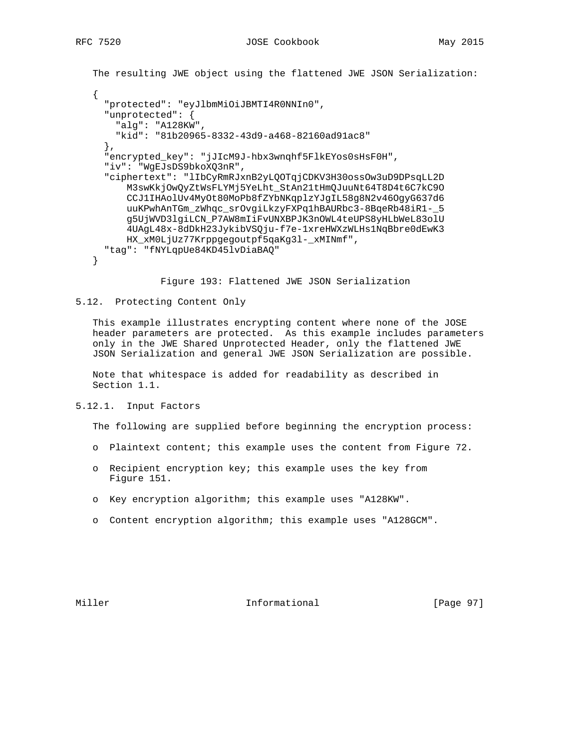The resulting JWE object using the flattened JWE JSON Serialization:

```
 {
      "protected": "eyJlbmMiOiJBMTI4R0NNIn0",
      "unprotected": {
       "alg": "A128KW",
        "kid": "81b20965-8332-43d9-a468-82160ad91ac8"
      },
      "encrypted_key": "jJIcM9J-hbx3wnqhf5FlkEYos0sHsF0H",
      "iv": "WgEJsDS9bkoXQ3nR",
      "ciphertext": "lIbCyRmRJxnB2yLQOTqjCDKV3H30ossOw3uD9DPsqLL2D
          M3swKkjOwQyZtWsFLYMj5YeLht_StAn21tHmQJuuNt64T8D4t6C7kC9O
          CCJ1IHAolUv4MyOt80MoPb8fZYbNKqplzYJgIL58g8N2v46OgyG637d6
          uuKPwhAnTGm_zWhqc_srOvgiLkzyFXPq1hBAURbc3-8BqeRb48iR1-_5
          g5UjWVD3lgiLCN_P7AW8mIiFvUNXBPJK3nOWL4teUPS8yHLbWeL83olU
          4UAgL48x-8dDkH23JykibVSQju-f7e-1xreHWXzWLHs1NqBbre0dEwK3
          HX_xM0LjUz77Krppgegoutpf5qaKg3l-_xMINmf",
      "tag": "fNYLqpUe84KD45lvDiaBAQ"
   }
```
Figure 193: Flattened JWE JSON Serialization

#### 5.12. Protecting Content Only

 This example illustrates encrypting content where none of the JOSE header parameters are protected. As this example includes parameters only in the JWE Shared Unprotected Header, only the flattened JWE JSON Serialization and general JWE JSON Serialization are possible.

 Note that whitespace is added for readability as described in Section 1.1.

5.12.1. Input Factors

The following are supplied before beginning the encryption process:

- o Plaintext content; this example uses the content from Figure 72.
- o Recipient encryption key; this example uses the key from Figure 151.
- o Key encryption algorithm; this example uses "A128KW".
- o Content encryption algorithm; this example uses "A128GCM".

### Miller **Informational** [Page 97]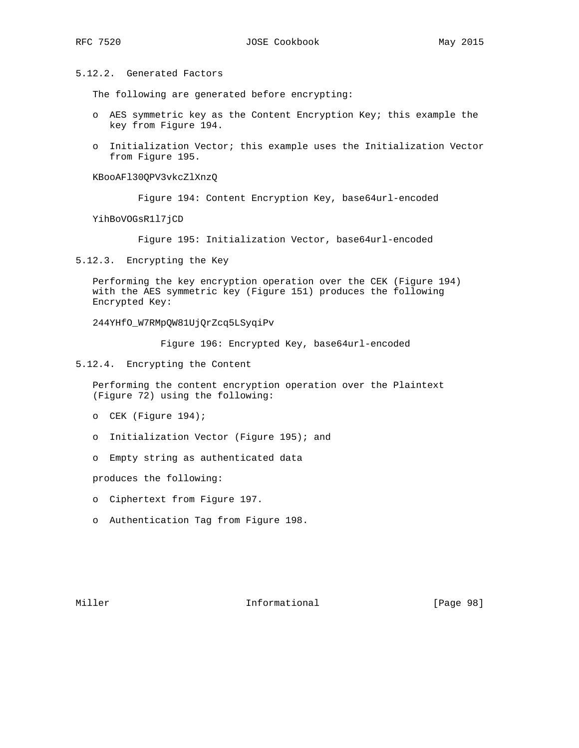5.12.2. Generated Factors

The following are generated before encrypting:

- o AES symmetric key as the Content Encryption Key; this example the key from Figure 194.
- o Initialization Vector; this example uses the Initialization Vector from Figure 195.

KBooAFl30QPV3vkcZlXnzQ

Figure 194: Content Encryption Key, base64url-encoded

YihBoVOGsR1l7jCD

Figure 195: Initialization Vector, base64url-encoded

5.12.3. Encrypting the Key

 Performing the key encryption operation over the CEK (Figure 194) with the AES symmetric key (Figure 151) produces the following Encrypted Key:

244YHfO\_W7RMpQW81UjQrZcq5LSyqiPv

Figure 196: Encrypted Key, base64url-encoded

5.12.4. Encrypting the Content

 Performing the content encryption operation over the Plaintext (Figure 72) using the following:

- o CEK (Figure 194);
- o Initialization Vector (Figure 195); and
- o Empty string as authenticated data

produces the following:

- o Ciphertext from Figure 197.
- o Authentication Tag from Figure 198.

Miller **Informational Informational** [Page 98]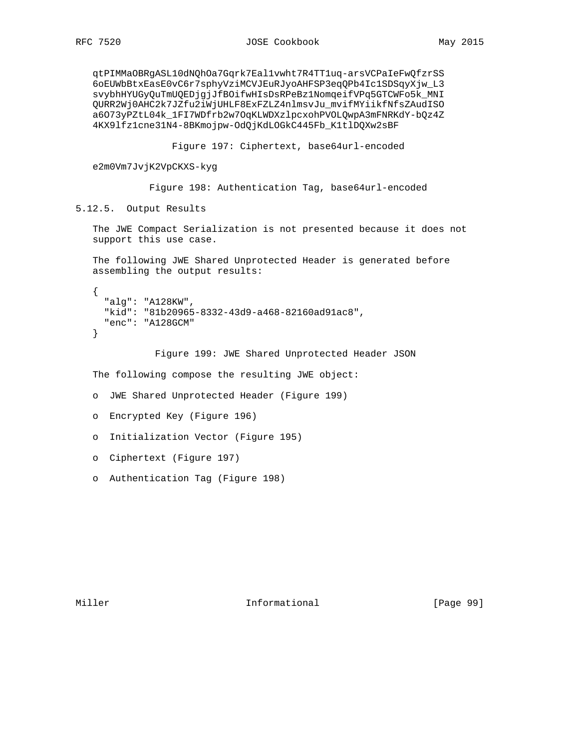qtPIMMaOBRgASL10dNQhOa7Gqrk7Eal1vwht7R4TT1uq-arsVCPaIeFwQfzrSS 6oEUWbBtxEasE0vC6r7sphyVziMCVJEuRJyoAHFSP3eqQPb4Ic1SDSqyXjw\_L3 svybhHYUGyQuTmUQEDjgjJfBOifwHIsDsRPeBz1NomqeifVPq5GTCWFo5k\_MNI QURR2Wj0AHC2k7JZfu2iWjUHLF8ExFZLZ4nlmsvJu\_mvifMYiikfNfsZAudISO a6O73yPZtL04k\_1FI7WDfrb2w7OqKLWDXzlpcxohPVOLQwpA3mFNRKdY-bQz4Z 4KX9lfz1cne31N4-8BKmojpw-OdQjKdLOGkC445Fb\_K1tlDQXw2sBF

Figure 197: Ciphertext, base64url-encoded

e2m0Vm7JvjK2VpCKXS-kyg

Figure 198: Authentication Tag, base64url-encoded

5.12.5. Output Results

 The JWE Compact Serialization is not presented because it does not support this use case.

 The following JWE Shared Unprotected Header is generated before assembling the output results:

```
 {
   "alg": "A128KW",
   "kid": "81b20965-8332-43d9-a468-82160ad91ac8",
   "enc": "A128GCM"
 }
```
Figure 199: JWE Shared Unprotected Header JSON

The following compose the resulting JWE object:

o JWE Shared Unprotected Header (Figure 199)

- o Encrypted Key (Figure 196)
- o Initialization Vector (Figure 195)
- o Ciphertext (Figure 197)
- o Authentication Tag (Figure 198)

Miller **Informational** [Page 99]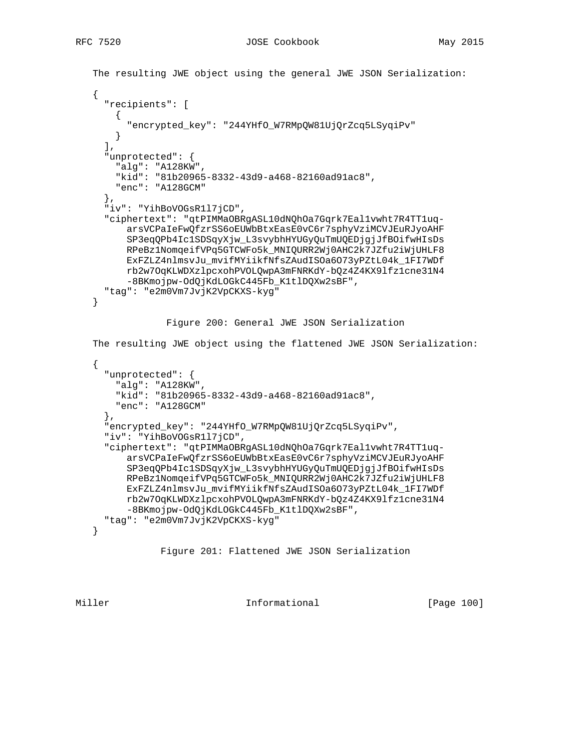```
 The resulting JWE object using the general JWE JSON Serialization:
    {
      "recipients": [
      \mathcal{A} "encrypted_key": "244YHfO_W7RMpQW81UjQrZcq5LSyqiPv"
 }
     \,,
      "unprotected": {
        "alg": "A128KW",
        "kid": "81b20965-8332-43d9-a468-82160ad91ac8",
        "enc": "A128GCM"
      },
      "iv": "YihBoVOGsR1l7jCD",
      "ciphertext": "qtPIMMaOBRgASL10dNQhOa7Gqrk7Eal1vwht7R4TT1uq-
          arsVCPaIeFwQfzrSS6oEUWbBtxEasE0vC6r7sphyVziMCVJEuRJyoAHF
          SP3eqQPb4Ic1SDSqyXjw_L3svybhHYUGyQuTmUQEDjgjJfBOifwHIsDs
          RPeBz1NomqeifVPq5GTCWFo5k_MNIQURR2Wj0AHC2k7JZfu2iWjUHLF8
          ExFZLZ4nlmsvJu_mvifMYiikfNfsZAudISOa6O73yPZtL04k_1FI7WDf
          rb2w7OqKLWDXzlpcxohPVOLQwpA3mFNRKdY-bQz4Z4KX9lfz1cne31N4
          -8BKmojpw-OdQjKdLOGkC445Fb_K1tlDQXw2sBF",
      "tag": "e2m0Vm7JvjK2VpCKXS-kyg"
   }
                 Figure 200: General JWE JSON Serialization
   The resulting JWE object using the flattened JWE JSON Serialization:
   \{ "unprotected": {
        "alg": "A128KW",
        "kid": "81b20965-8332-43d9-a468-82160ad91ac8",
       "enc": "A128GCM"
      },
      "encrypted_key": "244YHfO_W7RMpQW81UjQrZcq5LSyqiPv",
      "iv": "YihBoVOGsR1l7jCD",
      "ciphertext": "qtPIMMaOBRgASL10dNQhOa7Gqrk7Eal1vwht7R4TT1uq-
          arsVCPaIeFwQfzrSS6oEUWbBtxEasE0vC6r7sphyVziMCVJEuRJyoAHF
          SP3eqQPb4Ic1SDSqyXjw_L3svybhHYUGyQuTmUQEDjgjJfBOifwHIsDs
          RPeBz1NomqeifVPq5GTCWFo5k_MNIQURR2Wj0AHC2k7JZfu2iWjUHLF8
          ExFZLZ4nlmsvJu_mvifMYiikfNfsZAudISOa6O73yPZtL04k_1FI7WDf
          rb2w7OqKLWDXzlpcxohPVOLQwpA3mFNRKdY-bQz4Z4KX9lfz1cne31N4
          -8BKmojpw-OdQjKdLOGkC445Fb_K1tlDQXw2sBF",
      "tag": "e2m0Vm7JvjK2VpCKXS-kyg"
   }
```

```
 Figure 201: Flattened JWE JSON Serialization
```
Miller **Informational** [Page 100]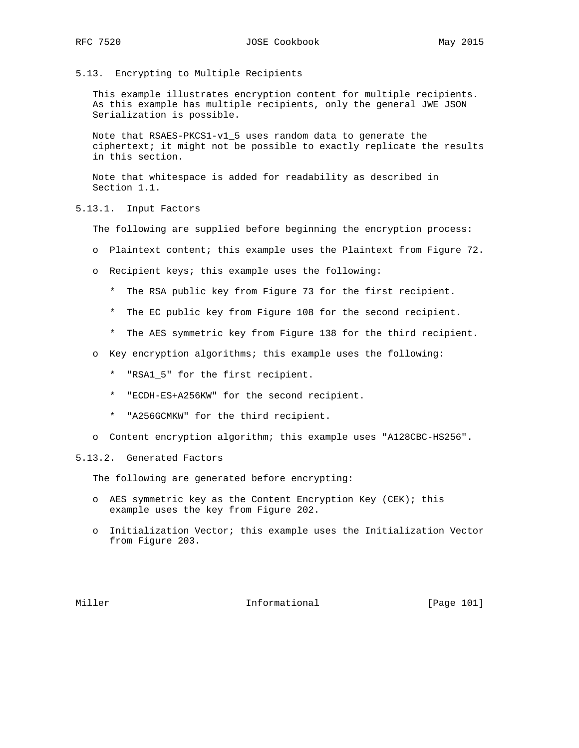5.13. Encrypting to Multiple Recipients

 This example illustrates encryption content for multiple recipients. As this example has multiple recipients, only the general JWE JSON Serialization is possible.

 Note that RSAES-PKCS1-v1\_5 uses random data to generate the ciphertext; it might not be possible to exactly replicate the results in this section.

 Note that whitespace is added for readability as described in Section 1.1.

5.13.1. Input Factors

The following are supplied before beginning the encryption process:

- o Plaintext content; this example uses the Plaintext from Figure 72.
- o Recipient keys; this example uses the following:
	- \* The RSA public key from Figure 73 for the first recipient.
	- \* The EC public key from Figure 108 for the second recipient.
	- \* The AES symmetric key from Figure 138 for the third recipient.
- o Key encryption algorithms; this example uses the following:
	- \* "RSA1\_5" for the first recipient.
	- \* "ECDH-ES+A256KW" for the second recipient.
	- \* "A256GCMKW" for the third recipient.
- o Content encryption algorithm; this example uses "A128CBC-HS256".

#### 5.13.2. Generated Factors

The following are generated before encrypting:

- o AES symmetric key as the Content Encryption Key (CEK); this example uses the key from Figure 202.
- o Initialization Vector; this example uses the Initialization Vector from Figure 203.

Miller **Informational Informational** [Page 101]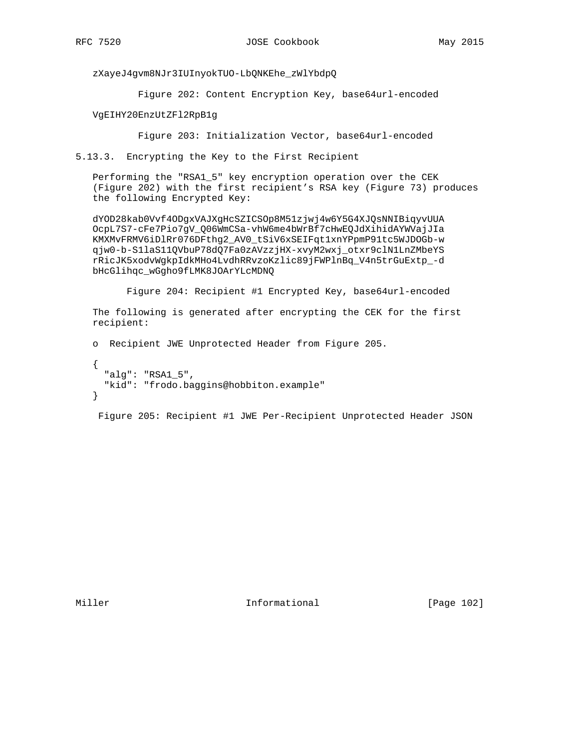zXayeJ4gvm8NJr3IUInyokTUO-LbQNKEhe\_zWlYbdpQ

Figure 202: Content Encryption Key, base64url-encoded

VgEIHY20EnzUtZFl2RpB1g

Figure 203: Initialization Vector, base64url-encoded

5.13.3. Encrypting the Key to the First Recipient

 Performing the "RSA1\_5" key encryption operation over the CEK (Figure 202) with the first recipient's RSA key (Figure 73) produces the following Encrypted Key:

 dYOD28kab0Vvf4ODgxVAJXgHcSZICSOp8M51zjwj4w6Y5G4XJQsNNIBiqyvUUA OcpL7S7-cFe7Pio7gV\_Q06WmCSa-vhW6me4bWrBf7cHwEQJdXihidAYWVajJIa KMXMvFRMV6iDlRr076DFthg2\_AV0\_tSiV6xSEIFqt1xnYPpmP91tc5WJDOGb-w qjw0-b-S1laS11QVbuP78dQ7Fa0zAVzzjHX-xvyM2wxj\_otxr9clN1LnZMbeYS rRicJK5xodvWgkpIdkMHo4LvdhRRvzoKzlic89jFWPlnBq\_V4n5trGuExtp\_-d bHcGlihqc\_wGgho9fLMK8JOArYLcMDNQ

Figure 204: Recipient #1 Encrypted Key, base64url-encoded

 The following is generated after encrypting the CEK for the first recipient:

 o Recipient JWE Unprotected Header from Figure 205. { "alg": "RSA1\_5", "kid": "frodo.baggins@hobbiton.example" }

Figure 205: Recipient #1 JWE Per-Recipient Unprotected Header JSON

Miller **Informational** [Page 102]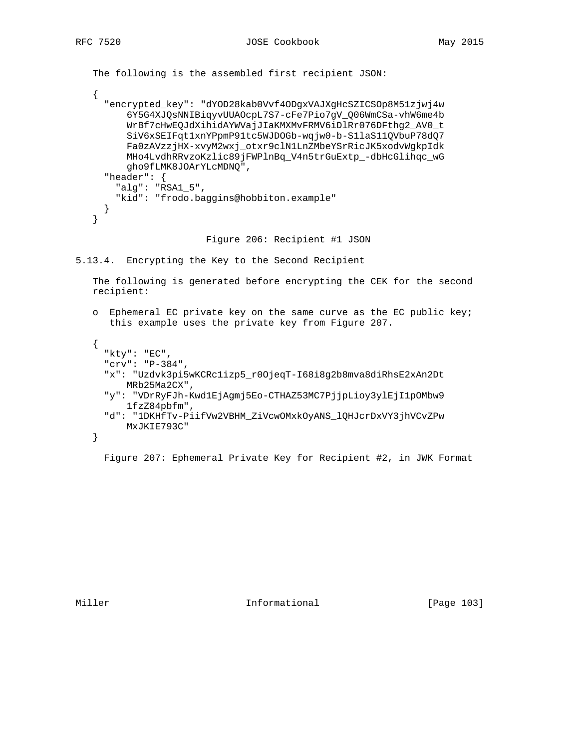```
 The following is the assembled first recipient JSON:
```

```
 {
   "encrypted_key": "dYOD28kab0Vvf4ODgxVAJXgHcSZICSOp8M51zjwj4w
       6Y5G4XJQsNNIBiqyvUUAOcpL7S7-cFe7Pio7gV_Q06WmCSa-vhW6me4b
       WrBf7cHwEQJdXihidAYWVajJIaKMXMvFRMV6iDlRr076DFthg2_AV0_t
       SiV6xSEIFqt1xnYPpmP91tc5WJDOGb-wqjw0-b-S1laS11QVbuP78dQ7
       Fa0zAVzzjHX-xvyM2wxj_otxr9clN1LnZMbeYSrRicJK5xodvWgkpIdk
       MHo4LvdhRRvzoKzlic89jFWPlnBq_V4n5trGuExtp_-dbHcGlihqc_wG
       gho9fLMK8JOArYLcMDNQ",
   "header": {
     "alg": "RSA1_5",
     "kid": "frodo.baggins@hobbiton.example"
   }
 }
```
Figure 206: Recipient #1 JSON

5.13.4. Encrypting the Key to the Second Recipient

 The following is generated before encrypting the CEK for the second recipient:

 o Ephemeral EC private key on the same curve as the EC public key; this example uses the private key from Figure 207.

```
 {
   "kty": "EC",
   "crv": "P-384",
   "x": "Uzdvk3pi5wKCRc1izp5_r0OjeqT-I68i8g2b8mva8diRhsE2xAn2Dt
      MRb25Ma2CX",
   "y": "VDrRyFJh-Kwd1EjAgmj5Eo-CTHAZ53MC7PjjpLioy3ylEjI1pOMbw9
       1fzZ84pbfm",
   "d": "1DKHfTv-PiifVw2VBHM_ZiVcwOMxkOyANS_lQHJcrDxVY3jhVCvZPw
       MxJKIE793C"
 }
```
Figure 207: Ephemeral Private Key for Recipient #2, in JWK Format

Miller **Informational Informational** [Page 103]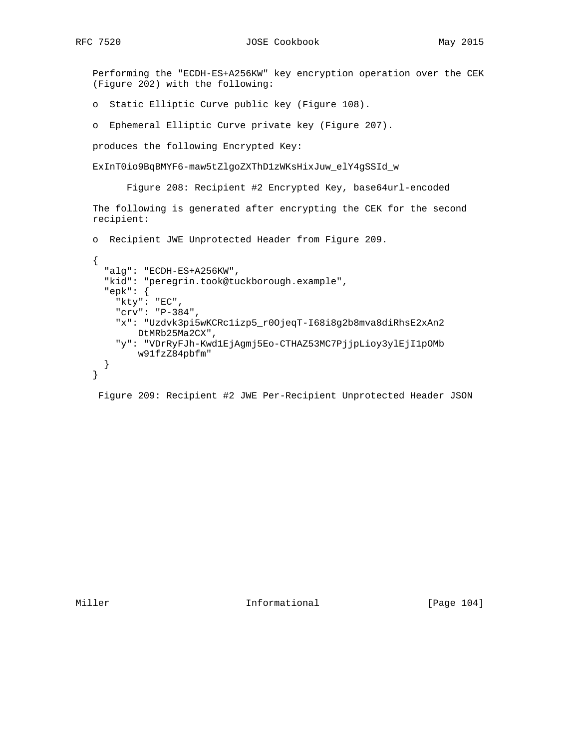Performing the "ECDH-ES+A256KW" key encryption operation over the CEK (Figure 202) with the following:

- o Static Elliptic Curve public key (Figure 108).
- o Ephemeral Elliptic Curve private key (Figure 207).

produces the following Encrypted Key:

ExInT0io9BqBMYF6-maw5tZlgoZXThD1zWKsHixJuw\_elY4gSSId\_w

Figure 208: Recipient #2 Encrypted Key, base64url-encoded

 The following is generated after encrypting the CEK for the second recipient:

o Recipient JWE Unprotected Header from Figure 209.

```
 {
   "alg": "ECDH-ES+A256KW",
   "kid": "peregrin.took@tuckborough.example",
   "epk": {
     "kty": "EC",
     "crv": "P-384",
     "x": "Uzdvk3pi5wKCRc1izp5_r0OjeqT-I68i8g2b8mva8diRhsE2xAn2
         DtMRb25Ma2CX",
     "y": "VDrRyFJh-Kwd1EjAgmj5Eo-CTHAZ53MC7PjjpLioy3ylEjI1pOMb
         w91fzZ84pbfm"
   }
 }
```
Figure 209: Recipient #2 JWE Per-Recipient Unprotected Header JSON

Miller **Informational Informational** [Page 104]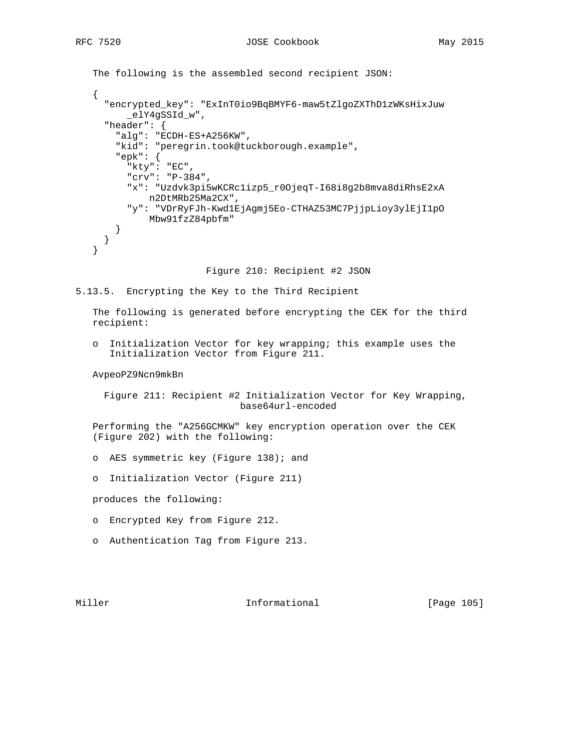```
 The following is the assembled second recipient JSON:
 {
   "encrypted_key": "ExInT0io9BqBMYF6-maw5tZlgoZXThD1zWKsHixJuw
       _elY4gSSId_w",
   "header": {
     "alg": "ECDH-ES+A256KW",
     "kid": "peregrin.took@tuckborough.example",
     "epk": {
       "kty": "EC",
       "crv": "P-384",
       "x": "Uzdvk3pi5wKCRc1izp5_r0OjeqT-I68i8g2b8mva8diRhsE2xA
           n2DtMRb25Ma2CX",
       "y": "VDrRyFJh-Kwd1EjAgmj5Eo-CTHAZ53MC7PjjpLioy3ylEjI1pO
           Mbw91fzZ84pbfm"
     }
   }
 }
```
Figure 210: Recipient #2 JSON

```
5.13.5. Encrypting the Key to the Third Recipient
```
 The following is generated before encrypting the CEK for the third recipient:

 o Initialization Vector for key wrapping; this example uses the Initialization Vector from Figure 211.

AvpeoPZ9Ncn9mkBn

 Figure 211: Recipient #2 Initialization Vector for Key Wrapping, base64url-encoded

 Performing the "A256GCMKW" key encryption operation over the CEK (Figure 202) with the following:

- o AES symmetric key (Figure 138); and
- o Initialization Vector (Figure 211)

produces the following:

- o Encrypted Key from Figure 212.
- o Authentication Tag from Figure 213.

Miller **Informational Informational** [Page 105]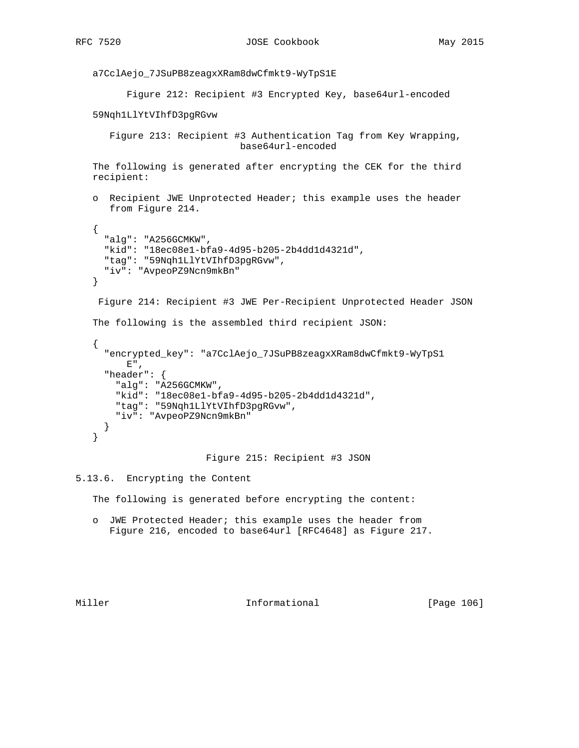```
 a7CclAejo_7JSuPB8zeagxXRam8dwCfmkt9-WyTpS1E
          Figure 212: Recipient #3 Encrypted Key, base64url-encoded
    59Nqh1LlYtVIhfD3pgRGvw
       Figure 213: Recipient #3 Authentication Tag from Key Wrapping,
                               base64url-encoded
    The following is generated after encrypting the CEK for the third
   recipient:
    o Recipient JWE Unprotected Header; this example uses the header
       from Figure 214.
    {
      "alg": "A256GCMKW",
      "kid": "18ec08e1-bfa9-4d95-b205-2b4dd1d4321d",
      "tag": "59Nqh1LlYtVIhfD3pgRGvw",
      "iv": "AvpeoPZ9Ncn9mkBn"
    }
     Figure 214: Recipient #3 JWE Per-Recipient Unprotected Header JSON
    The following is the assembled third recipient JSON:
    {
      "encrypted_key": "a7CclAejo_7JSuPB8zeagxXRam8dwCfmkt9-WyTpS1
        \to " _{\prime} "header": {
        "alg": "A256GCMKW",
        "kid": "18ec08e1-bfa9-4d95-b205-2b4dd1d4321d",
        "tag": "59Nqh1LlYtVIhfD3pgRGvw",
        "iv": "AvpeoPZ9Ncn9mkBn"
      }
    }
                         Figure 215: Recipient #3 JSON
5.13.6. Encrypting the Content
    The following is generated before encrypting the content:
```
 o JWE Protected Header; this example uses the header from Figure 216, encoded to base64url [RFC4648] as Figure 217.

Miller **Informational** [Page 106]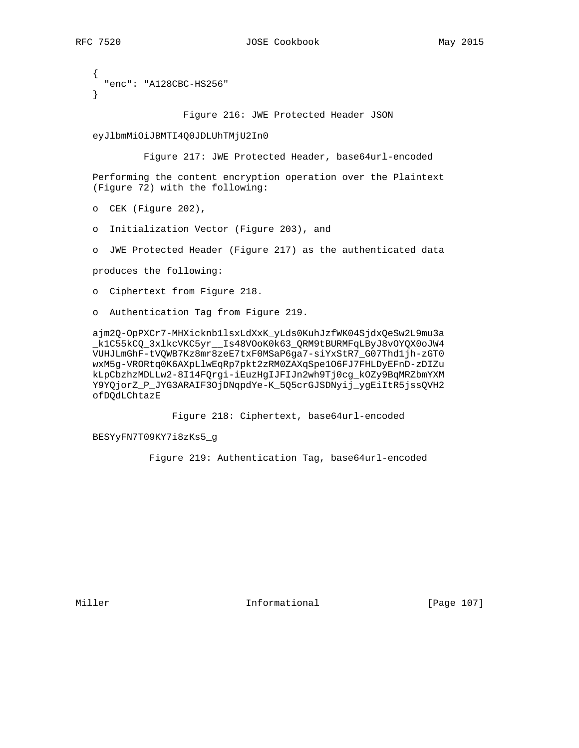```
 {
   "enc": "A128CBC-HS256"
 }
```
Figure 216: JWE Protected Header JSON

eyJlbmMiOiJBMTI4Q0JDLUhTMjU2In0

Figure 217: JWE Protected Header, base64url-encoded

 Performing the content encryption operation over the Plaintext (Figure 72) with the following:

o CEK (Figure 202),

o Initialization Vector (Figure 203), and

o JWE Protected Header (Figure 217) as the authenticated data

produces the following:

o Ciphertext from Figure 218.

o Authentication Tag from Figure 219.

 ajm2Q-OpPXCr7-MHXicknb1lsxLdXxK\_yLds0KuhJzfWK04SjdxQeSw2L9mu3a \_k1C55kCQ\_3xlkcVKC5yr\_\_Is48VOoK0k63\_QRM9tBURMFqLByJ8vOYQX0oJW4 VUHJLmGhF-tVQWB7Kz8mr8zeE7txF0MSaP6ga7-siYxStR7\_G07Thd1jh-zGT0 wxM5g-VRORtq0K6AXpLlwEqRp7pkt2zRM0ZAXqSpe1O6FJ7FHLDyEFnD-zDIZu kLpCbzhzMDLLw2-8I14FQrgi-iEuzHgIJFIJn2wh9Tj0cg\_kOZy9BqMRZbmYXM Y9YQjorZ\_P\_JYG3ARAIF3OjDNqpdYe-K\_5Q5crGJSDNyij\_ygEiItR5jssQVH2 ofDQdLChtazE

Figure 218: Ciphertext, base64url-encoded

BESYyFN7T09KY7i8zKs5\_g

Figure 219: Authentication Tag, base64url-encoded

Miller **Informational** Informational [Page 107]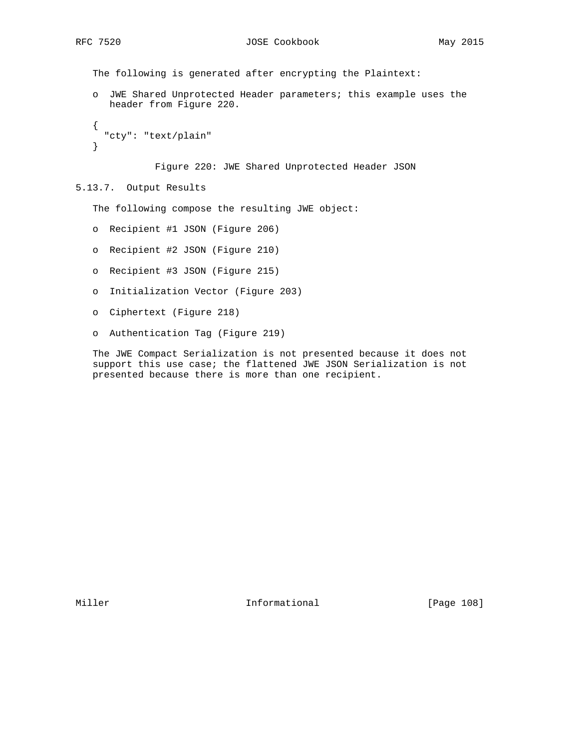The following is generated after encrypting the Plaintext:

 o JWE Shared Unprotected Header parameters; this example uses the header from Figure 220.

```
 {
   "cty": "text/plain"
 }
```
Figure 220: JWE Shared Unprotected Header JSON

5.13.7. Output Results

The following compose the resulting JWE object:

- o Recipient #1 JSON (Figure 206)
- o Recipient #2 JSON (Figure 210)
- o Recipient #3 JSON (Figure 215)
- o Initialization Vector (Figure 203)
- o Ciphertext (Figure 218)
- o Authentication Tag (Figure 219)

 The JWE Compact Serialization is not presented because it does not support this use case; the flattened JWE JSON Serialization is not presented because there is more than one recipient.

Miller **Informational** [Page 108]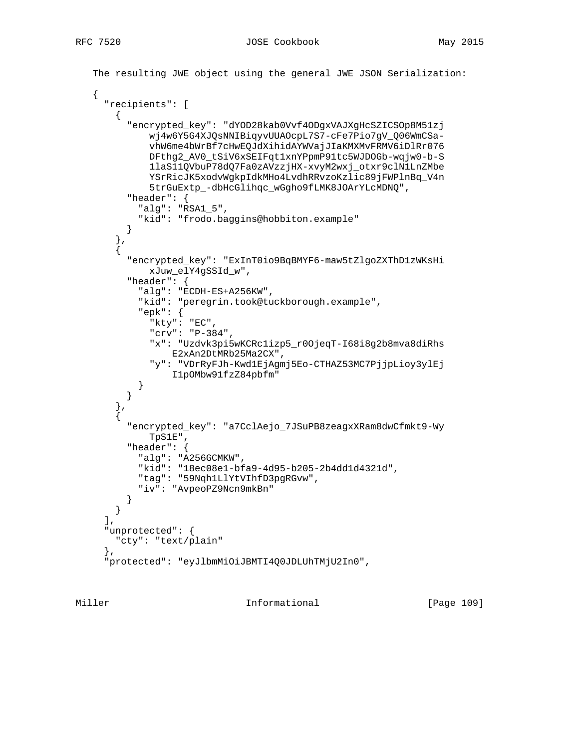```
 The resulting JWE object using the general JWE JSON Serialization:
    {
      "recipients": [
       \left\{ \right. "encrypted_key": "dYOD28kab0Vvf4ODgxVAJXgHcSZICSOp8M51zj
              wj4w6Y5G4XJQsNNIBiqyvUUAOcpL7S7-cFe7Pio7gV_Q06WmCSa-
              vhW6me4bWrBf7cHwEQJdXihidAYWVajJIaKMXMvFRMV6iDlRr076
              DFthg2_AV0_tSiV6xSEIFqt1xnYPpmP91tc5WJDOGb-wqjw0-b-S
              1laS11QVbuP78dQ7Fa0zAVzzjHX-xvyM2wxj_otxr9clN1LnZMbe
              YSrRicJK5xodvWgkpIdkMHo4LvdhRRvzoKzlic89jFWPlnBq_V4n
              5trGuExtp_-dbHcGlihqc_wGgho9fLMK8JOArYLcMDNQ",
          "header": {
            "alg": "RSA1_5",
            "kid": "frodo.baggins@hobbiton.example"
 }
 },
\{ "encrypted_key": "ExInT0io9BqBMYF6-maw5tZlgoZXThD1zWKsHi
             xJuw_elY4gSSId_w",
          "header": {
            "alg": "ECDH-ES+A256KW",
           "kid": "peregrin.took@tuckborough.example",
            "epk": {
             "kty": "EC",
              "crv": "P-384",
              "x": "Uzdvk3pi5wKCRc1izp5_r0OjeqT-I68i8g2b8mva8diRhs
                  E2xAn2DtMRb25Ma2CX",
              "y": "VDrRyFJh-Kwd1EjAgmj5Eo-CTHAZ53MC7PjjpLioy3ylEj
                  I1pOMbw91fzZ84pbfm"
 }
          }
        },
\{ "encrypted_key": "a7CclAejo_7JSuPB8zeagxXRam8dwCfmkt9-Wy
              TpS1E",
          "header": {
            "alg": "A256GCMKW",
            "kid": "18ec08e1-bfa9-4d95-b205-2b4dd1d4321d",
            "tag": "59Nqh1LlYtVIhfD3pgRGvw",
            "iv": "AvpeoPZ9Ncn9mkBn"
 }
       }
     \,], \, "unprotected": {
       "cty": "text/plain"
      },
      "protected": "eyJlbmMiOiJBMTI4Q0JDLUhTMjU2In0",
```
Miller **Informational** [Page 109]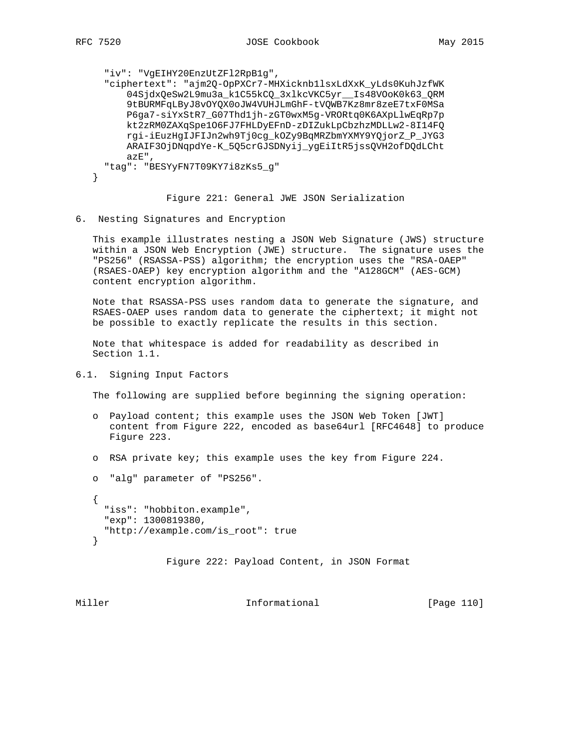}

```
 "iv": "VgEIHY20EnzUtZFl2RpB1g",
 "ciphertext": "ajm2Q-OpPXCr7-MHXicknb1lsxLdXxK_yLds0KuhJzfWK
     04SjdxQeSw2L9mu3a_k1C55kCQ_3xlkcVKC5yr__Is48VOoK0k63_QRM
    9tBURMFqLByJ8vOYQX0oJW4VUHJLmGhF-tVQWB7Kz8mr8zeE7txF0MSa
    P6ga7-siYxStR7_G07Thd1jh-zGT0wxM5g-VRORtq0K6AXpLlwEqRp7p
    kt2zRM0ZAXqSpe1O6FJ7FHLDyEFnD-zDIZukLpCbzhzMDLLw2-8I14FQ
    rgi-iEuzHgIJFIJn2wh9Tj0cg_kOZy9BqMRZbmYXMY9YQjorZ_P_JYG3
    ARAIF3OjDNqpdYe-K_5Q5crGJSDNyij_ygEiItR5jssQVH2ofDQdLCht
    azE",
 "tag": "BESYyFN7T09KY7i8zKs5_g"
```
Figure 221: General JWE JSON Serialization

6. Nesting Signatures and Encryption

 This example illustrates nesting a JSON Web Signature (JWS) structure within a JSON Web Encryption (JWE) structure. The signature uses the "PS256" (RSASSA-PSS) algorithm; the encryption uses the "RSA-OAEP" (RSAES-OAEP) key encryption algorithm and the "A128GCM" (AES-GCM) content encryption algorithm.

 Note that RSASSA-PSS uses random data to generate the signature, and RSAES-OAEP uses random data to generate the ciphertext; it might not be possible to exactly replicate the results in this section.

 Note that whitespace is added for readability as described in Section 1.1.

6.1. Signing Input Factors

The following are supplied before beginning the signing operation:

- o Payload content; this example uses the JSON Web Token [JWT] content from Figure 222, encoded as base64url [RFC4648] to produce Figure 223.
- o RSA private key; this example uses the key from Figure 224.
- o "alg" parameter of "PS256".

```
 {
   "iss": "hobbiton.example",
   "exp": 1300819380,
   "http://example.com/is_root": true
 }
```
Figure 222: Payload Content, in JSON Format

Miller **Informational Informational** [Page 110]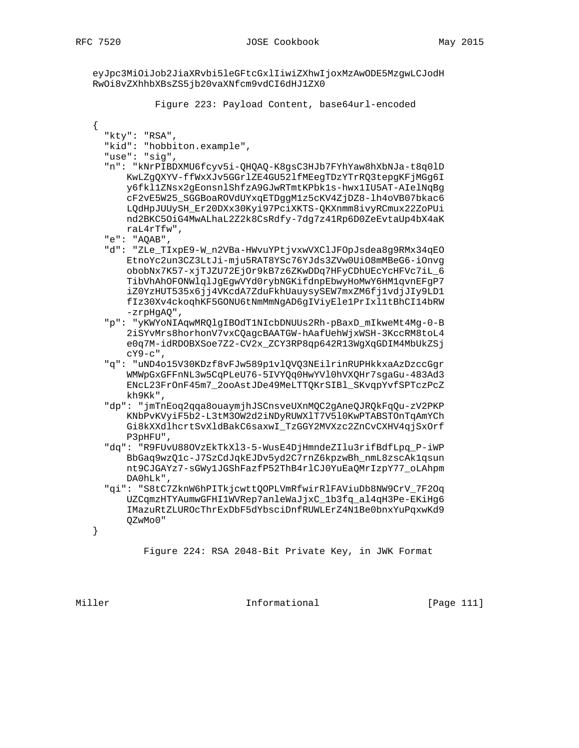$\{$ 

eyJpc3MiOiJob2JiaXRvbi5leGFtcGxlIiwiZXhwIjoxMzAwODE5MzgwLCJodH RwOi8vZXhhbXBsZS5jb20vaXNfcm9vdCI6dHJ1ZX0

Figure 223: Payload Content, base64url-encoded

"kty": "RSA", "kid": "hobbiton.example", "use": "sig", "n": "kNrPIBDXMU6fcyv5i-OHQAQ-K8qsC3HJb7FYhYaw8hXbNJa-t8q0lD KwLZgQXYV-ffWxXJv5GGrlZE4GU52lfMEegTDzYTrRQ3tepgKFjMGg6I y6fkl1ZNsx2gEonsnlShfzA9GJwRTmtKPbk1s-hwx1IU5AT-AIelNqBg cF2vE5W25\_SGGBoaROVdUYxqETDggM1z5cKV4ZjDZ8-lh4oVB07bkac6 LQdHpJUUySH\_Er20DXx30Kyi97PciXKTS-QKXnmm8ivyRCmux22ZoPUi nd2BKC5OiG4MwALhaL2Z2k8CsRdfy-7dg7z41Rp6D0ZeEvtaUp4bX4aK raL4rTfw", "e": "AQAB", "d": "ZLe\_TIxpE9-W\_n2VBa-HWvuYPtjvxwVXClJFOpJsdea8g9RMx34qEO EtnoYc2un3CZ3LtJi-mju5RAT8YSc76YJds3ZVw0Ui08mMBeG6-iOnvg obobNx7K57-xjTJZU72EjOr9kB7z6ZKwDDq7HFyCDhUEcYcHFVc7iL\_6 TibVhAhOFONWlqlJgEgwVYd0rybNGKifdnpEbwyHoMwY6HM1qvnEFgP7 iZ0YzHUT535x6jj4VKcdA7ZduFkhUauysySEW7mxZM6fj1vdjJIy9LD1 fIz30Xv4ckoghKF5GONU6tNmMmNgAD6gIViyEle1PrIx11tBhCI14bRW  $-zrpHgAQ"$ , "p": "yKWYoNIAqwMRQlgIBOdT1NIcbDNUUs2Rh-pBaxD\_mIkweMt4Mg-0-B 2iSYvMrs8horhonV7vxCQagcBAATGW-hAafUehWjxWSH-3KccRM8toL4 e0q7M-idRDOBXSoe7Z2-CV2x\_ZCY3RP8qp642R13WgXqGDIM4MbUkZSj сү9-с", "q": "uND4o15V30KDzf8vFJw589p1v1QVQ3NEilrinRUPHkkxaAzDzccGgr WMWpGxGFFnNL3w5CqPLeU76-5IVYQq0HwYVl0hVXQHr7sgaGu-483Ad3 ENcL23FrOnF45m7 2ooAstJDe49MeLTTQKrSIBl SKvqpYvfSPTczPcZ kh9Kk", "dp": "jmTnEoq2qqa8ouaymjhJSCnsveUXnMQC2gAneQJRQkFqQu-zV2PKP KNbPvKVyiF5b2-L3tM3OW2d2iNDyRUWX1T7V510KwPTABSTOnTqAmYCh Gi8kXXdlhcrtSvXldBakC6saxwI\_TzGGY2MVXzc2ZnCvCXHV4qjSxOrf P3pHFU", "dq": "R9FUvU88OVzEkTkX13-5-WusE4DjHmndeZIlu3rifBdfLpq\_P-iWP BbGaq9wzQ1c-J7SzCdJqkEJDv5yd2C7rnZ6kpzwBh\_nmL8zscAk1qsun nt9CJGAYz7-sGWy1JGShFazfP52ThB4rlCJ0YuEaQMrIzpY77\_oLAhpm DAOhLk", "qi": "S8tC7ZknW6hPITkjcwttQOPLVmRfwirRlFAViuDb8NW9CrV\_7F2Oq UZCqmzHTYAumwGFHI1WVRep7anleWaJjxC\_1b3fq\_al4qH3Pe-EKiHg6 IMazuRtZLUROcThrExDbF5dYbsciDnfRUWLErZ4N1Be0bnxYuPqxwKd9 QZwMo0" Figure 224: RSA 2048-Bit Private Key, in JWK Format

Miller

 $\}$ 

Informational

[Page 111]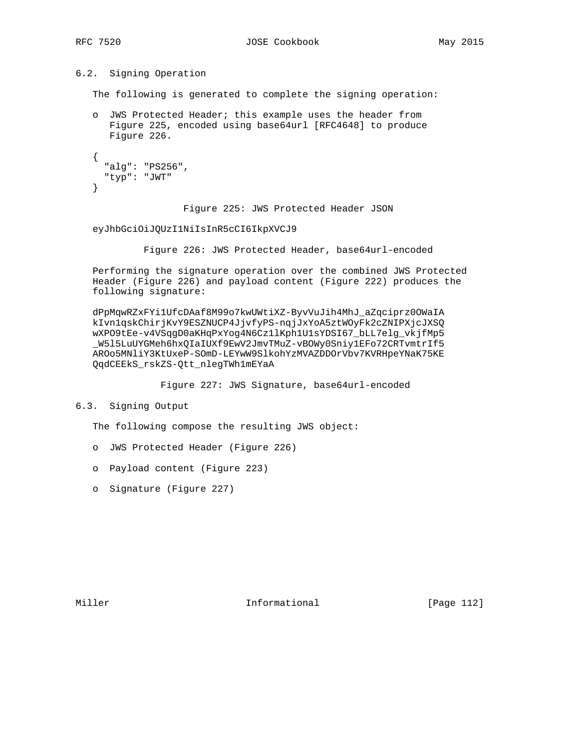# 6.2. Signing Operation

The following is generated to complete the signing operation:

 o JWS Protected Header; this example uses the header from Figure 225, encoded using base64url [RFC4648] to produce Figure 226.

```
 {
   "alg": "PS256",
   "typ": "JWT"
 }
```
Figure 225: JWS Protected Header JSON

#### eyJhbGciOiJQUzI1NiIsInR5cCI6IkpXVCJ9

Figure 226: JWS Protected Header, base64url-encoded

 Performing the signature operation over the combined JWS Protected Header (Figure 226) and payload content (Figure 222) produces the following signature:

 dPpMqwRZxFYi1UfcDAaf8M99o7kwUWtiXZ-ByvVuJih4MhJ\_aZqciprz0OWaIA kIvn1qskChirjKvY9ESZNUCP4JjvfyPS-nqjJxYoA5ztWOyFk2cZNIPXjcJXSQ wXPO9tEe-v4VSqgD0aKHqPxYog4N6Cz1lKph1U1sYDSI67\_bLL7elg\_vkjfMp5 \_W5l5LuUYGMeh6hxQIaIUXf9EwV2JmvTMuZ-vBOWy0Sniy1EFo72CRTvmtrIf5 AROo5MNliY3KtUxeP-SOmD-LEYwW9SlkohYzMVAZDDOrVbv7KVRHpeYNaK75KE QqdCEEkS\_rskZS-Qtt\_nlegTWh1mEYaA

Figure 227: JWS Signature, base64url-encoded

6.3. Signing Output

The following compose the resulting JWS object:

- o JWS Protected Header (Figure 226)
- o Payload content (Figure 223)
- o Signature (Figure 227)

Miller **Informational Informational** [Page 112]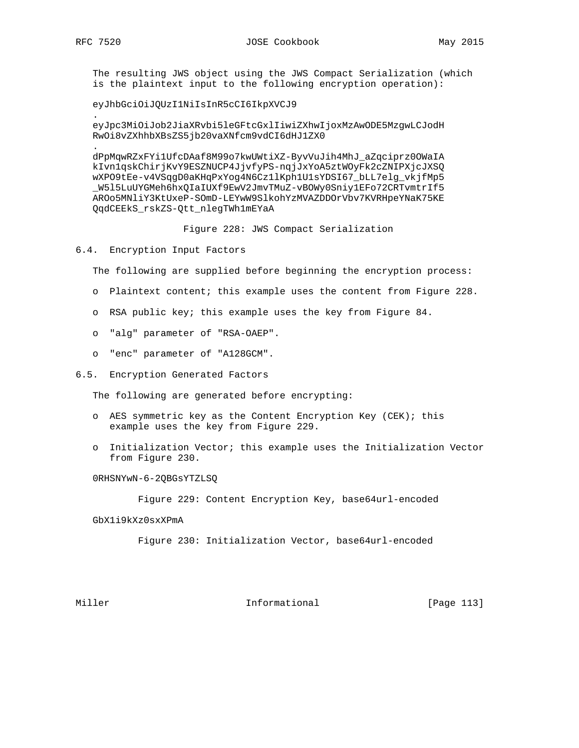.

.

 The resulting JWS object using the JWS Compact Serialization (which is the plaintext input to the following encryption operation):

eyJhbGciOiJQUzI1NiIsInR5cCI6IkpXVCJ9

 eyJpc3MiOiJob2JiaXRvbi5leGFtcGxlIiwiZXhwIjoxMzAwODE5MzgwLCJodH RwOi8vZXhhbXBsZS5jb20vaXNfcm9vdCI6dHJ1ZX0

 dPpMqwRZxFYi1UfcDAaf8M99o7kwUWtiXZ-ByvVuJih4MhJ\_aZqciprz0OWaIA kIvn1qskChirjKvY9ESZNUCP4JjvfyPS-nqjJxYoA5ztWOyFk2cZNIPXjcJXSQ wXPO9tEe-v4VSqgD0aKHqPxYog4N6Cz1lKph1U1sYDSI67\_bLL7elg\_vkjfMp5 \_W5l5LuUYGMeh6hxQIaIUXf9EwV2JmvTMuZ-vBOWy0Sniy1EFo72CRTvmtrIf5 AROo5MNliY3KtUxeP-SOmD-LEYwW9SlkohYzMVAZDDOrVbv7KVRHpeYNaK75KE QqdCEEkS\_rskZS-Qtt\_nlegTWh1mEYaA

Figure 228: JWS Compact Serialization

6.4. Encryption Input Factors

The following are supplied before beginning the encryption process:

- o Plaintext content; this example uses the content from Figure 228.
- o RSA public key; this example uses the key from Figure 84.
- o "alg" parameter of "RSA-OAEP".
- o "enc" parameter of "A128GCM".
- 6.5. Encryption Generated Factors

The following are generated before encrypting:

- o AES symmetric key as the Content Encryption Key (CEK); this example uses the key from Figure 229.
- o Initialization Vector; this example uses the Initialization Vector from Figure 230.

0RHSNYwN-6-2QBGsYTZLSQ

Figure 229: Content Encryption Key, base64url-encoded

GbX1i9kXz0sxXPmA

Figure 230: Initialization Vector, base64url-encoded

Miller **Informational Informational** [Page 113]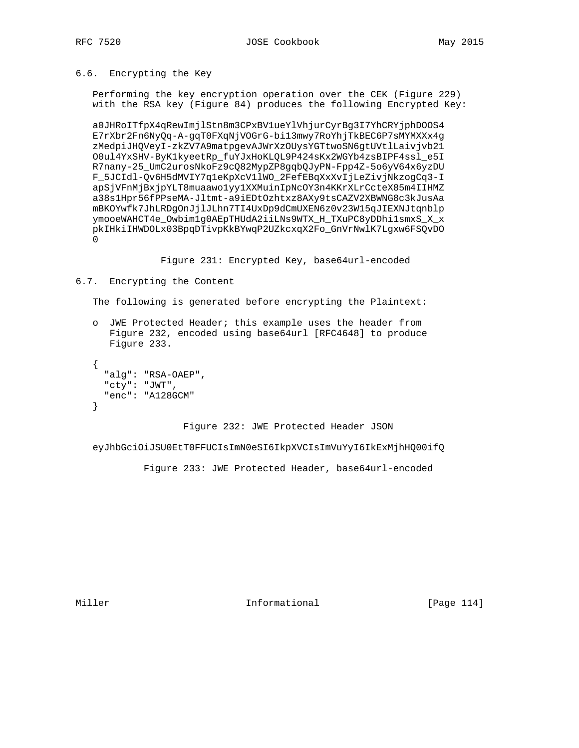6.6. Encrypting the Key

Performing the key encryption operation over the CEK (Figure 229) with the RSA key (Figure 84) produces the following Encrypted Key:

a0JHRoITfpX4qRewImjlStn8m3CPxBVlueYlVhjurCyrBg3I7YhCRYjphDOOS4 E7rXbr2Fn6NyQq-A-gqT0FXqNjVOGrG-bi13mwy7RoYhjTkBEC6P7sMYMXXx4g zMedpiJHQVeyI-zkZV7A9matpgevAJWrXzOUysYGTtwoSN6gtUVtlLaivjvb21 O0ul4YxSHV-ByK1kyeetRp\_fuYJxHoKLQL9P424sKx2WGYb4zsBIPF4ssl\_e5I R7nany-25\_UmC2urosNkoFz9cQ82MypZP8gqbQJyPN-Fpp4Z-5o6yV64x6yzDU F\_5JCIdl-Qv6H5dMVIY7q1eKpXcV1lWO\_2FefEBqXxXvIjLeZivjNkzogCq3-I apSjVFnMjBxjpYLT8muaawolyy1XXMuinIpNcOY3n4KKrXLrCcteX85m4IIHMZ a38s1Hpr56fPPseMA-Jltmt-a9iEDtOzhtxz8AXy9tsCAZV2XBWNG8c3kJusAa mBKOYwfk7JhLRDgOnJjlJLhn7TI4UxDp9dCmUXEN6z0v23W15qJIEXNJtqnblp ymooeWAHCT4e\_Owbim1g0AEpTHUdA2iiLNs9WTX\_H\_TXuPC8yDDhi1smxS\_X\_x pkIHkiIHWDOLx03BpqDTivpKkBYwqP2UZkcxqX2Fo\_GnVrNwlK7Lgxw6FSQvDO  $\Omega$ 

Figure 231: Encrypted Key, base64url-encoded

# 6.7. Encrypting the Content

The following is generated before encrypting the Plaintext:

o JWE Protected Header; this example uses the header from Figure 232, encoded using base64url [RFC4648] to produce Figure 233.

```
\{"alg": "RSA-OAEP",
  "cty": "JWT",
  "enc": "A128GCM"
\}
```
Figure 232: JWE Protected Header JSON

eyJhbGciOiJSU0EtT0FFUCIsImN0eSI6IkpXVCIsImVuYyI6IkExMjhHQ00ifQ

Figure 233: JWE Protected Header, base64url-encoded

Miller

Informational

[Page 114]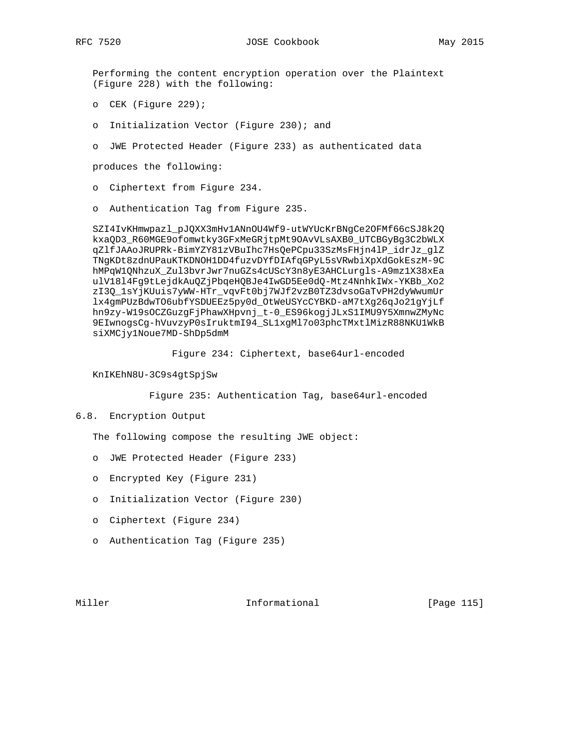Performing the content encryption operation over the Plaintext (Figure 228) with the following:

- o CEK (Figure 229);
- o Initialization Vector (Figure 230); and
- o JWE Protected Header (Figure 233) as authenticated data

produces the following:

- o Ciphertext from Figure 234.
- o Authentication Tag from Figure 235.

SZI4IvKHmwpazl\_pJQXX3mHv1ANnOU4Wf9-utWYUcKrBNgCe2OFMf66cSJ8k2Q kxaQD3\_R60MGE9ofomwtky3GFxMeGRjtpMt9OAvVLsAXB0\_UTCBGyBg3C2bWLX qZlfJAAoJRUPRk-BimYZY81zVBuIhc7HsQePCpu33SzMsFHjn4lP\_idrJz\_glZ TNgKDt8zdnUPauKTKDNOH1DD4fuzvDYfDIAfqGPyL5sVRwbiXpXdGokEszM-9C hMPqW1QNhzuX\_Zul3bvrJwr7nuGZs4cUScY3n8yE3AHCLurgls-A9mz1X38xEa ulV1814Fg9tLejdkAuQZjPbqeHQBJe4IwGD5Ee0dQ-Mtz4NnhkIWx-YKBb\_Xo2 zI3Q\_1sYjKUuis7yWW-HTr\_vqvFt0bj7WJf2vzB0TZ3dvsoGaTvPH2dyWwumUr lx4gmPUzBdwTO6ubfYSDUEEz5py0d\_OtWeUSYcCYBKD-aM7tXg26qJo21gYjLf hn9zy-W19sOCZGuzgFjPhawXHpvnj\_t-0\_ES96kogjJLxS1IMU9Y5XmnwZMyNc 9EIwnogsCg-hVuvzyP0sIruktmI94\_SL1xgMl7o03phcTMxtlMizR88NKU1WkB siXMCjy1Noue7MD-ShDp5dmM

Figure 234: Ciphertext, base64url-encoded

KnIKEhN8U-3C9s4gtSpjSw

Figure 235: Authentication Tag, base64url-encoded

# 6.8. Encryption Output

The following compose the resulting JWE object:

- o JWE Protected Header (Figure 233)
- o Encrypted Key (Figure 231)
- o Initialization Vector (Figure 230)
- o Ciphertext (Figure 234)
- o Authentication Tag (Figure 235)

Miller

Informational

[Page 115]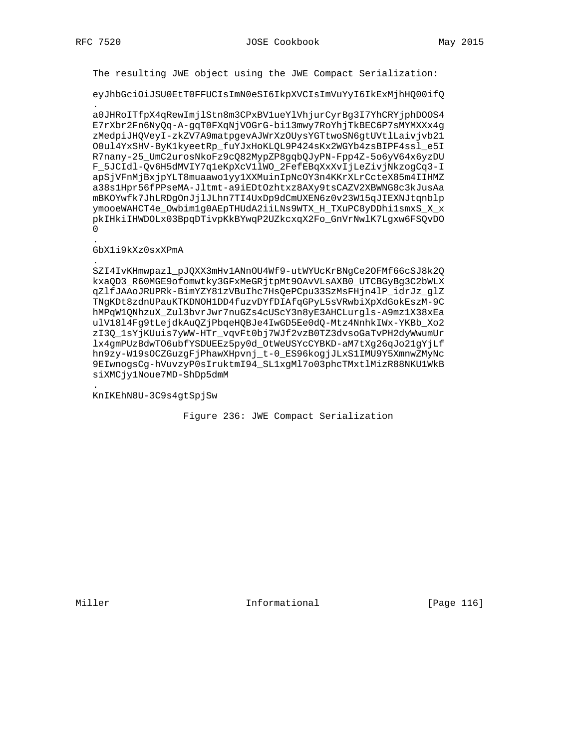The resulting JWE object using the JWE Compact Serialization:

eyJhbGciOiJSU0EtT0FFUCIsImN0eSI6IkpXVCIsImVuYyI6IkExMjhHQ00ifQ

a0JHRoITfpX4qRewImjlStn8m3CPxBV1ueYlVhjurCyrBg3I7YhCRYjphDOOS4 E7rXbr2Fn6NyQq-A-gqT0FXqNjVOGrG-bi13mwy7RoYhjTkBEC6P7sMYMXXx4g zMedpiJHQVeyI-zkZV7A9matpgevAJWrXzOUysYGTtwoSN6gtUVtlLaivjvb21 O0ul4YxSHV-ByK1kyeetRp\_fuYJxHoKLQL9P424sKx2WGYb4zsBIPF4ssl\_e5I R7nany-25\_UmC2urosNkoFz9cQ82MypZP8gqbQJyPN-Fpp4Z-5o6yV64x6yzDU F\_5JCIdl-Qv6H5dMVIY7q1eKpXcV1lWO\_2FefEBqXxXvIjLeZivjNkzogCq3-I apSjVFnMjBxjpYLT8muaawolyylXXMuinIpNcOY3n4KKrXLrCcteX85m4IIHMZ a38s1Hpr56fPPseMA-Jltmt-a9iEDtOzhtxz8AXy9tsCAZV2XBWNG8c3kJusAa mBKOYwfk7JhLRDqOnJjlJLhn7TI4UxDp9dCmUXEN6z0v23W15qJIEXNJtqnblp ymooeWAHCT4e\_Owbimlg0AEpTHUdA2iiLNs9WTX\_H\_TXuPC8yDDhi1smxS\_X\_x pkIHkiIHWDOLx03BpqDTivpKkBYwqP2UZkcxqX2Fo\_GnVrNwlK7Lgxw6FSQvDO  $\Omega$ 

# GbX1i9kXz0sxXPmA

SZI4IvKHmwpazl\_pJQXX3mHv1ANnOU4Wf9-utWYUcKrBNgCe2OFMf66cSJ8k2Q kxaQD3\_R60MGE9ofomwtky3GFxMeGRjtpMt9OAvVLsAXB0\_UTCBGyBg3C2bWLX qZlfJAAoJRUPRk-BimYZY81zVBuIhc7HsQePCpu33SzMsFHjn4lP\_idrJz\_glZ TN9KDt8zdnUPauKTKDNOH1DD4fuzvDYfDIAfqGPyL5sVRwbiXpXdGokEszM-9C hMPqWlQNhzuX\_Zul3bvrJwr7nuGZs4cUScY3n8yE3AHCLurgls-A9mz1X38xEa ulV1814Fg9tLejdkAuQZjPbqeHQBJe4IwGD5Ee0dQ-Mtz4NnhkIWx-YKBb\_Xo2 zI3Q\_1sYjKUuis7yWW-HTr\_vqvFt0bj7WJf2vzB0TZ3dvsoGaTvPH2dyWwumUr lx4gmPUzBdwTO6ubfYSDUEEz5py0d\_OtWeUSYcCYBKD-aM7tXg26qJo21gYjLf hn9zy-W19sOCZGuzgFjPhawXHpvnj\_t-0\_ES96kogjJLxS1IMU9Y5XmnwZMyNc 9EIwnogsCg-hVuvzyP0sIruktmI94\_SL1xgMl7o03phcTMxtlMizR88NKU1WkB siXMCjy1Noue7MD-ShDp5dmM

KnIKEhN8U-3C9s4gtSpjSw

Figure 236: JWE Compact Serialization

Informational

[Page 116]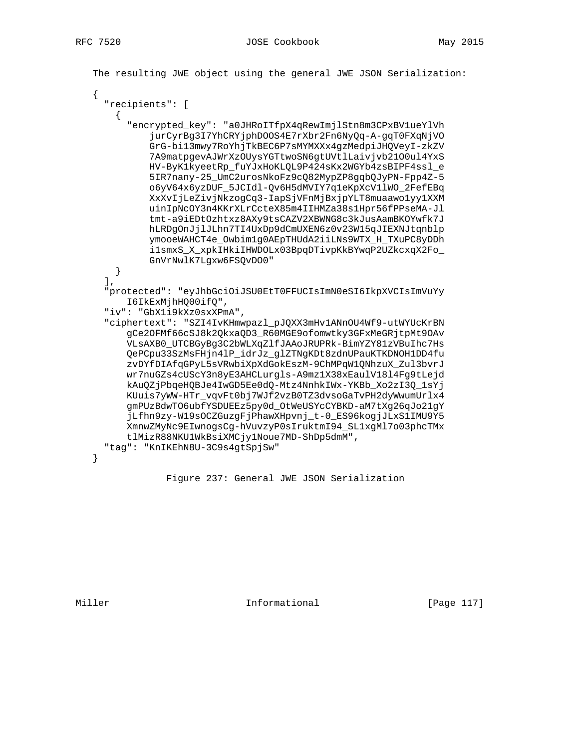The resulting JWE object using the general JWE JSON Serialization:

```
"recipients": [
    \mathcal{L}"encrypted_key": "a0JHRoITfpX4qRewImjlStn8m3CPxBV1ueYlVh
          jurCyrBg3I7YhCRYjphDOOS4E7rXbr2Fn6NyQq-A-gqT0FXqNjVO
          GrG-bil3mwy7RoYhjTkBEC6P7sMYMXXx4gzMedpiJHQVeyI-zkZV
          7A9matpgevAJWrXzOUysYGTtwoSN6gtUVtlLaivjvb2100ul4YxS
          HV-ByK1kyeetRp fuYJxHoKLQL9P424sKx2WGYb4zsBIPF4ssl e
          5IR7nany-25_UmC2urosNkoFz9cQ82MypZP8gqbQJyPN-Fpp4Z-5
          o6yV64x6yzDUF_5JCIdl-Qv6H5dMVIY7q1eKpXcV11WO_2FefEBq
          XxXvIjLeZivjNkzogCq3-IapSjVFnMjBxjpYLT8muaawo1yy1XXM
          uinIpNcOY3n4KKrXLrCcteX85m4IIHMZa38s1Hpr56fPPseMA-Jl
          tmt-a9iEDtOzhtxz8AXy9tsCAZV2XBWNG8c3kJusAamBKOYwfk7J
          hLRDqOnJjlJLhn7TI4UxDp9dCmUXEN6z0v23W15qJIEXNJtqnblp
          ymooeWAHCT4e_Owbim1g0AEpTHUdA2iiLNs9WTX_H_TXuPC8yDDh
          ilsmxS_X_xpkIHkiIHWDOLx03BpqDTivpKkBYwqP2UZkcxqX2Fo_
          GnVrNwlK7Lgxw6FSQvD00"
   }
  \mathbf{1}.
  "protected": "eyJhbGciOiJSU0EtT0FFUCIsImN0eSI6IkpXVCIsImVuYy
      I6IkExMjhHQ00ifQ",
  "iv": "GbX1i9kXz0sxXPmA",
  "ciphertext": "SZI4IvKHmwpazl_pJQXX3mHv1ANnOU4Wf9-utWYUcKrBN
      gCe2OFMf66cSJ8k2QkxaQD3_R60MGE9ofomwtky3GFxMeGRjtpMt9OAv
      VLsAXB0_UTCBGyBg3C2bWLXqZlfJAAoJRUPRk-BimYZY81zVBuIhc7Hs
      QePCpu33SzMsFHjn4lP_idrJz_glZTNgKDt8zdnUPauKTKDNOH1DD4fu
      zvDYfDIAfqGPyL5sVRwbiXpXdGokEszM-9ChMPqW1QNhzuX_Zul3bvrJ
      wr7nuGZs4cUScY3n8yE3AHCLurgls-A9mz1X38xEaulV1814Fg9tLejd
      kAuQZjPbqeHQBJe4IwGD5Ee0dQ-Mtz4NnhkIWx-YKBb_Xo2zI3Q_1sYj
      KUuis7yWW-HTr_vqvFt0bj7WJf2vzB0TZ3dvsoGaTvPH2dyWwumUrlx4
      gmPUzBdwTO6ubfYSDUEEz5py0d_OtWeUSYcCYBKD-aM7tXg26qJo21gY
      jLfhn9zy-W19sOCZGuzgFjPhawXHpvnj_t-0_ES96kogjJLxS1IMU9Y5
      XmnwZMyNc9EIwnogsCg-hVuvzyP0sIruktmI94_SL1xgMl7o03phcTMx
      tlMizR88NKU1WkBsiXMCjy1Noue7MD-ShDp5dmM",
  "tag": "KnIKEhN8U-3C9s4gtSpjSw"
\}
```
Miller

Informational

Figure 237: General JWE JSON Serialization

[Page 117]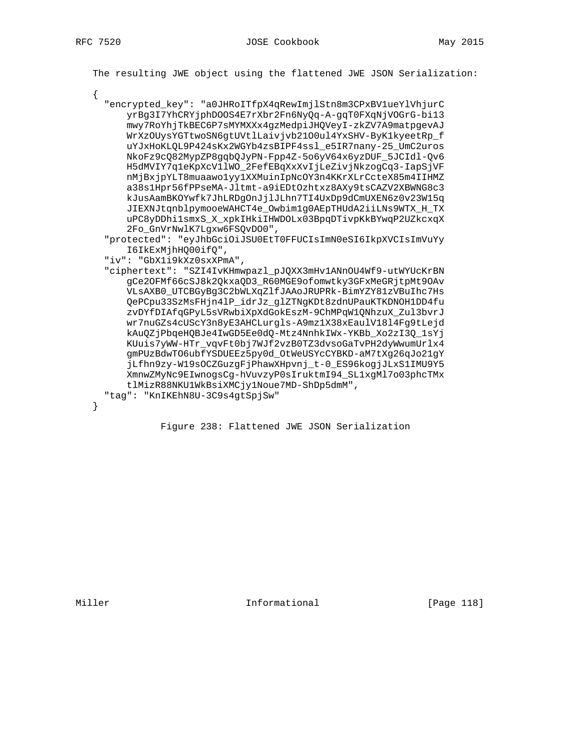$\{$ 

The resulting JWE object using the flattened JWE JSON Serialization:

"encrypted key": "a0JHRoITfpX4qRewImjlStn8m3CPxBVlueYlVhjurC yrBg3I7YhCRYjphDOOS4E7rXbr2Fn6NyQq-A-gqT0FXqNjVOGrG-bi13 mwy7RoYhjTkBEC6P7sMYMXXx4gzMedpiJHQVeyI-zkZV7A9matpgevAJ WrXzOUysYGTtwoSN6gtUVtlLaivjvb2100ul4YxSHV-ByK1kyeetRp\_f uYJxHoKLQL9P424sKx2WGYb4zsBIPF4ssl\_e5IR7nany-25\_UmC2uros NkoFz9cQ82MypZP8gqbQJyPN-Fpp4Z-5o6yV64x6yzDUF\_5JCIdl-Qv6 H5dMVIY7q1eKpXcV11WO\_2FefEBqXxXvIjLeZivjNkzogCq3-IapSjVF nMjBxjpYLT8muaawolyy1XXMuinIpNcOY3n4KKrXLrCcteX85m4IIHMZ a38s1Hpr56fPPseMA-Jltmt-a9iEDtOzhtxz8AXy9tsCAZV2XBWNG8c3 kJusAamBKOYwfk7JhLRDgOnJjlJLhn7TI4UxDp9dCmUXEN6z0v23W15q JIEXNJtqnblpymooeWAHCT4e\_Owbimlg0AEpTHUdA2iiLNs9WTX\_H\_TX uPC8yDDhi1smxS\_X\_xpkIHkiIHWDOLx03BpqDTivpKkBYwqP2UZkcxqX 2Fo\_GnVrNwlK7Lgxw6FSQvDO0",

```
"protected": "eyJhbGciOiJSU0EtT0FFUCIsImN0eSI6IkpXVCIsImVuYy
   I6IkExMjhHQ00ifQ",
```
"iv": "GbXli9kXz0sxXPmA",

```
"ciphertext": "SZI4IvKHmwpazl_pJQXX3mHv1ANnOU4Wf9-utWYUcKrBN
   gCe2OFMf66cSJ8k2QkxaQD3_R60MGE9ofomwtky3GFxMeGRjtpMt9OAv
   VLSAXB0_UTCBGyBg3C2bWLXqZlfJAAoJRUPRk-BimYZY81zVBuIhc7Hs
   QePCpu33SzMsFHjn4lP_idrJz_glZTNgKDt8zdnUPauKTKDNOH1DD4fu
   zvDYfDIAfqGPyL5sVRwbiXpXdGokEszM-9ChMPqW1QNhzuX_Zul3bvrJ
   wr7nuGZs4cUScY3n8yE3AHCLurqls-A9mz1X38xEaulV1814Fq9tLejd
   kAuQZjPbqeHQBJe4IwGD5Ee0dQ-Mtz4NnhkIWx-YKBb_Xo2zI3Q_1sYj
   KUuis7yWW-HTr_vqvFt0bj7WJf2vzB0TZ3dvsoGaTvPH2dyWwumUrlx4
   gmPUzBdwTO6ubfYSDUEEz5py0d_OtWeUSYcCYBKD-aM7tXg26qJo21gY
    jLfhn9zy-W19sOCZGuzgFjPhawXHpvnj_t-0_ES96kogjJLxS1IMU9Y5
   XmnwZMyNc9EIwnogsCg-hVuvzyP0sIruktmI94_SL1xgMl7o03phcTMx
   tlMizR88NKU1WkBsiXMCjy1Noue7MD-ShDp5dmM",
"tag": "KnIKEhN8U-3C9s4gtSpjSw"
```
 $\mathcal{E}$ 

Figure 238: Flattened JWE JSON Serialization

Informational

[Page 118]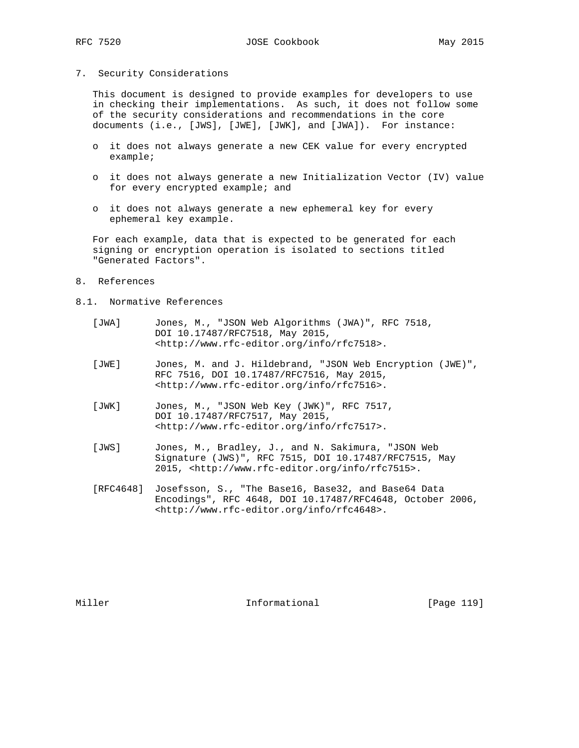### 7. Security Considerations

 This document is designed to provide examples for developers to use in checking their implementations. As such, it does not follow some of the security considerations and recommendations in the core documents (i.e., [JWS], [JWE], [JWK], and [JWA]). For instance:

- o it does not always generate a new CEK value for every encrypted example;
- o it does not always generate a new Initialization Vector (IV) value for every encrypted example; and
- o it does not always generate a new ephemeral key for every ephemeral key example.

 For each example, data that is expected to be generated for each signing or encryption operation is isolated to sections titled "Generated Factors".

- 8. References
- 8.1. Normative References
	- [JWA] Jones, M., "JSON Web Algorithms (JWA)", RFC 7518, DOI 10.17487/RFC7518, May 2015, <http://www.rfc-editor.org/info/rfc7518>.
	- [JWE] Jones, M. and J. Hildebrand, "JSON Web Encryption (JWE)", RFC 7516, DOI 10.17487/RFC7516, May 2015, <http://www.rfc-editor.org/info/rfc7516>.
	- [JWK] Jones, M., "JSON Web Key (JWK)", RFC 7517, DOI 10.17487/RFC7517, May 2015, <http://www.rfc-editor.org/info/rfc7517>.
	- [JWS] Jones, M., Bradley, J., and N. Sakimura, "JSON Web Signature (JWS)", RFC 7515, DOI 10.17487/RFC7515, May 2015, <http://www.rfc-editor.org/info/rfc7515>.
	- [RFC4648] Josefsson, S., "The Base16, Base32, and Base64 Data Encodings", RFC 4648, DOI 10.17487/RFC4648, October 2006, <http://www.rfc-editor.org/info/rfc4648>.

Miller **Informational** [Page 119]